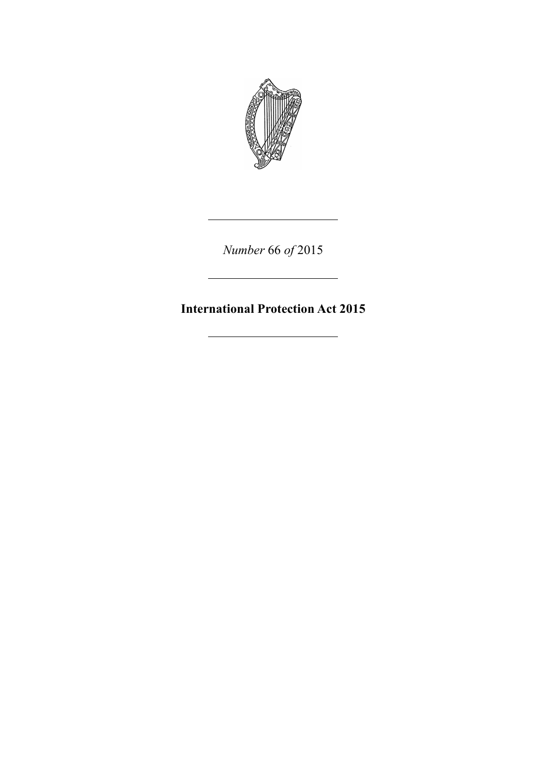

*Number* 66 *of* 2015

 $\overline{\phantom{0}}$ 

# **International Protection Act 2015**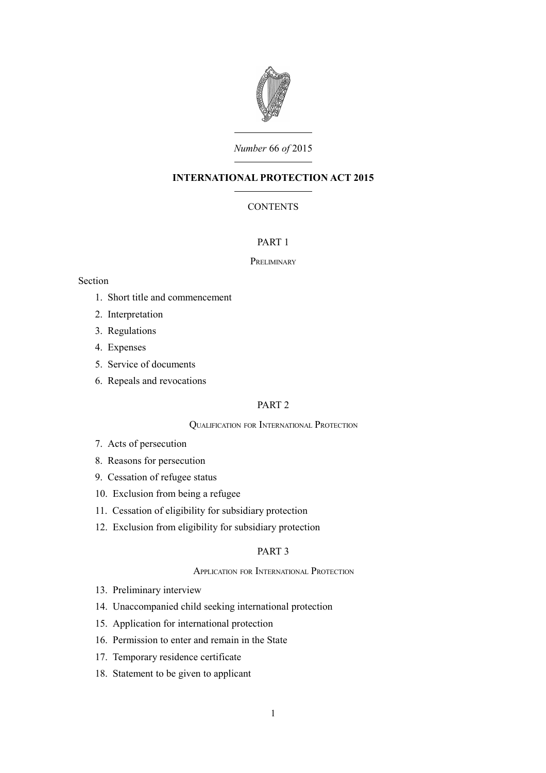

## *Number* 66 *of* 2015

## **INTERNATIONAL PROTECTION ACT 2015**

## **CONTENTS**

## [PART 1](#page-8-0)

#### P[RELIMINARY](#page-8-2)

## Section

- 1. [Short title and commencement](#page-8-1)
- 2. [Interpretation](#page-9-0)
- 3. [Regulations](#page-13-2)
- 4. [Expenses](#page-13-1)
- 5. [Service of documents](#page-13-0)
- 6. [Repeals and revocations](#page-14-3)

## [PART 2](#page-14-2)

#### QUALIFICATION FOR I[NTERNATIONAL](#page-14-1) PROTECTION

- 7. [Acts of persecution](#page-14-0)
- 8. [Reasons for persecution](#page-15-0)
- 9. [Cessation of refugee status](#page-16-0)
- 10. [Exclusion from being a refugee](#page-17-0)
- 11. [Cessation of eligibility for subsidiary protection](#page-18-4)
- 12. [Exclusion from eligibility for subsidiary protection](#page-18-3)

## [PART 3](#page-18-2)

## APPLICATION FOR I[NTERNATIONAL](#page-18-1) PROTECTION

- 13. [Preliminary interview](#page-18-0)
- 14. [Unaccompanied child seeking international protection](#page-19-0)
- 15. [Application for international protection](#page-20-0)
- 16. [Permission to enter and remain in the State](#page-21-1)
- 17. [Temporary residence certificate](#page-21-0)
- 18. [Statement to be given to applicant](#page-22-0)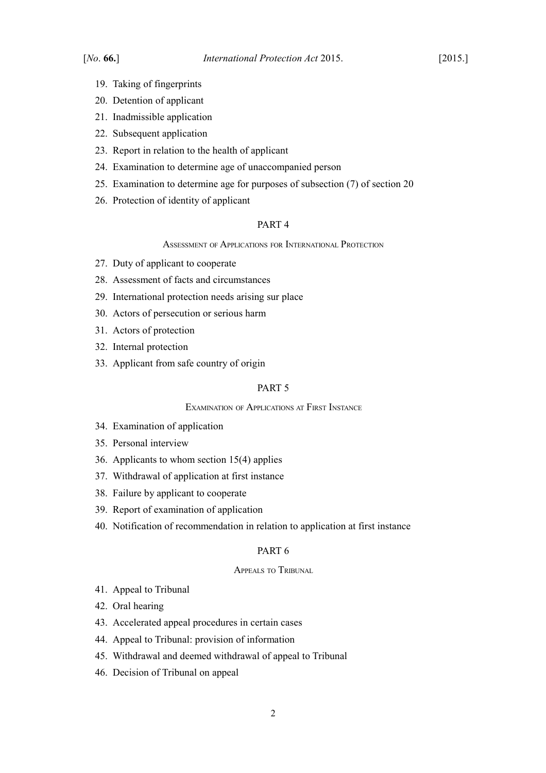- 19. [Taking of fingerprints](#page-23-0)
- 20. [Detention of applicant](#page-24-0)
- 21. [Inadmissible application](#page-28-0)
- 22. [Subsequent application](#page-30-0)
- 23. [Report in relation to the health of applicant](#page-33-0)
- 24. [Examination to determine age of unaccompanied person](#page-34-0)
- 25. [Examination to determine age for purposes of subsection \(7\) of section 20](#page-35-0)
- 26. [Protection of identity of applicant](#page-36-0)

## [PART 4](#page-37-3)

ASSESSMENT OF APPLICATIONS FOR I[NTERNATIONAL](#page-37-2) PROTECTION

- 27. [Duty of applicant to cooperate](#page-37-1)
- 28. [Assessment of facts and circumstances](#page-37-0)
- 29. [International protection needs arising sur place](#page-39-1)
- 30. [Actors of persecution or serious harm](#page-39-0)
- 31. [Actors of protection](#page-40-1)
- 32. [Internal protection](#page-40-0)
- 33. [Applicant from safe country of origin](#page-41-4)

## [PART 5](#page-41-3)

#### E[XAMINATION](#page-41-2) OF APPLICATIONS AT FIRST INSTANCE

- 34. [Examination of application](#page-41-1)
- 35. [Personal interview](#page-41-0)
- 36. [Applicants to whom section 15\(4\) applies](#page-43-0)
- 37. [Withdrawal of application at first instance](#page-44-1)
- 38. [Failure by applicant to cooperate](#page-44-0)
- 39. [Report of examination of application](#page-45-0)
- 40. [Notification of recommendation in relation to application at first instance](#page-47-0)

## [PART 6](#page-48-3)

## APPEALS TO T[RIBUNAL](#page-48-2)

- 41. [Appeal to Tribunal](#page-48-1)
- 42. [Oral hearing](#page-48-0)
- 43. [Accelerated appeal procedures in certain cases](#page-50-2)
- 44. [Appeal to Tribunal: provision of information](#page-50-1)
- 45. [Withdrawal and deemed withdrawal of appeal to Tribunal](#page-50-0)
- 46. [Decision of Tribunal on appeal](#page-52-0)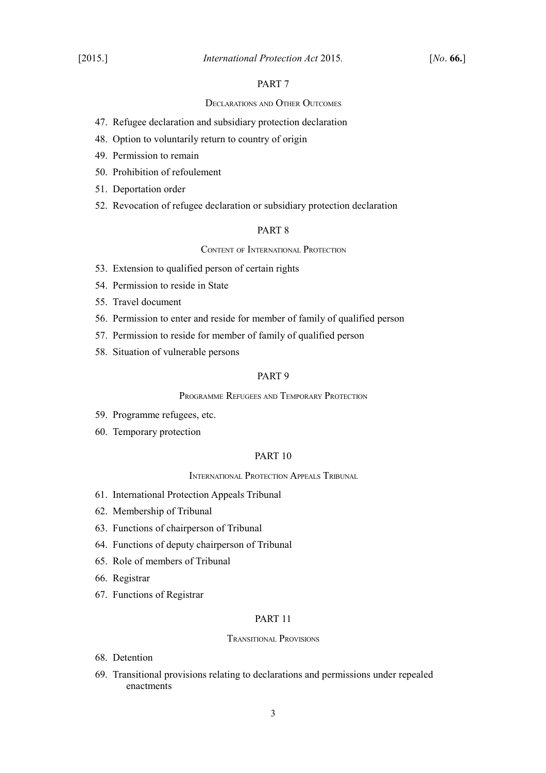## [PART 7](#page-53-2)

#### D[ECLARATIONS](#page-53-1) AND OTHER OUTCOMES

- 47. [Refugee declaration and subsidiary protection declaration](#page-53-0)
- 48. [Option to voluntarily return to country of origin](#page-55-0)
- 49. [Permission to remain](#page-56-0)
- 50. [Prohibition of refoulement](#page-57-0)
- 51. [Deportation order](#page-58-0)
- 52. [Revocation of refugee declaration or subsidiary protection declaration](#page-59-0)

## [PART 8](#page-60-2)

## CONTENT OF I[NTERNATIONAL](#page-60-1) PROTECTION

- 53. [Extension to qualified person of certain rights](#page-60-0)
- 54. [Permission to reside in State](#page-61-1)
- 55. [Travel document](#page-61-0)
- 56. [Permission to enter and reside for member of family of qualified person](#page-62-0)
- 57. [Permission to reside for member of family of qualified person](#page-63-0)
- 58. [Situation of vulnerable persons](#page-64-0)

## [PART 9](#page-65-3)

## P[ROGRAMME](#page-65-2) REFUGEES AND TEMPORARY PROTECTION

- 59. [Programme refugees, etc.](#page-65-1)
- 60. [Temporary protection](#page-65-0)

## [PART 10](#page-68-2)

#### I[NTERNATIONAL](#page-68-1) PROTECTION APPEALS TRIBUNAL

- 61. [International Protection Appeals Tribunal](#page-68-0)
- 62. [Membership of Tribunal](#page-69-0)
- 63. [Functions of chairperson of Tribunal](#page-71-0)
- 64. [Functions of deputy chairperson of Tribunal](#page-72-0)
- 65. [Role of members of Tribunal](#page-73-2)
- 66. [Registrar](#page-73-1)
- 67. [Functions of Registrar](#page-73-0)

## [PART 11](#page-74-2)

## T[RANSITIONAL](#page-74-1) PROVISIONS

- 68. [Detention](#page-74-0)
- 69. [Transitional provisions relating to declarations and permissions under repealed](#page-75-0) [enactments](#page-75-0)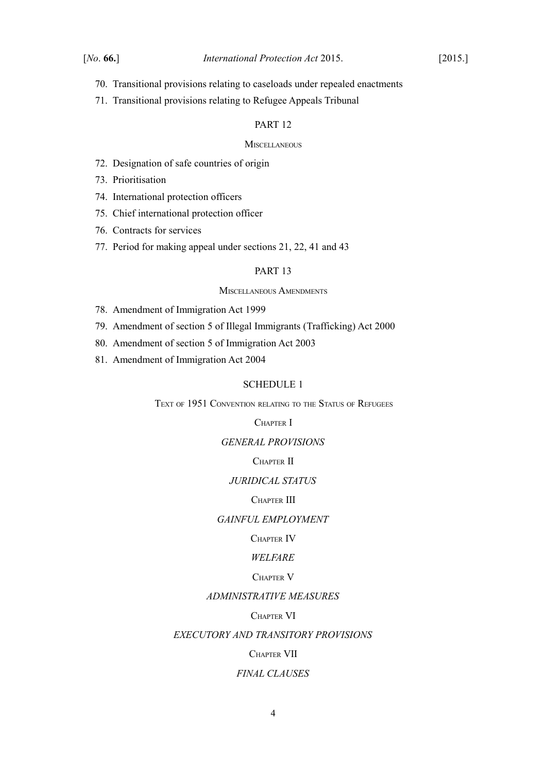70. [Transitional provisions relating to caseloads under repealed enactments](#page-75-1)

71. [Transitional provisions relating to Refugee Appeals Tribunal](#page-80-0)

#### [PART 12](#page-81-2)

#### **M[ISCELLANEOUS](#page-81-1)**

- 72. [Designation of safe countries of origin](#page-81-0)
- 73. [Prioritisation](#page-82-0)
- 74. [International protection officers](#page-83-0)
- 75. [Chief international protection officer](#page-84-2)
- 76. [Contracts for services](#page-84-1)
- 77. [Period for making appeal under sections 21, 22, 41 and 43](#page-84-0)

## [PART 13](#page-85-2)

#### M[ISCELLANEOUS](#page-85-1) AMENDMENTS

- 78. [Amendment of Immigration Act 1999](#page-85-0)
- 79. [Amendment of section 5 of Illegal Immigrants \(Trafficking\) Act 2000](#page-88-0)
- 80. [Amendment of section 5 of Immigration Act 2003](#page-89-0)
- 81. [Amendment of Immigration Act 2004](#page-90-0)

#### [SCHEDULE 1](#page-92-3)

TEXT OF [1951 C](#page-92-2)ONVENTION RELATING TO THE STATUS OF REFUGEES

#### C[HAPTER](#page-92-1) I

## *[GENERAL PROVISIONS](#page-92-0)*

#### C[HAPTER](#page-96-1) II

## *[JURIDICAL STATUS](#page-96-0)*

#### C[HAPTER](#page-98-1) III

## *[GAINFUL EMPLOYMENT](#page-98-0)*

## C[HAPTER](#page-99-1) IV

## *[WELFARE](#page-99-0)*

## C[HAPTER](#page-100-1) V

### *[ADMINISTRATIVE MEASURES](#page-100-0)*

#### C[HAPTER](#page-103-3) VI

### *[EXECUTORY AND TRANSITORY PROVISIONS](#page-103-2)*

#### C[HAPTER](#page-103-1) VII

## *[FINAL CLAUSES](#page-103-0)*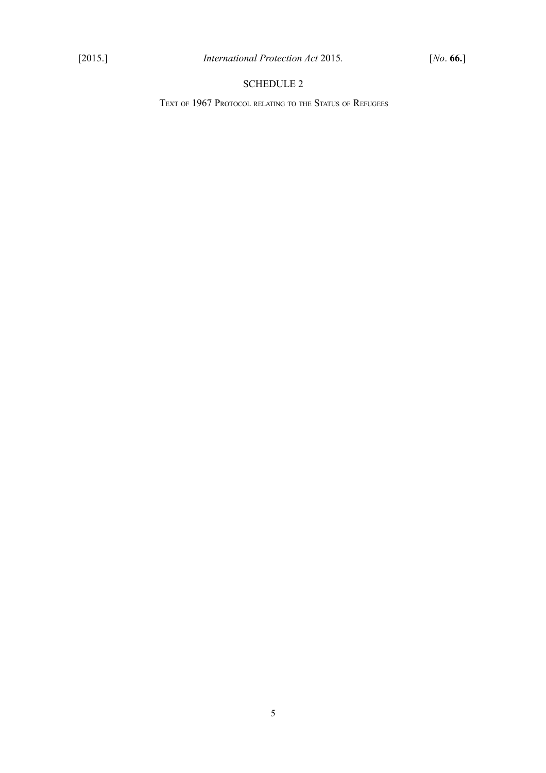## [SCHEDULE 2](#page-112-1)

TEXT OF [1967 P](#page-112-0)ROTOCOL RELATING TO THE STATUS OF REFUGEES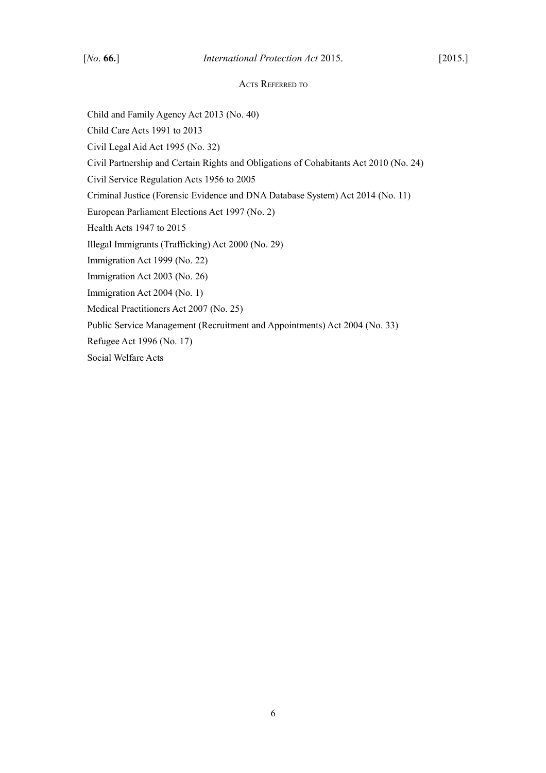### ACTS REFERRED TO

Child and Family Agency Act 2013 (No. 40)

Child Care Acts 1991 to 2013

Civil Legal Aid Act 1995 (No. 32)

Civil Partnership and Certain Rights and Obligations of Cohabitants Act 2010 (No. 24)

Civil Service Regulation Acts 1956 to 2005

Criminal Justice (Forensic Evidence and DNA Database System) Act 2014 (No. 11)

European Parliament Elections Act 1997 (No. 2)

Health Acts 1947 to 2015

Illegal Immigrants (Trafficking) Act 2000 (No. 29)

Immigration Act 1999 (No. 22)

Immigration Act 2003 (No. 26)

Immigration Act 2004 (No. 1)

Medical Practitioners Act 2007 (No. 25)

Public Service Management (Recruitment and Appointments) Act 2004 (No. 33)

Refugee Act 1996 (No. 17)

Social Welfare Acts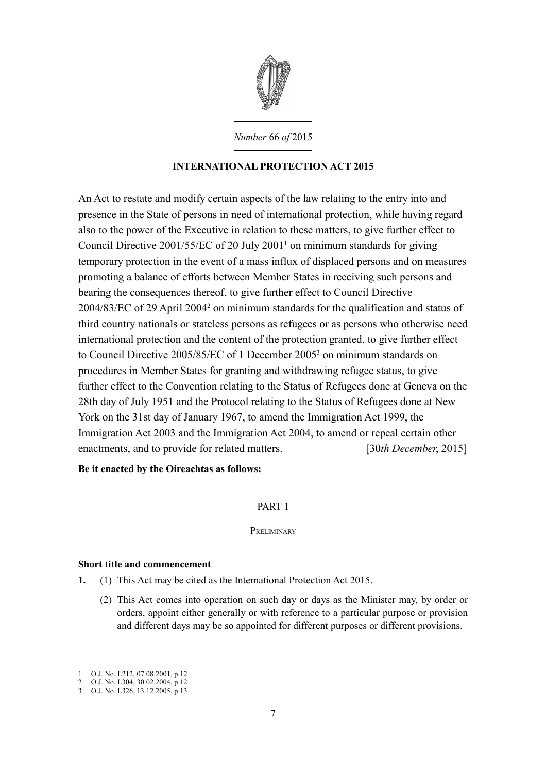

*Number* 66 *of* 2015

## **INTERNATIONAL PROTECTION ACT 2015**

An Act to restate and modify certain aspects of the law relating to the entry into and presence in the State of persons in need of international protection, while having regard also to the power of the Executive in relation to these matters, to give further effect to Council Directive 200[1](#page-8-3)/55/EC of 20 July 2001<sup>1</sup> on minimum standards for giving temporary protection in the event of a mass influx of displaced persons and on measures promoting a balance of efforts between Member States in receiving such persons and bearing the consequences thereof, to give further effect to Council Directive [2](#page-8-4)004/83/EC of 29 April 2004<sup>2</sup> on minimum standards for the qualification and status of third country nationals or stateless persons as refugees or as persons who otherwise need international protection and the content of the protection granted, to give further effect to Council Directive 2005/85/EC of 1 December 2005<sup>[3](#page-8-5)</sup> on minimum standards on procedures in Member States for granting and withdrawing refugee status, to give further effect to the Convention relating to the Status of Refugees done at Geneva on the 28th day of July 1951 and the Protocol relating to the Status of Refugees done at New York on the 31st day of January 1967, to amend the [Immigration Act 1999,](http://www.irishstatutebook.ie/1999/en/act/pub/0022/index.html) the [Immigration Act 2003](http://www.irishstatutebook.ie/2003/en/act/pub/0026/index.html) and the [Immigration Act 2004,](http://www.irishstatutebook.ie/eli/2004/act/1/enacted/en/html) to amend or repeal certain other enactments, and to provide for related matters. [30*th December*, 2015]

**Be it enacted by the Oireachtas as follows:**

## <span id="page-8-0"></span>PART 1

<span id="page-8-2"></span>PRELIMINARY

#### <span id="page-8-1"></span>**Short title and commencement**

- <span id="page-8-6"></span>**1.** (1) This Act may be cited as the International Protection Act 2015.
	- (2) This Act comes into operation on such day or days as the Minister may, by order or orders, appoint either generally or with reference to a particular purpose or provision and different days may be so appointed for different purposes or different provisions.

<span id="page-8-3"></span><sup>1</sup> O.J. No. L212, 07.08.2001, p.12

<span id="page-8-4"></span><sup>2</sup> O.J. No. L304, 30.02.2004, p.12 3 O.J. No. L326, 13.12.2005, p.13

<span id="page-8-5"></span>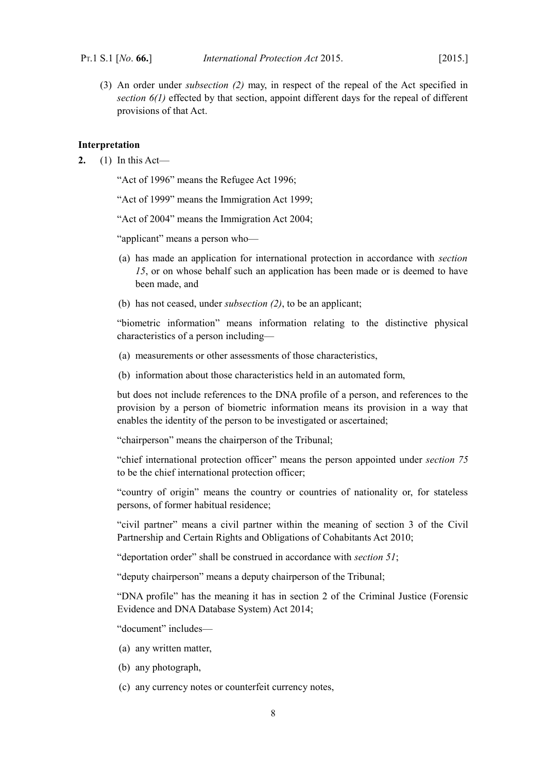(3) An order under *subsection [\(2\)](#page-8-6)* may, in respect of the repeal of the Act specified in *section [6](#page-14-5)[\(1\)](#page-14-4)* effected by that section, appoint different days for the repeal of different provisions of that Act.

#### <span id="page-9-0"></span>**Interpretation**

<span id="page-9-1"></span>**2.** (1) In this Act—

"Act of 1996" means the [Refugee Act 1996;](http://www.irishstatutebook.ie/1996/en/act/pub/0017/index.html)

"Act of 1999" means the [Immigration Act 1999;](http://www.irishstatutebook.ie/1999/en/act/pub/0022/index.html)

"Act of 2004" means the [Immigration Act 2004;](http://www.irishstatutebook.ie/eli/2004/act/1/enacted/en/html)

"applicant" means a person who—

- (a) has made an application for international protection in accordance with *section [15](#page-20-1)*, or on whose behalf such an application has been made or is deemed to have been made, and
- (b) has not ceased, under *subsection [\(2\)](#page-12-0)*, to be an applicant;

"biometric information" means information relating to the distinctive physical characteristics of a person including—

- (a) measurements or other assessments of those characteristics,
- (b) information about those characteristics held in an automated form,

but does not include references to the DNA profile of a person, and references to the provision by a person of biometric information means its provision in a way that enables the identity of the person to be investigated or ascertained;

"chairperson" means the chairperson of the Tribunal;

"chief international protection officer" means the person appointed under *section [75](#page-84-3)* to be the chief international protection officer;

"country of origin" means the country or countries of nationality or, for stateless persons, of former habitual residence;

"civil partner" means a civil partner within the meaning of section 3 of the [Civil](http://www.irishstatutebook.ie/2010/en/act/pub/0024/index.html) [Partnership and Certain Rights and Obligations of Cohabitants Act 2010;](http://www.irishstatutebook.ie/2010/en/act/pub/0024/index.html)

"deportation order" shall be construed in accordance with *section [51](#page-58-1)*;

"deputy chairperson" means a deputy chairperson of the Tribunal;

"DNA profile" has the meaning it has in section 2 of the [Criminal Justice \(Forensic](http://www.irishstatutebook.ie/pdf/2014/en.act.2014.0011.pdf) [Evidence and DNA Database System\) Act 2014;](http://www.irishstatutebook.ie/pdf/2014/en.act.2014.0011.pdf)

"document" includes—

- (a) any written matter,
- (b) any photograph,
- (c) any currency notes or counterfeit currency notes,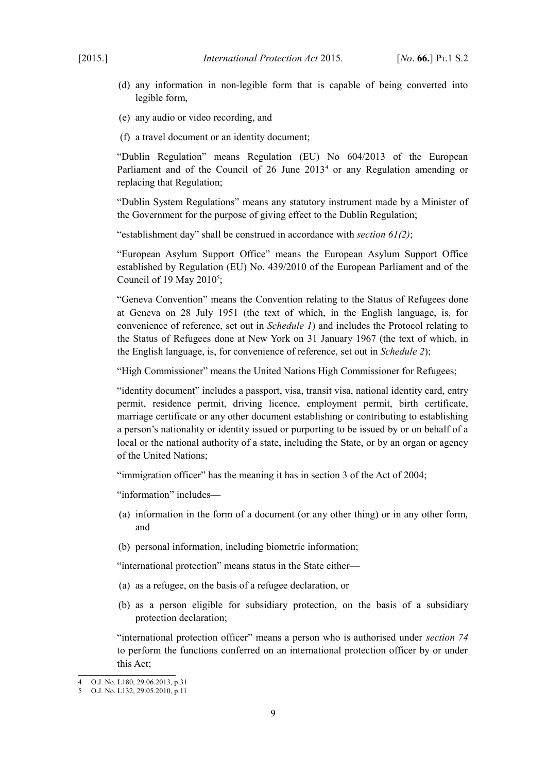- (d) any information in non-legible form that is capable of being converted into legible form,
- (e) any audio or video recording, and
- (f) a travel document or an identity document;

"Dublin Regulation" means Regulation (EU) No 604/2013 of the European Parliament and of the Council of 26 June 2013<sup>[4](#page-10-0)</sup> or any Regulation amending or replacing that Regulation;

"Dublin System Regulations" means any statutory instrument made by a Minister of the Government for the purpose of giving effect to the Dublin Regulation;

"establishment day" shall be construed in accordance with *section [61](#page-68-4)[\(2\)](#page-68-3)*;

"European Asylum Support Office" means the European Asylum Support Office established by Regulation (EU) No. 439/2010 of the European Parliament and of the Council of 19 May 2010<sup>[5](#page-10-1)</sup>;

"Geneva Convention" means the Convention relating to the Status of Refugees done at Geneva on 28 July 1951 (the text of which, in the English language, is, for convenience of reference, set out in *Schedule [1](#page-92-4)*) and includes the Protocol relating to the Status of Refugees done at New York on 31 January 1967 (the text of which, in the English language, is, for convenience of reference, set out in *Schedule [2](#page-112-2)*);

"High Commissioner" means the United Nations High Commissioner for Refugees;

"identity document" includes a passport, visa, transit visa, national identity card, entry permit, residence permit, driving licence, employment permit, birth certificate, marriage certificate or any other document establishing or contributing to establishing a person's nationality or identity issued or purporting to be issued by or on behalf of a local or the national authority of a state, including the State, or by an organ or agency of the United Nations;

"immigration officer" has the meaning it has in section 3 of the Act of 2004;

"information" includes—

- (a) information in the form of a document (or any other thing) or in any other form, and
- (b) personal information, including biometric information;

"international protection" means status in the State either—

- (a) as a refugee, on the basis of a refugee declaration, or
- (b) as a person eligible for subsidiary protection, on the basis of a subsidiary protection declaration;

"international protection officer" means a person who is authorised under *section [74](#page-83-1)* to perform the functions conferred on an international protection officer by or under this Act;

<span id="page-10-0"></span><sup>4</sup> O.J. No. L180, 29.06.2013, p.31

<span id="page-10-1"></span><sup>5</sup> O.J. No. L132, 29.05.2010, p.11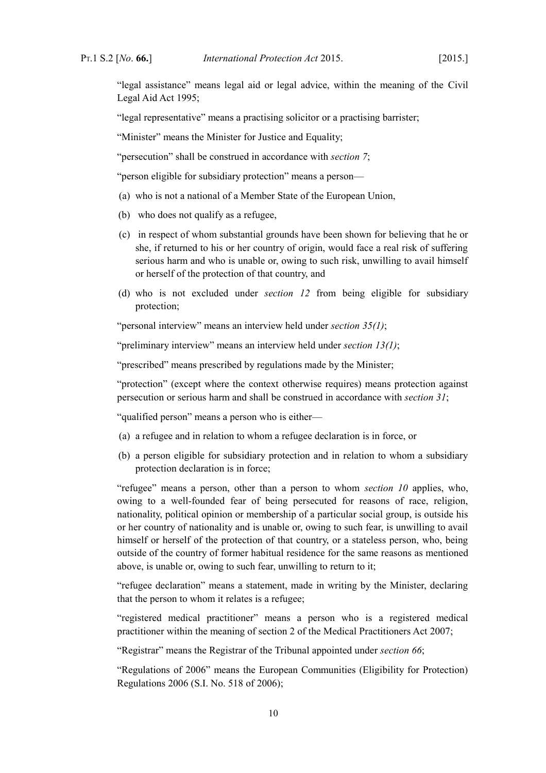"legal assistance" means legal aid or legal advice, within the meaning of the [Civil](http://www.irishstatutebook.ie/1995/en/act/pub/0032/index.html) [Legal Aid Act 1995;](http://www.irishstatutebook.ie/1995/en/act/pub/0032/index.html)

"legal representative" means a practising solicitor or a practising barrister;

"Minister" means the Minister for Justice and Equality;

"persecution" shall be construed in accordance with *section [7](#page-14-6)*;

"person eligible for subsidiary protection" means a person—

- (a) who is not a national of a Member State of the European Union,
- (b) who does not qualify as a refugee,
- (c) in respect of whom substantial grounds have been shown for believing that he or she, if returned to his or her country of origin, would face a real risk of suffering serious harm and who is unable or, owing to such risk, unwilling to avail himself or herself of the protection of that country, and
- (d) who is not excluded under *section [12](#page-18-7)* from being eligible for subsidiary protection;

"personal interview" means an interview held under *section [35](#page-41-6)[\(1\)](#page-41-5)*;

"preliminary interview" means an interview held under *section [13](#page-18-6)[\(1\)](#page-18-5)*;

"prescribed" means prescribed by regulations made by the Minister;

"protection" (except where the context otherwise requires) means protection against persecution or serious harm and shall be construed in accordance with *section [31](#page-40-2)*;

"qualified person" means a person who is either—

- (a) a refugee and in relation to whom a refugee declaration is in force, or
- (b) a person eligible for subsidiary protection and in relation to whom a subsidiary protection declaration is in force;

"refugee" means a person, other than a person to whom *section [10](#page-17-1)* applies, who, owing to a well-founded fear of being persecuted for reasons of race, religion, nationality, political opinion or membership of a particular social group, is outside his or her country of nationality and is unable or, owing to such fear, is unwilling to avail himself or herself of the protection of that country, or a stateless person, who, being outside of the country of former habitual residence for the same reasons as mentioned above, is unable or, owing to such fear, unwilling to return to it;

"refugee declaration" means a statement, made in writing by the Minister, declaring that the person to whom it relates is a refugee;

"registered medical practitioner" means a person who is a registered medical practitioner within the meaning of section 2 of the [Medical Practitioners Act 2007;](http://www.irishstatutebook.ie/2007/en/act/pub/0025/index.html)

"Registrar" means the Registrar of the Tribunal appointed under *section [66](#page-73-3)*;

"Regulations of 2006" means the European Communities (Eligibility for Protection) Regulations 2006 (S.I. No. 518 of 2006);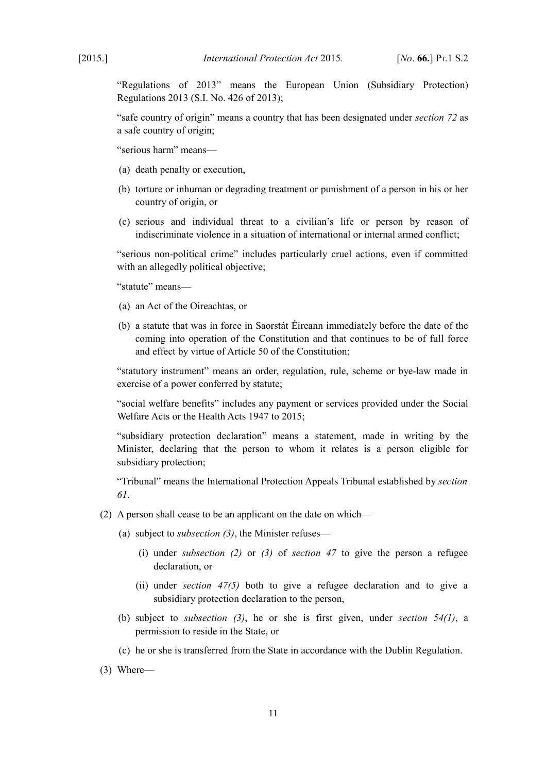"Regulations of 2013" means the European Union (Subsidiary Protection) Regulations 2013 (S.I. No. 426 of 2013);

"safe country of origin" means a country that has been designated under *section [72](#page-81-3)* as a safe country of origin;

"serious harm" means—

- (a) death penalty or execution,
- (b) torture or inhuman or degrading treatment or punishment of a person in his or her country of origin, or
- (c) serious and individual threat to a civilian's life or person by reason of indiscriminate violence in a situation of international or internal armed conflict;

"serious non-political crime" includes particularly cruel actions, even if committed with an allegedly political objective;

"statute" means—

- (a) an Act of the Oireachtas, or
- (b) a statute that was in force in Saorstát Éireann immediately before the date of the coming into operation of the Constitution and that continues to be of full force and effect by virtue of Article 50 of the Constitution;

"statutory instrument" means an order, regulation, rule, scheme or bye-law made in exercise of a power conferred by statute;

"social welfare benefits" includes any payment or services provided under the Social Welfare Acts or the Health Acts 1947 to 2015;

"subsidiary protection declaration" means a statement, made in writing by the Minister, declaring that the person to whom it relates is a person eligible for subsidiary protection;

"Tribunal" means the International Protection Appeals Tribunal established by *section [61](#page-68-4)*.

<span id="page-12-0"></span>(2) A person shall cease to be an applicant on the date on which—

(a) subject to *subsection [\(3\)](#page-12-1)*, the Minister refuses—

- (i) under *subsection [\(2\)](#page-12-0)* or *[\(3\)](#page-12-1)* of *section [47](#page-53-3)* to give the person a refugee declaration, or
- (ii) under *section [47](#page-53-3)[\(5\)](#page-54-0)* both to give a refugee declaration and to give a subsidiary protection declaration to the person,
- (b) subject to *subsection [\(3\)](#page-12-1)*, he or she is first given, under *section [54](#page-61-3)[\(1\)](#page-61-2)*, a permission to reside in the State, or
- (c) he or she is transferred from the State in accordance with the Dublin Regulation.

<span id="page-12-1"></span>(3) Where—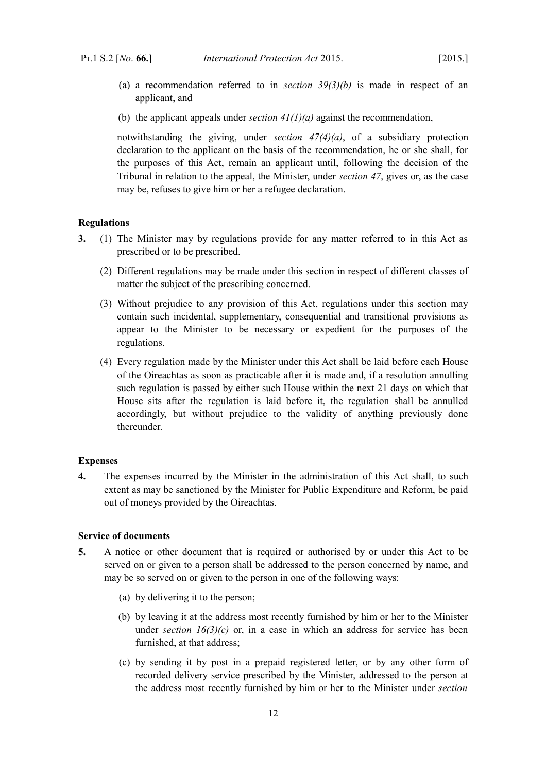- (a) a recommendation referred to in *section [39](#page-45-1)[\(3\)](#page-46-1)[\(b\)](#page-46-0)* is made in respect of an applicant, and
- (b) the applicant appeals under *section [41](#page-48-6)[\(1\)](#page-48-5)[\(a\)](#page-48-4)* against the recommendation,

notwithstanding the giving, under *section [47](#page-53-3)[\(4\)](#page-54-2)[\(a\)](#page-54-1)*, of a subsidiary protection declaration to the applicant on the basis of the recommendation, he or she shall, for the purposes of this Act, remain an applicant until, following the decision of the Tribunal in relation to the appeal, the Minister, under *section [47](#page-53-3)*, gives or, as the case may be, refuses to give him or her a refugee declaration.

#### <span id="page-13-2"></span>**Regulations**

- **3.** (1) The Minister may by regulations provide for any matter referred to in this Act as prescribed or to be prescribed.
	- (2) Different regulations may be made under this section in respect of different classes of matter the subject of the prescribing concerned.
	- (3) Without prejudice to any provision of this Act, regulations under this section may contain such incidental, supplementary, consequential and transitional provisions as appear to the Minister to be necessary or expedient for the purposes of the regulations.
	- (4) Every regulation made by the Minister under this Act shall be laid before each House of the Oireachtas as soon as practicable after it is made and, if a resolution annulling such regulation is passed by either such House within the next 21 days on which that House sits after the regulation is laid before it, the regulation shall be annulled accordingly, but without prejudice to the validity of anything previously done thereunder.

## <span id="page-13-1"></span>**Expenses**

**4.** The expenses incurred by the Minister in the administration of this Act shall, to such extent as may be sanctioned by the Minister for Public Expenditure and Reform, be paid out of moneys provided by the Oireachtas.

## <span id="page-13-0"></span>**Service of documents**

- <span id="page-13-3"></span>**5.** A notice or other document that is required or authorised by or under this Act to be served on or given to a person shall be addressed to the person concerned by name, and may be so served on or given to the person in one of the following ways:
	- (a) by delivering it to the person;
	- (b) by leaving it at the address most recently furnished by him or her to the Minister under *section*  $16(3)(c)$  $16(3)(c)$  $16(3)(c)$  or, in a case in which an address for service has been furnished, at that address;
	- (c) by sending it by post in a prepaid registered letter, or by any other form of recorded delivery service prescribed by the Minister, addressed to the person at the address most recently furnished by him or her to the Minister under *section*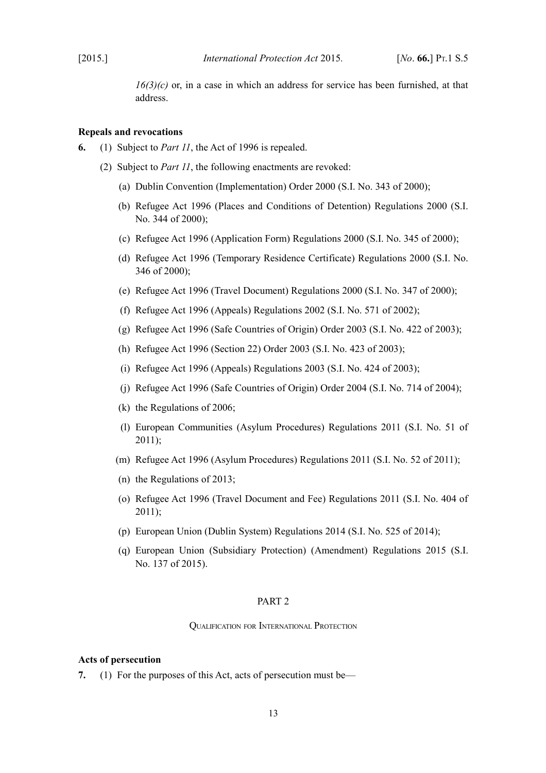*[16](#page-21-4)[\(3\)](#page-21-3)[\(c\)](#page-21-2)* or, in a case in which an address for service has been furnished, at that address.

#### <span id="page-14-3"></span>**Repeals and revocations**

- <span id="page-14-5"></span><span id="page-14-4"></span>**6.** (1) Subject to *Part [11](#page-74-3)*, the Act of 1996 is repealed.
	- (2) Subject to *Part [11](#page-74-3)*, the following enactments are revoked:
		- (a) Dublin Convention (Implementation) Order 2000 (S.I. No. 343 of 2000);
		- (b) Refugee Act 1996 (Places and Conditions of Detention) Regulations 2000 (S.I. No. 344 of 2000);
		- (c) Refugee Act 1996 (Application Form) Regulations 2000 (S.I. No. 345 of 2000);
		- (d) Refugee Act 1996 (Temporary Residence Certificate) Regulations 2000 (S.I. No. 346 of 2000);
		- (e) Refugee Act 1996 (Travel Document) Regulations 2000 (S.I. No. 347 of 2000);
		- (f) Refugee Act 1996 (Appeals) Regulations 2002 (S.I. No. 571 of 2002);
		- (g) Refugee Act 1996 (Safe Countries of Origin) Order 2003 (S.I. No. 422 of 2003);
		- (h) Refugee Act 1996 (Section 22) Order 2003 (S.I. No. 423 of 2003);
		- (i) Refugee Act 1996 (Appeals) Regulations 2003 (S.I. No. 424 of 2003);
		- (j) Refugee Act 1996 (Safe Countries of Origin) Order 2004 (S.I. No. 714 of 2004);
		- (k) the Regulations of 2006;
		- (l) European Communities (Asylum Procedures) Regulations 2011 (S.I. No. 51 of 2011);
		- (m) Refugee Act 1996 (Asylum Procedures) Regulations 2011 (S.I. No. 52 of 2011);
		- (n) the Regulations of 2013;
		- (o) Refugee Act 1996 (Travel Document and Fee) Regulations 2011 (S.I. No. 404 of 2011);
		- (p) European Union (Dublin System) Regulations 2014 (S.I. No. 525 of 2014);
		- (q) European Union (Subsidiary Protection) (Amendment) Regulations 2015 (S.I. No. 137 of 2015).

## <span id="page-14-2"></span>PART 2

<span id="page-14-1"></span>QUALIFICATION FOR INTERNATIONAL PROTECTION

## <span id="page-14-0"></span>**Acts of persecution**

<span id="page-14-7"></span><span id="page-14-6"></span>**7.** (1) For the purposes of this Act, acts of persecution must be—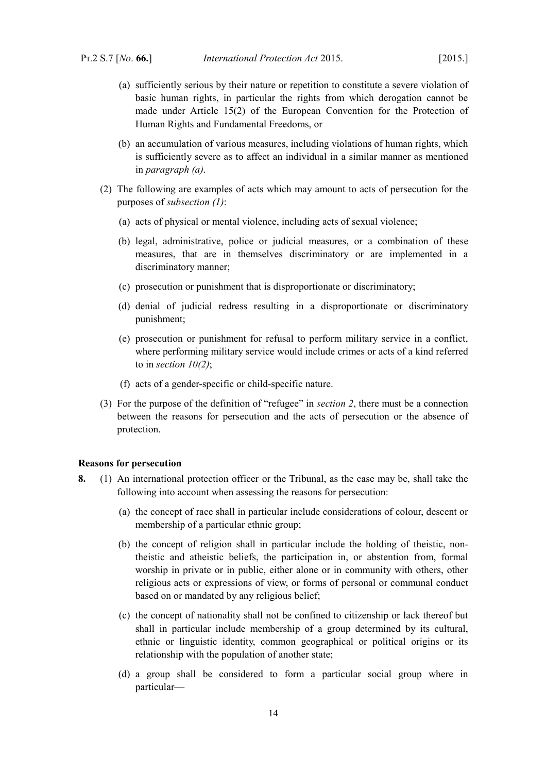- (a) sufficiently serious by their nature or repetition to constitute a severe violation of basic human rights, in particular the rights from which derogation cannot be made under Article 15(2) of the European Convention for the Protection of Human Rights and Fundamental Freedoms, or
- (b) an accumulation of various measures, including violations of human rights, which is sufficiently severe as to affect an individual in a similar manner as mentioned in *paragraph [\(a\)](#page-13-3)*.
- (2) The following are examples of acts which may amount to acts of persecution for the purposes of *subsection [\(1\)](#page-14-7)*:
	- (a) acts of physical or mental violence, including acts of sexual violence;
	- (b) legal, administrative, police or judicial measures, or a combination of these measures, that are in themselves discriminatory or are implemented in a discriminatory manner;
	- (c) prosecution or punishment that is disproportionate or discriminatory;
	- (d) denial of judicial redress resulting in a disproportionate or discriminatory punishment;
	- (e) prosecution or punishment for refusal to perform military service in a conflict, where performing military service would include crimes or acts of a kind referred to in *section [10](#page-17-1)[\(2\)](#page-17-2)*;
	- (f) acts of a gender-specific or child-specific nature.
- (3) For the purpose of the definition of "refugee" in *section [2](#page-9-1)*, there must be a connection between the reasons for persecution and the acts of persecution or the absence of protection.

#### <span id="page-15-0"></span>**Reasons for persecution**

- <span id="page-15-2"></span><span id="page-15-1"></span>**8.** (1) An international protection officer or the Tribunal, as the case may be, shall take the following into account when assessing the reasons for persecution:
	- (a) the concept of race shall in particular include considerations of colour, descent or membership of a particular ethnic group;
	- (b) the concept of religion shall in particular include the holding of theistic, nontheistic and atheistic beliefs, the participation in, or abstention from, formal worship in private or in public, either alone or in community with others, other religious acts or expressions of view, or forms of personal or communal conduct based on or mandated by any religious belief;
	- (c) the concept of nationality shall not be confined to citizenship or lack thereof but shall in particular include membership of a group determined by its cultural, ethnic or linguistic identity, common geographical or political origins or its relationship with the population of another state;
	- (d) a group shall be considered to form a particular social group where in particular—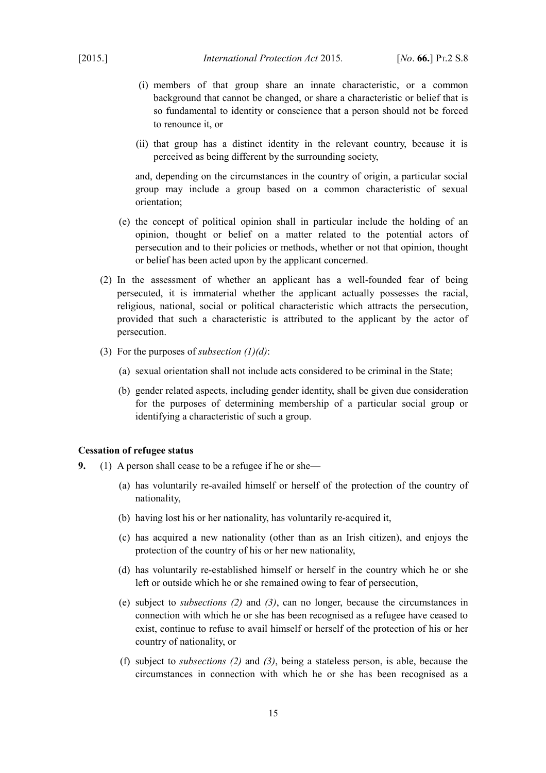- (i) members of that group share an innate characteristic, or a common background that cannot be changed, or share a characteristic or belief that is so fundamental to identity or conscience that a person should not be forced to renounce it, or
- (ii) that group has a distinct identity in the relevant country, because it is perceived as being different by the surrounding society,

and, depending on the circumstances in the country of origin, a particular social group may include a group based on a common characteristic of sexual orientation;

- (e) the concept of political opinion shall in particular include the holding of an opinion, thought or belief on a matter related to the potential actors of persecution and to their policies or methods, whether or not that opinion, thought or belief has been acted upon by the applicant concerned.
- (2) In the assessment of whether an applicant has a well-founded fear of being persecuted, it is immaterial whether the applicant actually possesses the racial, religious, national, social or political characteristic which attracts the persecution, provided that such a characteristic is attributed to the applicant by the actor of persecution.
- (3) For the purposes of *subsection [\(1\)](#page-15-2)[\(d\)](#page-15-1)*:
	- (a) sexual orientation shall not include acts considered to be criminal in the State;
	- (b) gender related aspects, including gender identity, shall be given due consideration for the purposes of determining membership of a particular social group or identifying a characteristic of such a group.

## <span id="page-16-0"></span>**Cessation of refugee status**

- <span id="page-16-3"></span><span id="page-16-2"></span><span id="page-16-1"></span>**9.** (1) A person shall cease to be a refugee if he or she—
	- (a) has voluntarily re-availed himself or herself of the protection of the country of nationality,
	- (b) having lost his or her nationality, has voluntarily re-acquired it,
	- (c) has acquired a new nationality (other than as an Irish citizen), and enjoys the protection of the country of his or her new nationality,
	- (d) has voluntarily re-established himself or herself in the country which he or she left or outside which he or she remained owing to fear of persecution,
	- (e) subject to *subsections [\(2\)](#page-17-4)* and *[\(3\)](#page-17-3)*, can no longer, because the circumstances in connection with which he or she has been recognised as a refugee have ceased to exist, continue to refuse to avail himself or herself of the protection of his or her country of nationality, or
	- (f) subject to *subsections [\(2\)](#page-17-4)* and *[\(3\)](#page-17-3)*, being a stateless person, is able, because the circumstances in connection with which he or she has been recognised as a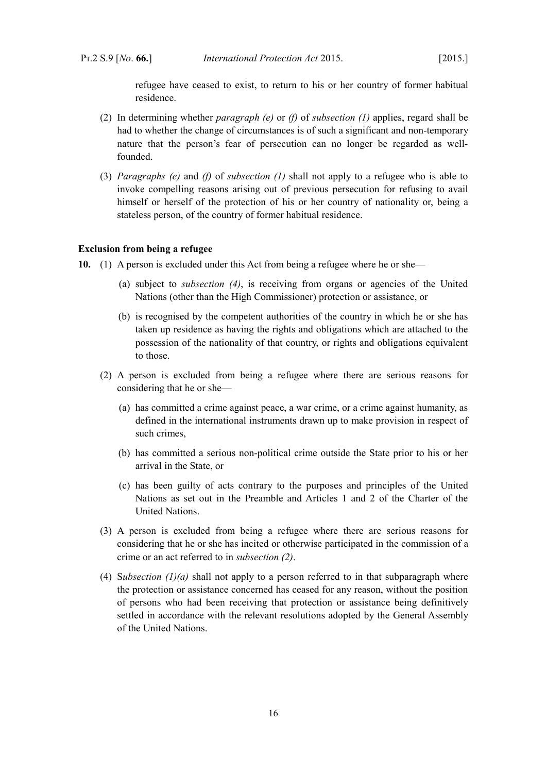refugee have ceased to exist, to return to his or her country of former habitual residence.

- <span id="page-17-4"></span>(2) In determining whether *paragraph [\(e\)](#page-16-3)* or *[\(f\)](#page-16-2)* of *subsection [\(1\)](#page-16-1)* applies, regard shall be had to whether the change of circumstances is of such a significant and non-temporary nature that the person's fear of persecution can no longer be regarded as wellfounded.
- <span id="page-17-3"></span>(3) *Paragraphs [\(e\)](#page-16-3)* and *[\(f\)](#page-16-2)* of *subsection [\(1\)](#page-16-1)* shall not apply to a refugee who is able to invoke compelling reasons arising out of previous persecution for refusing to avail himself or herself of the protection of his or her country of nationality or, being a stateless person, of the country of former habitual residence.

#### <span id="page-17-0"></span>**Exclusion from being a refugee**

- <span id="page-17-7"></span><span id="page-17-6"></span><span id="page-17-5"></span><span id="page-17-2"></span><span id="page-17-1"></span>**10.** (1) A person is excluded under this Act from being a refugee where he or she—
	- (a) subject to *subsection [\(4\)](#page-17-7)*, is receiving from organs or agencies of the United Nations (other than the High Commissioner) protection or assistance, or
	- (b) is recognised by the competent authorities of the country in which he or she has taken up residence as having the rights and obligations which are attached to the possession of the nationality of that country, or rights and obligations equivalent to those.
	- (2) A person is excluded from being a refugee where there are serious reasons for considering that he or she—
		- (a) has committed a crime against peace, a war crime, or a crime against humanity, as defined in the international instruments drawn up to make provision in respect of such crimes,
		- (b) has committed a serious non-political crime outside the State prior to his or her arrival in the State, or
		- (c) has been guilty of acts contrary to the purposes and principles of the United Nations as set out in the Preamble and Articles 1 and 2 of the Charter of the United Nations.
	- (3) A person is excluded from being a refugee where there are serious reasons for considering that he or she has incited or otherwise participated in the commission of a crime or an act referred to in *subsection [\(2\)](#page-17-2)*.
	- (4) Subsection  $(1)(a)$  $(1)(a)$  shall not apply to a person referred to in that subparagraph where the protection or assistance concerned has ceased for any reason, without the position of persons who had been receiving that protection or assistance being definitively settled in accordance with the relevant resolutions adopted by the General Assembly of the United Nations.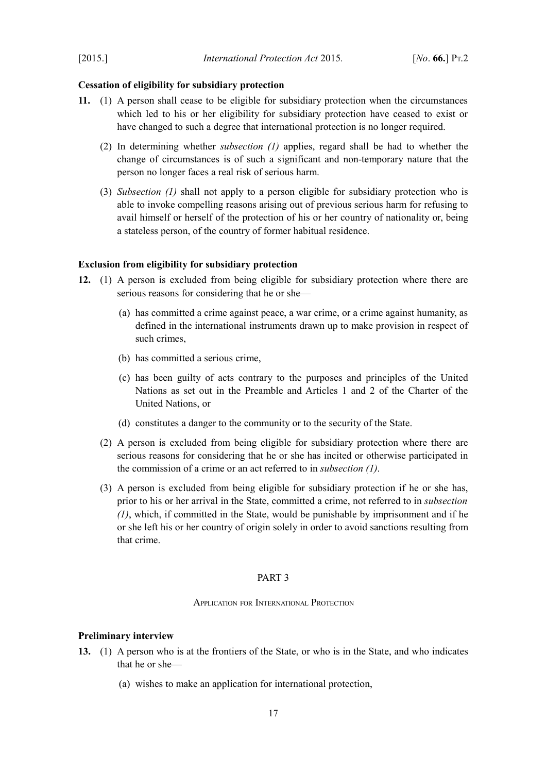## <span id="page-18-4"></span>**Cessation of eligibility for subsidiary protection**

- <span id="page-18-9"></span>**11.** (1) A person shall cease to be eligible for subsidiary protection when the circumstances which led to his or her eligibility for subsidiary protection have ceased to exist or have changed to such a degree that international protection is no longer required.
	- (2) In determining whether *subsection [\(1\)](#page-18-9)* applies, regard shall be had to whether the change of circumstances is of such a significant and non-temporary nature that the person no longer faces a real risk of serious harm.
	- (3) *Subsection [\(1\)](#page-18-9)* shall not apply to a person eligible for subsidiary protection who is able to invoke compelling reasons arising out of previous serious harm for refusing to avail himself or herself of the protection of his or her country of nationality or, being a stateless person, of the country of former habitual residence.

#### <span id="page-18-3"></span>**Exclusion from eligibility for subsidiary protection**

- <span id="page-18-8"></span><span id="page-18-7"></span>**12.** (1) A person is excluded from being eligible for subsidiary protection where there are serious reasons for considering that he or she—
	- (a) has committed a crime against peace, a war crime, or a crime against humanity, as defined in the international instruments drawn up to make provision in respect of such crimes,
	- (b) has committed a serious crime,
	- (c) has been guilty of acts contrary to the purposes and principles of the United Nations as set out in the Preamble and Articles 1 and 2 of the Charter of the United Nations, or
	- (d) constitutes a danger to the community or to the security of the State.
	- (2) A person is excluded from being eligible for subsidiary protection where there are serious reasons for considering that he or she has incited or otherwise participated in the commission of a crime or an act referred to in *subsection [\(1\)](#page-18-8)*.
	- (3) A person is excluded from being eligible for subsidiary protection if he or she has, prior to his or her arrival in the State, committed a crime, not referred to in *subsection [\(1\)](#page-18-8)*, which, if committed in the State, would be punishable by imprisonment and if he or she left his or her country of origin solely in order to avoid sanctions resulting from that crime.

#### <span id="page-18-2"></span>PART 3

<span id="page-18-1"></span>APPLICATION FOR INTERNATIONAL PROTECTION

#### <span id="page-18-0"></span>**Preliminary interview**

- <span id="page-18-6"></span><span id="page-18-5"></span>**13.** (1) A person who is at the frontiers of the State, or who is in the State, and who indicates that he or she—
	- (a) wishes to make an application for international protection,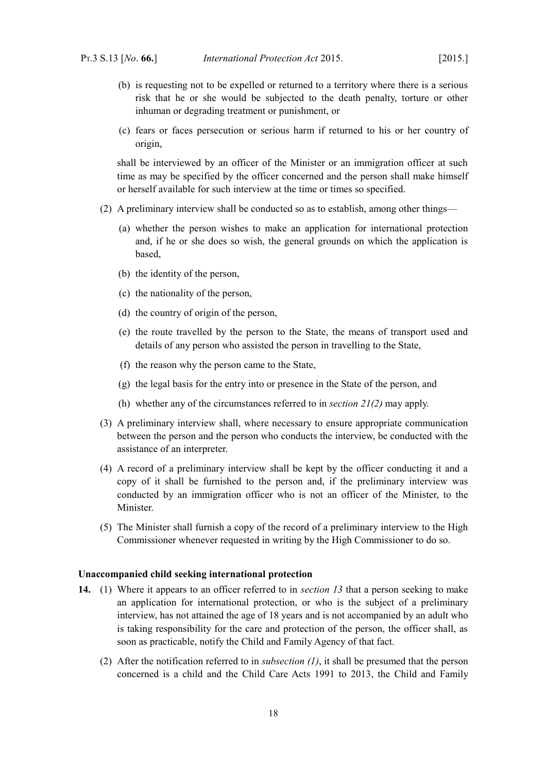- (b) is requesting not to be expelled or returned to a territory where there is a serious risk that he or she would be subjected to the death penalty, torture or other inhuman or degrading treatment or punishment, or
- (c) fears or faces persecution or serious harm if returned to his or her country of origin,

shall be interviewed by an officer of the Minister or an immigration officer at such time as may be specified by the officer concerned and the person shall make himself or herself available for such interview at the time or times so specified.

- (2) A preliminary interview shall be conducted so as to establish, among other things—
	- (a) whether the person wishes to make an application for international protection and, if he or she does so wish, the general grounds on which the application is based,
	- (b) the identity of the person,
	- (c) the nationality of the person,
	- (d) the country of origin of the person,
	- (e) the route travelled by the person to the State, the means of transport used and details of any person who assisted the person in travelling to the State,
	- (f) the reason why the person came to the State,
	- (g) the legal basis for the entry into or presence in the State of the person, and
	- (h) whether any of the circumstances referred to in *section [21](#page-28-2)[\(2\)](#page-28-1)* may apply.
- (3) A preliminary interview shall, where necessary to ensure appropriate communication between the person and the person who conducts the interview, be conducted with the assistance of an interpreter.
- (4) A record of a preliminary interview shall be kept by the officer conducting it and a copy of it shall be furnished to the person and, if the preliminary interview was conducted by an immigration officer who is not an officer of the Minister, to the Minister.
- (5) The Minister shall furnish a copy of the record of a preliminary interview to the High Commissioner whenever requested in writing by the High Commissioner to do so.

#### <span id="page-19-0"></span>**Unaccompanied child seeking international protection**

- <span id="page-19-1"></span>**14.** (1) Where it appears to an officer referred to in *section [13](#page-18-6)* that a person seeking to make an application for international protection, or who is the subject of a preliminary interview, has not attained the age of 18 years and is not accompanied by an adult who is taking responsibility for the care and protection of the person, the officer shall, as soon as practicable, notify the Child and Family Agency of that fact.
	- (2) After the notification referred to in *subsection [\(1\)](#page-19-1)*, it shall be presumed that the person concerned is a child and the Child Care Acts 1991 to 2013, the [Child and Family](http://www.irishstatutebook.ie/2013/en/act/pub/0040/index.html)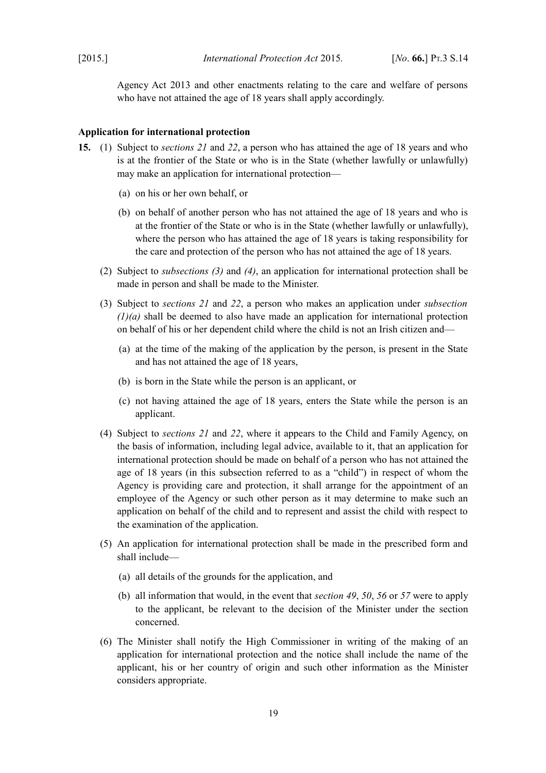[Agency Act 2013](http://www.irishstatutebook.ie/2013/en/act/pub/0040/index.html) and other enactments relating to the care and welfare of persons who have not attained the age of 18 years shall apply accordingly.

#### <span id="page-20-0"></span>**Application for international protection**

- <span id="page-20-5"></span><span id="page-20-4"></span><span id="page-20-3"></span><span id="page-20-2"></span><span id="page-20-1"></span>**15.** (1) Subject to *sections [21](#page-28-2)* and *[22](#page-30-1)*, a person who has attained the age of 18 years and who is at the frontier of the State or who is in the State (whether lawfully or unlawfully) may make an application for international protection—
	- (a) on his or her own behalf, or
	- (b) on behalf of another person who has not attained the age of 18 years and who is at the frontier of the State or who is in the State (whether lawfully or unlawfully), where the person who has attained the age of 18 years is taking responsibility for the care and protection of the person who has not attained the age of 18 years.
	- (2) Subject to *subsections [\(3\)](#page-20-5)* and *[\(4\)](#page-20-4)*, an application for international protection shall be made in person and shall be made to the Minister.
	- (3) Subject to *sections [21](#page-28-2)* and *[22](#page-30-1)*, a person who makes an application under *subsection [\(1\)](#page-20-3)[\(a\)](#page-20-2)* shall be deemed to also have made an application for international protection on behalf of his or her dependent child where the child is not an Irish citizen and—
		- (a) at the time of the making of the application by the person, is present in the State and has not attained the age of 18 years,
		- (b) is born in the State while the person is an applicant, or
		- (c) not having attained the age of 18 years, enters the State while the person is an applicant.
	- (4) Subject to *sections [21](#page-28-2)* and *[22](#page-30-1)*, where it appears to the Child and Family Agency, on the basis of information, including legal advice, available to it, that an application for international protection should be made on behalf of a person who has not attained the age of 18 years (in this subsection referred to as a "child") in respect of whom the Agency is providing care and protection, it shall arrange for the appointment of an employee of the Agency or such other person as it may determine to make such an application on behalf of the child and to represent and assist the child with respect to the examination of the application.
	- (5) An application for international protection shall be made in the prescribed form and shall include—
		- (a) all details of the grounds for the application, and
		- (b) all information that would, in the event that *section [49](#page-56-1)*, *[50](#page-57-1)*, *[56](#page-62-1)* or *[57](#page-63-1)* were to apply to the applicant, be relevant to the decision of the Minister under the section concerned.
	- (6) The Minister shall notify the High Commissioner in writing of the making of an application for international protection and the notice shall include the name of the applicant, his or her country of origin and such other information as the Minister considers appropriate.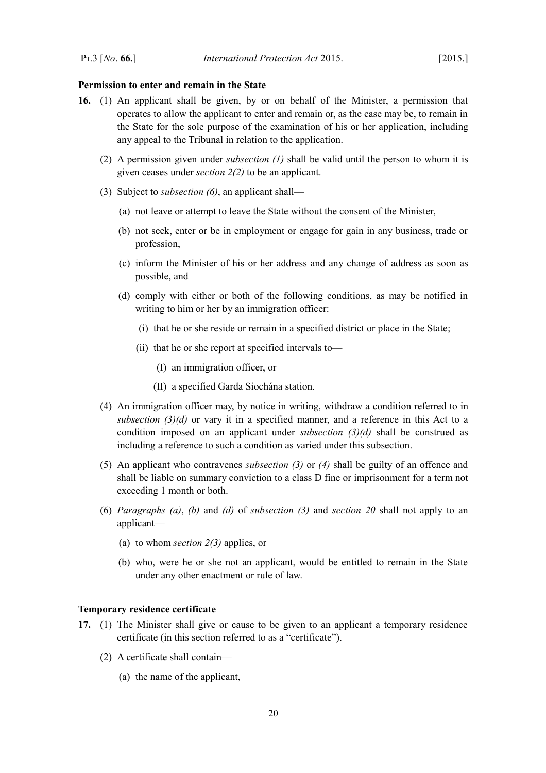#### <span id="page-21-1"></span>**Permission to enter and remain in the State**

- <span id="page-21-11"></span><span id="page-21-10"></span><span id="page-21-7"></span><span id="page-21-6"></span><span id="page-21-5"></span><span id="page-21-4"></span><span id="page-21-3"></span><span id="page-21-2"></span>**16.** (1) An applicant shall be given, by or on behalf of the Minister, a permission that operates to allow the applicant to enter and remain or, as the case may be, to remain in the State for the sole purpose of the examination of his or her application, including any appeal to the Tribunal in relation to the application.
	- (2) A permission given under *subsection [\(1\)](#page-21-10)* shall be valid until the person to whom it is given ceases under *section [2](#page-9-1)[\(2\)](#page-12-0)* to be an applicant.
	- (3) Subject to *subsection [\(6\)](#page-21-9)*, an applicant shall—
		- (a) not leave or attempt to leave the State without the consent of the Minister,
		- (b) not seek, enter or be in employment or engage for gain in any business, trade or profession,
		- (c) inform the Minister of his or her address and any change of address as soon as possible, and
		- (d) comply with either or both of the following conditions, as may be notified in writing to him or her by an immigration officer:
			- (i) that he or she reside or remain in a specified district or place in the State;
			- (ii) that he or she report at specified intervals to—
				- (I) an immigration officer, or
				- (II) a specified Garda Síochána station.
	- (4) An immigration officer may, by notice in writing, withdraw a condition referred to in *subsection [\(3\)](#page-21-3)[\(d\)](#page-21-5)* or vary it in a specified manner, and a reference in this Act to a condition imposed on an applicant under *subsection [\(3\)](#page-21-3)[\(d\)](#page-21-5)* shall be construed as including a reference to such a condition as varied under this subsection.
	- (5) An applicant who contravenes *subsection [\(3\)](#page-21-3)* or *[\(4\)](#page-21-8)* shall be guilty of an offence and shall be liable on summary conviction to a class D fine or imprisonment for a term not exceeding 1 month or both.
	- (6) *Paragraphs [\(a\)](#page-21-7)*, *[\(b\)](#page-21-6)* and *[\(d\)](#page-21-5)* of *subsection [\(3\)](#page-21-3)* and *section [20](#page-24-1)* shall not apply to an applicant—
		- (a) to whom *section [2](#page-9-1)[\(3\)](#page-12-1)* applies, or
		- (b) who, were he or she not an applicant, would be entitled to remain in the State under any other enactment or rule of law.

#### <span id="page-21-9"></span><span id="page-21-8"></span><span id="page-21-0"></span>**Temporary residence certificate**

- **17.** (1) The Minister shall give or cause to be given to an applicant a temporary residence certificate (in this section referred to as a "certificate").
	- (2) A certificate shall contain—
		- (a) the name of the applicant,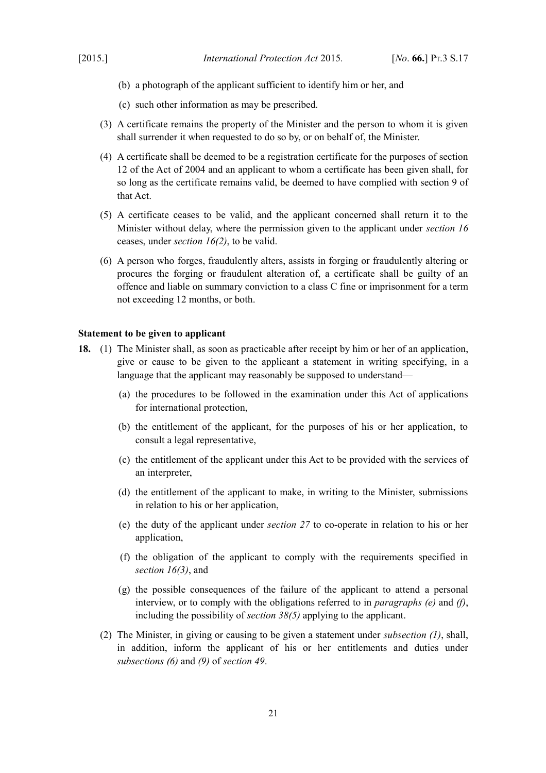- (b) a photograph of the applicant sufficient to identify him or her, and
- (c) such other information as may be prescribed.
- (3) A certificate remains the property of the Minister and the person to whom it is given shall surrender it when requested to do so by, or on behalf of, the Minister.
- (4) A certificate shall be deemed to be a registration certificate for the purposes of section 12 of the Act of 2004 and an applicant to whom a certificate has been given shall, for so long as the certificate remains valid, be deemed to have complied with section 9 of that Act.
- (5) A certificate ceases to be valid, and the applicant concerned shall return it to the Minister without delay, where the permission given to the applicant under *section [16](#page-21-4)* ceases, under *section [16](#page-21-4)[\(2\)](#page-21-11)*, to be valid.
- (6) A person who forges, fraudulently alters, assists in forging or fraudulently altering or procures the forging or fraudulent alteration of, a certificate shall be guilty of an offence and liable on summary conviction to a class C fine or imprisonment for a term not exceeding 12 months, or both.

#### <span id="page-22-0"></span>**Statement to be given to applicant**

- <span id="page-22-3"></span><span id="page-22-2"></span><span id="page-22-1"></span>**18.** (1) The Minister shall, as soon as practicable after receipt by him or her of an application, give or cause to be given to the applicant a statement in writing specifying, in a language that the applicant may reasonably be supposed to understand—
	- (a) the procedures to be followed in the examination under this Act of applications for international protection,
	- (b) the entitlement of the applicant, for the purposes of his or her application, to consult a legal representative,
	- (c) the entitlement of the applicant under this Act to be provided with the services of an interpreter,
	- (d) the entitlement of the applicant to make, in writing to the Minister, submissions in relation to his or her application,
	- (e) the duty of the applicant under *section [27](#page-37-4)* to co-operate in relation to his or her application,
	- (f) the obligation of the applicant to comply with the requirements specified in *section [16](#page-21-4)[\(3\)](#page-21-3)*, and
	- (g) the possible consequences of the failure of the applicant to attend a personal interview, or to comply with the obligations referred to in *paragraphs [\(e\)](#page-22-3)* and *[\(f\)](#page-22-2)*, including the possibility of *section [38](#page-44-2)[\(5\)](#page-45-2)* applying to the applicant.
	- (2) The Minister, in giving or causing to be given a statement under *subsection [\(1\)](#page-22-1)*, shall, in addition, inform the applicant of his or her entitlements and duties under *subsections [\(6\)](#page-56-2)* and *[\(9\)](#page-57-2)* of *section [49](#page-56-1)*.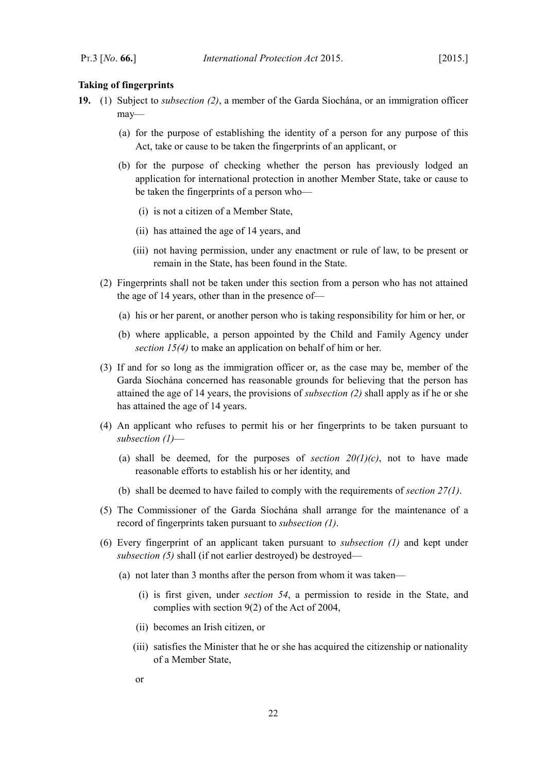## <span id="page-23-0"></span>**Taking of fingerprints**

- <span id="page-23-3"></span><span id="page-23-2"></span><span id="page-23-1"></span>**19.** (1) Subject to *subsection [\(2\)](#page-23-3)*, a member of the Garda Síochána, or an immigration officer may—
	- (a) for the purpose of establishing the identity of a person for any purpose of this Act, take or cause to be taken the fingerprints of an applicant, or
	- (b) for the purpose of checking whether the person has previously lodged an application for international protection in another Member State, take or cause to be taken the fingerprints of a person who—
		- (i) is not a citizen of a Member State,
		- (ii) has attained the age of 14 years, and
		- (iii) not having permission, under any enactment or rule of law, to be present or remain in the State, has been found in the State.
	- (2) Fingerprints shall not be taken under this section from a person who has not attained the age of 14 years, other than in the presence of—
		- (a) his or her parent, or another person who is taking responsibility for him or her, or
		- (b) where applicable, a person appointed by the Child and Family Agency under *section [15](#page-20-1)[\(4\)](#page-20-4)* to make an application on behalf of him or her.
	- (3) If and for so long as the immigration officer or, as the case may be, member of the Garda Síochána concerned has reasonable grounds for believing that the person has attained the age of 14 years, the provisions of *subsection [\(2\)](#page-23-3)* shall apply as if he or she has attained the age of 14 years.
	- (4) An applicant who refuses to permit his or her fingerprints to be taken pursuant to *subsection [\(1\)](#page-23-2)*—
		- (a) shall be deemed, for the purposes of *section*  $20(1)(c)$  $20(1)(c)$  $20(1)(c)$ , not to have made reasonable efforts to establish his or her identity, and
		- (b) shall be deemed to have failed to comply with the requirements of *section [27](#page-37-4)[\(1\)](#page-37-5)*.
	- (5) The Commissioner of the Garda Síochána shall arrange for the maintenance of a record of fingerprints taken pursuant to *subsection [\(1\)](#page-23-2)*.
	- (6) Every fingerprint of an applicant taken pursuant to *subsection [\(1\)](#page-23-2)* and kept under *subsection [\(5\)](#page-23-1)* shall (if not earlier destroyed) be destroyed—
		- (a) not later than 3 months after the person from whom it was taken—
			- (i) is first given, under *section [54](#page-61-3)*, a permission to reside in the State, and complies with section 9(2) of the Act of 2004,
			- (ii) becomes an Irish citizen, or
			- (iii) satisfies the Minister that he or she has acquired the citizenship or nationality of a Member State,
			- or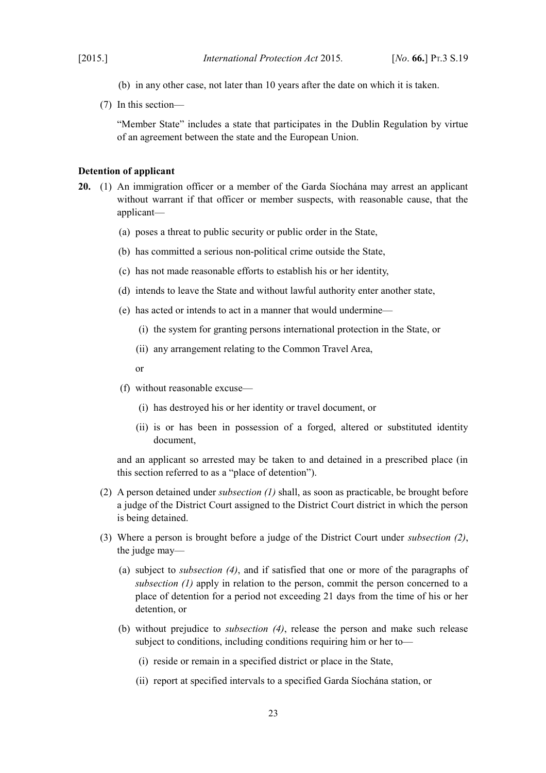(b) in any other case, not later than 10 years after the date on which it is taken.

(7) In this section—

"Member State" includes a state that participates in the Dublin Regulation by virtue of an agreement between the state and the European Union.

#### <span id="page-24-0"></span>**Detention of applicant**

- <span id="page-24-3"></span><span id="page-24-2"></span><span id="page-24-1"></span>**20.** (1) An immigration officer or a member of the Garda Síochána may arrest an applicant without warrant if that officer or member suspects, with reasonable cause, that the applicant—
	- (a) poses a threat to public security or public order in the State,
	- (b) has committed a serious non-political crime outside the State,
	- (c) has not made reasonable efforts to establish his or her identity,
	- (d) intends to leave the State and without lawful authority enter another state,
	- (e) has acted or intends to act in a manner that would undermine—
		- (i) the system for granting persons international protection in the State, or
		- (ii) any arrangement relating to the Common Travel Area,
		- or
	- (f) without reasonable excuse—
		- (i) has destroyed his or her identity or travel document, or
		- (ii) is or has been in possession of a forged, altered or substituted identity document,

and an applicant so arrested may be taken to and detained in a prescribed place (in this section referred to as a "place of detention").

- <span id="page-24-4"></span>(2) A person detained under *subsection [\(1\)](#page-24-3)* shall, as soon as practicable, be brought before a judge of the District Court assigned to the District Court district in which the person is being detained.
- <span id="page-24-6"></span><span id="page-24-5"></span>(3) Where a person is brought before a judge of the District Court under *subsection [\(2\)](#page-24-4)*, the judge may—
	- (a) subject to *subsection [\(4\)](#page-25-0)*, and if satisfied that one or more of the paragraphs of *subsection [\(1\)](#page-24-3)* apply in relation to the person, commit the person concerned to a place of detention for a period not exceeding 21 days from the time of his or her detention, or
	- (b) without prejudice to *subsection [\(4\)](#page-25-0)*, release the person and make such release subject to conditions, including conditions requiring him or her to—
		- (i) reside or remain in a specified district or place in the State,
		- (ii) report at specified intervals to a specified Garda Síochána station, or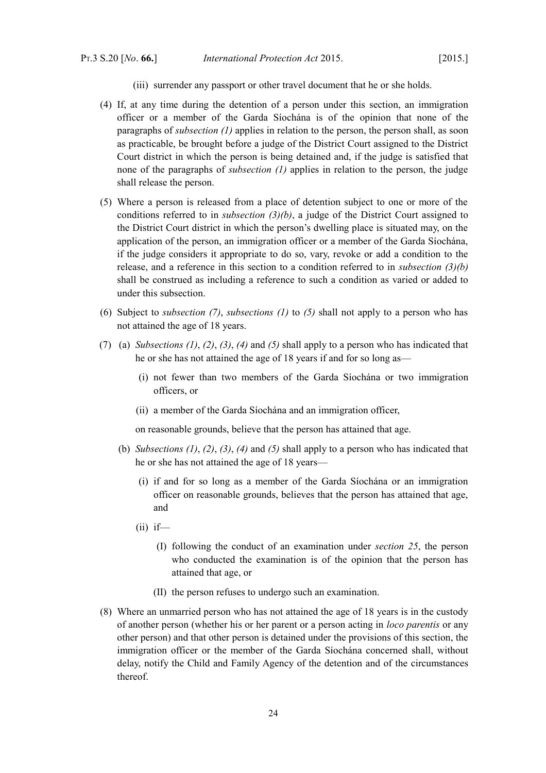- (iii) surrender any passport or other travel document that he or she holds.
- <span id="page-25-0"></span>(4) If, at any time during the detention of a person under this section, an immigration officer or a member of the Garda Síochána is of the opinion that none of the paragraphs of *subsection [\(1\)](#page-24-3)* applies in relation to the person, the person shall, as soon as practicable, be brought before a judge of the District Court assigned to the District Court district in which the person is being detained and, if the judge is satisfied that none of the paragraphs of *subsection [\(1\)](#page-24-3)* applies in relation to the person, the judge shall release the person.
- <span id="page-25-1"></span>(5) Where a person is released from a place of detention subject to one or more of the conditions referred to in *subsection [\(3\)](#page-24-5)[\(b\)](#page-24-6)*, a judge of the District Court assigned to the District Court district in which the person's dwelling place is situated may, on the application of the person, an immigration officer or a member of the Garda Síochána, if the judge considers it appropriate to do so, vary, revoke or add a condition to the release, and a reference in this section to a condition referred to in *subsection [\(3\)](#page-24-5)[\(b\)](#page-24-6)* shall be construed as including a reference to such a condition as varied or added to under this subsection.
- (6) Subject to *subsection [\(7\)](#page-25-2)*, *subsections [\(1\)](#page-24-3)* to *[\(5\)](#page-25-1)* shall not apply to a person who has not attained the age of 18 years.
- <span id="page-25-2"></span>(7) (a) *Subsections [\(1\)](#page-24-3)*, *[\(2\)](#page-24-4)*, *[\(3\)](#page-24-5)*, *[\(4\)](#page-25-0)* and *[\(5\)](#page-25-1)* shall apply to a person who has indicated that he or she has not attained the age of 18 years if and for so long as—
	- (i) not fewer than two members of the Garda Síochána or two immigration officers, or
	- (ii) a member of the Garda Síochána and an immigration officer,

on reasonable grounds, believe that the person has attained that age.

- <span id="page-25-3"></span>(b) *Subsections [\(1\)](#page-24-3)*, *[\(2\)](#page-24-4)*, *[\(3\)](#page-24-5)*, *[\(4\)](#page-25-0)* and *[\(5\)](#page-25-1)* shall apply to a person who has indicated that he or she has not attained the age of 18 years—
	- (i) if and for so long as a member of the Garda Síochána or an immigration officer on reasonable grounds, believes that the person has attained that age, and
	- $(ii)$  if—
		- (I) following the conduct of an examination under *section [25](#page-35-1)*, the person who conducted the examination is of the opinion that the person has attained that age, or
		- (II) the person refuses to undergo such an examination.
- (8) Where an unmarried person who has not attained the age of 18 years is in the custody of another person (whether his or her parent or a person acting in *loco parentis* or any other person) and that other person is detained under the provisions of this section, the immigration officer or the member of the Garda Síochána concerned shall, without delay, notify the Child and Family Agency of the detention and of the circumstances thereof.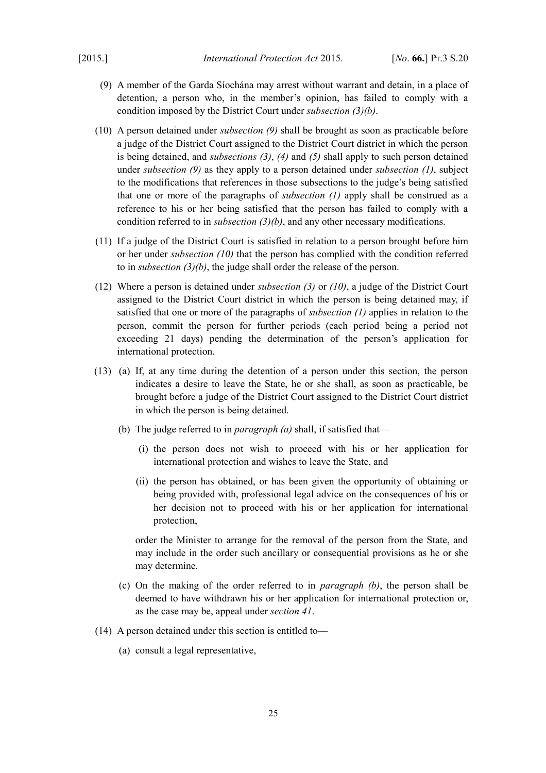- <span id="page-26-3"></span>(9) A member of the Garda Síochána may arrest without warrant and detain, in a place of detention, a person who, in the member's opinion, has failed to comply with a condition imposed by the District Court under *subsection [\(3\)](#page-24-5)[\(b\)](#page-24-6)*.
- <span id="page-26-2"></span>(10) A person detained under *subsection [\(9\)](#page-26-3)* shall be brought as soon as practicable before a judge of the District Court assigned to the District Court district in which the person is being detained, and *subsections [\(3\)](#page-24-5)*, *[\(4\)](#page-25-0)* and *[\(5\)](#page-25-1)* shall apply to such person detained under *subsection [\(9\)](#page-26-3)* as they apply to a person detained under *subsection [\(1\)](#page-24-3)*, subject to the modifications that references in those subsections to the judge's being satisfied that one or more of the paragraphs of *subsection [\(1\)](#page-24-3)* apply shall be construed as a reference to his or her being satisfied that the person has failed to comply with a condition referred to in *subsection [\(3\)](#page-24-5)[\(b\)](#page-24-6)*, and any other necessary modifications.
- (11) If a judge of the District Court is satisfied in relation to a person brought before him or her under *subsection [\(10\)](#page-26-2)* that the person has complied with the condition referred to in *subsection [\(3\)](#page-24-5)[\(b\)](#page-24-6)*, the judge shall order the release of the person.
- (12) Where a person is detained under *subsection [\(3\)](#page-24-5)* or *[\(10\)](#page-26-2)*, a judge of the District Court assigned to the District Court district in which the person is being detained may, if satisfied that one or more of the paragraphs of *subsection [\(1\)](#page-24-3)* applies in relation to the person, commit the person for further periods (each period being a period not exceeding 21 days) pending the determination of the person's application for international protection.
- <span id="page-26-5"></span><span id="page-26-1"></span><span id="page-26-0"></span>(13) (a) If, at any time during the detention of a person under this section, the person indicates a desire to leave the State, he or she shall, as soon as practicable, be brought before a judge of the District Court assigned to the District Court district in which the person is being detained.
	- (b) The judge referred to in *paragraph [\(a\)](#page-26-1)* shall, if satisfied that—
		- (i) the person does not wish to proceed with his or her application for international protection and wishes to leave the State, and
		- (ii) the person has obtained, or has been given the opportunity of obtaining or being provided with, professional legal advice on the consequences of his or her decision not to proceed with his or her application for international protection,

order the Minister to arrange for the removal of the person from the State, and may include in the order such ancillary or consequential provisions as he or she may determine.

- (c) On the making of the order referred to in *paragraph [\(b\)](#page-26-0)*, the person shall be deemed to have withdrawn his or her application for international protection or, as the case may be, appeal under *section [41](#page-48-6)*.
- <span id="page-26-6"></span><span id="page-26-4"></span>(14) A person detained under this section is entitled to—
	- (a) consult a legal representative,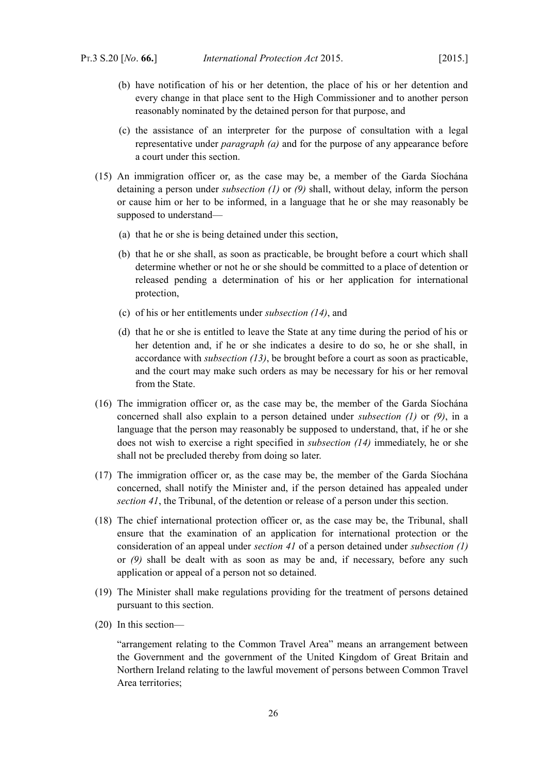- (b) have notification of his or her detention, the place of his or her detention and every change in that place sent to the High Commissioner and to another person reasonably nominated by the detained person for that purpose, and
- (c) the assistance of an interpreter for the purpose of consultation with a legal representative under *paragraph [\(a\)](#page-26-6)* and for the purpose of any appearance before a court under this section.
- (15) An immigration officer or, as the case may be, a member of the Garda Síochána detaining a person under *subsection [\(1\)](#page-24-3)* or *[\(9\)](#page-26-3)* shall, without delay, inform the person or cause him or her to be informed, in a language that he or she may reasonably be supposed to understand—
	- (a) that he or she is being detained under this section,
	- (b) that he or she shall, as soon as practicable, be brought before a court which shall determine whether or not he or she should be committed to a place of detention or released pending a determination of his or her application for international protection,
	- (c) of his or her entitlements under *subsection [\(14\)](#page-26-4)*, and
	- (d) that he or she is entitled to leave the State at any time during the period of his or her detention and, if he or she indicates a desire to do so, he or she shall, in accordance with *subsection [\(13\)](#page-26-5)*, be brought before a court as soon as practicable, and the court may make such orders as may be necessary for his or her removal from the State.
- (16) The immigration officer or, as the case may be, the member of the Garda Síochána concerned shall also explain to a person detained under *subsection [\(1\)](#page-24-3)* or *[\(9\)](#page-26-3)*, in a language that the person may reasonably be supposed to understand, that, if he or she does not wish to exercise a right specified in *subsection [\(14\)](#page-26-4)* immediately, he or she shall not be precluded thereby from doing so later.
- (17) The immigration officer or, as the case may be, the member of the Garda Síochána concerned, shall notify the Minister and, if the person detained has appealed under *section [41](#page-48-6)*, the Tribunal, of the detention or release of a person under this section.
- (18) The chief international protection officer or, as the case may be, the Tribunal, shall ensure that the examination of an application for international protection or the consideration of an appeal under *section [41](#page-48-6)* of a person detained under *subsection [\(1\)](#page-24-3)* or *[\(9\)](#page-26-3)* shall be dealt with as soon as may be and, if necessary, before any such application or appeal of a person not so detained.
- (19) The Minister shall make regulations providing for the treatment of persons detained pursuant to this section.
- (20) In this section—

"arrangement relating to the Common Travel Area" means an arrangement between the Government and the government of the United Kingdom of Great Britain and Northern Ireland relating to the lawful movement of persons between Common Travel Area territories;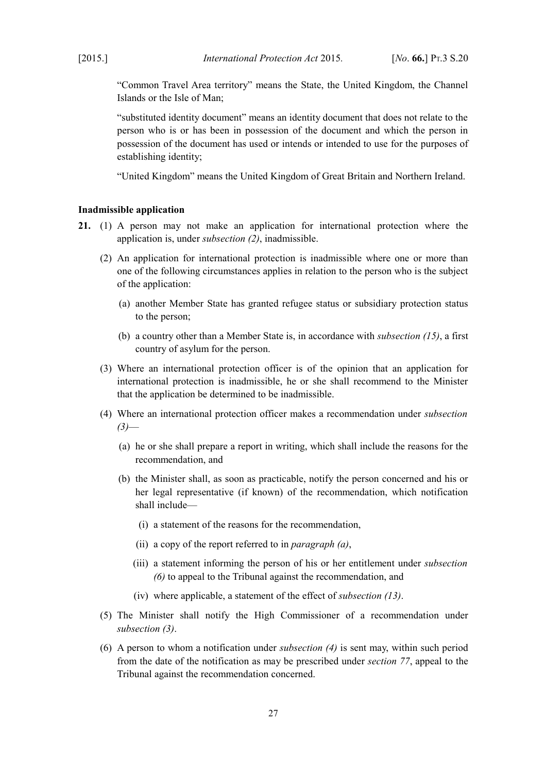"Common Travel Area territory" means the State, the United Kingdom, the Channel Islands or the Isle of Man;

"substituted identity document" means an identity document that does not relate to the person who is or has been in possession of the document and which the person in possession of the document has used or intends or intended to use for the purposes of establishing identity;

"United Kingdom" means the United Kingdom of Great Britain and Northern Ireland.

#### <span id="page-28-0"></span>**Inadmissible application**

- <span id="page-28-7"></span><span id="page-28-6"></span><span id="page-28-5"></span><span id="page-28-4"></span><span id="page-28-3"></span><span id="page-28-2"></span><span id="page-28-1"></span>**21.** (1) A person may not make an application for international protection where the application is, under *subsection [\(2\)](#page-28-1)*, inadmissible.
	- (2) An application for international protection is inadmissible where one or more than one of the following circumstances applies in relation to the person who is the subject of the application:
		- (a) another Member State has granted refugee status or subsidiary protection status to the person;
		- (b) a country other than a Member State is, in accordance with *subsection [\(15\)](#page-30-2)*, a first country of asylum for the person.
	- (3) Where an international protection officer is of the opinion that an application for international protection is inadmissible, he or she shall recommend to the Minister that the application be determined to be inadmissible.
	- (4) Where an international protection officer makes a recommendation under *subsection*  $(3)$ —
		- (a) he or she shall prepare a report in writing, which shall include the reasons for the recommendation, and
		- (b) the Minister shall, as soon as practicable, notify the person concerned and his or her legal representative (if known) of the recommendation, which notification shall include—
			- (i) a statement of the reasons for the recommendation,
			- (ii) a copy of the report referred to in *paragraph [\(a\)](#page-28-6)*,
			- (iii) a statement informing the person of his or her entitlement under *subsection [\(6\)](#page-28-5)* to appeal to the Tribunal against the recommendation, and
			- (iv) where applicable, a statement of the effect of *subsection [\(13\)](#page-29-0)*.
	- (5) The Minister shall notify the High Commissioner of a recommendation under *subsection [\(3\)](#page-28-4)*.
	- (6) A person to whom a notification under *subsection [\(4\)](#page-28-3)* is sent may, within such period from the date of the notification as may be prescribed under *section [77](#page-84-4)*, appeal to the Tribunal against the recommendation concerned.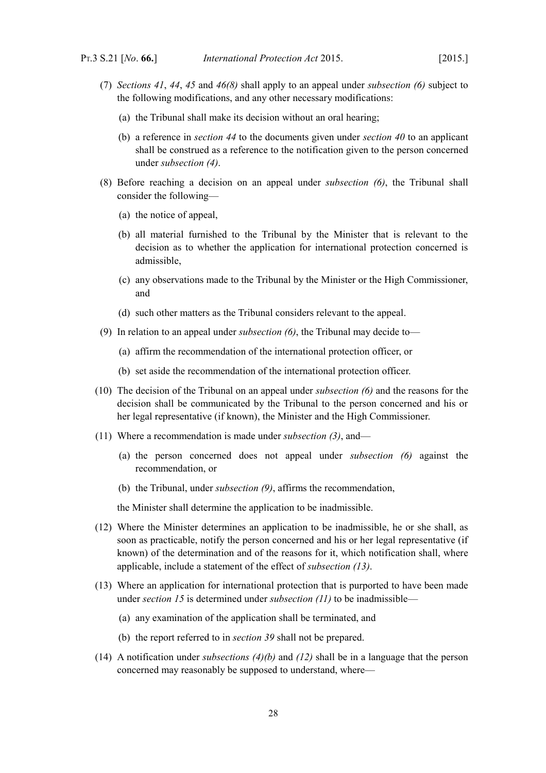- (7) *Sections [41](#page-48-6)*, *[44](#page-50-3)*, *[45](#page-50-4)* and *[46](#page-52-1)[\(8\)](#page-53-4)* shall apply to an appeal under *subsection [\(6\)](#page-28-5)* subject to the following modifications, and any other necessary modifications:
	- (a) the Tribunal shall make its decision without an oral hearing;
	- (b) a reference in *section [44](#page-50-3)* to the documents given under *section [40](#page-47-1)* to an applicant shall be construed as a reference to the notification given to the person concerned under *subsection [\(4\)](#page-28-3)*.
- (8) Before reaching a decision on an appeal under *subsection [\(6\)](#page-28-5)*, the Tribunal shall consider the following—
	- (a) the notice of appeal,
	- (b) all material furnished to the Tribunal by the Minister that is relevant to the decision as to whether the application for international protection concerned is admissible,
	- (c) any observations made to the Tribunal by the Minister or the High Commissioner, and
	- (d) such other matters as the Tribunal considers relevant to the appeal.
- <span id="page-29-3"></span>(9) In relation to an appeal under *subsection [\(6\)](#page-28-5)*, the Tribunal may decide to—
	- (a) affirm the recommendation of the international protection officer, or
	- (b) set aside the recommendation of the international protection officer.
- (10) The decision of the Tribunal on an appeal under *subsection [\(6\)](#page-28-5)* and the reasons for the decision shall be communicated by the Tribunal to the person concerned and his or her legal representative (if known), the Minister and the High Commissioner.
- <span id="page-29-2"></span>(11) Where a recommendation is made under *subsection [\(3\)](#page-28-4)*, and—
	- (a) the person concerned does not appeal under *subsection [\(6\)](#page-28-5)* against the recommendation, or
	- (b) the Tribunal, under *subsection [\(9\)](#page-29-3)*, affirms the recommendation,

the Minister shall determine the application to be inadmissible.

- <span id="page-29-1"></span>(12) Where the Minister determines an application to be inadmissible, he or she shall, as soon as practicable, notify the person concerned and his or her legal representative (if known) of the determination and of the reasons for it, which notification shall, where applicable, include a statement of the effect of *subsection [\(13\)](#page-29-0)*.
- <span id="page-29-0"></span>(13) Where an application for international protection that is purported to have been made under *section [15](#page-20-1)* is determined under *subsection [\(11\)](#page-29-2)* to be inadmissible—
	- (a) any examination of the application shall be terminated, and
	- (b) the report referred to in *section [39](#page-45-1)* shall not be prepared.
- (14) A notification under *subsections*  $(4)(b)$  $(4)(b)$  and  $(12)$  shall be in a language that the person concerned may reasonably be supposed to understand, where—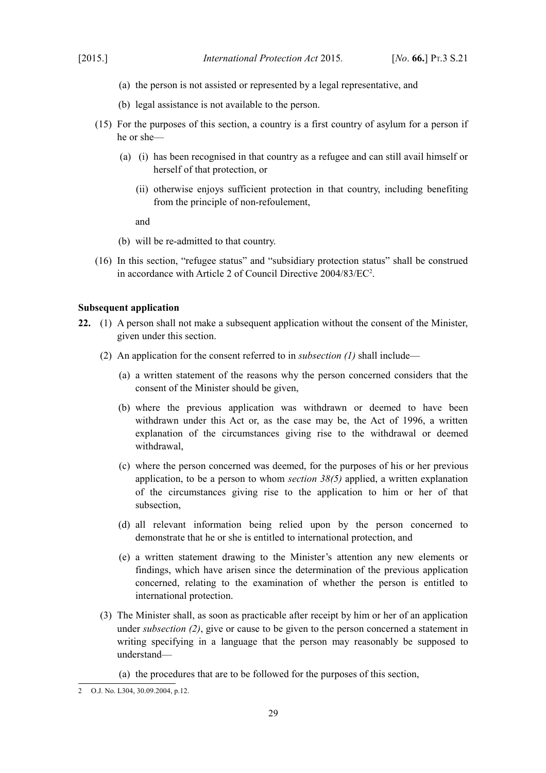- (a) the person is not assisted or represented by a legal representative, and
- (b) legal assistance is not available to the person.
- <span id="page-30-2"></span>(15) For the purposes of this section, a country is a first country of asylum for a person if he or she—
	- (a) (i) has been recognised in that country as a refugee and can still avail himself or herself of that protection, or
		- (ii) otherwise enjoys sufficient protection in that country, including benefiting from the principle of non-refoulement,

and

- (b) will be re-admitted to that country.
- (16) In this section, "refugee status" and "subsidiary protection status" shall be construed in accordance with Article [2](#page-30-5) of Council Directive 2004/83/EC<sup>2</sup>.

## <span id="page-30-0"></span>**Subsequent application**

- <span id="page-30-6"></span><span id="page-30-4"></span><span id="page-30-3"></span><span id="page-30-1"></span>**22.** (1) A person shall not make a subsequent application without the consent of the Minister, given under this section.
	- (2) An application for the consent referred to in *subsection [\(1\)](#page-30-4)* shall include—
		- (a) a written statement of the reasons why the person concerned considers that the consent of the Minister should be given,
		- (b) where the previous application was withdrawn or deemed to have been withdrawn under this Act or, as the case may be, the Act of 1996, a written explanation of the circumstances giving rise to the withdrawal or deemed withdrawal,
		- (c) where the person concerned was deemed, for the purposes of his or her previous application, to be a person to whom *section [38](#page-44-2)[\(5\)](#page-45-2)* applied, a written explanation of the circumstances giving rise to the application to him or her of that subsection,
		- (d) all relevant information being relied upon by the person concerned to demonstrate that he or she is entitled to international protection, and
		- (e) a written statement drawing to the Minister's attention any new elements or findings, which have arisen since the determination of the previous application concerned, relating to the examination of whether the person is entitled to international protection.
	- (3) The Minister shall, as soon as practicable after receipt by him or her of an application under *subsection [\(2\)](#page-30-3)*, give or cause to be given to the person concerned a statement in writing specifying in a language that the person may reasonably be supposed to understand—
		- (a) the procedures that are to be followed for the purposes of this section,

<span id="page-30-5"></span><sup>2</sup> O.J. No. L304, 30.09.2004, p.12.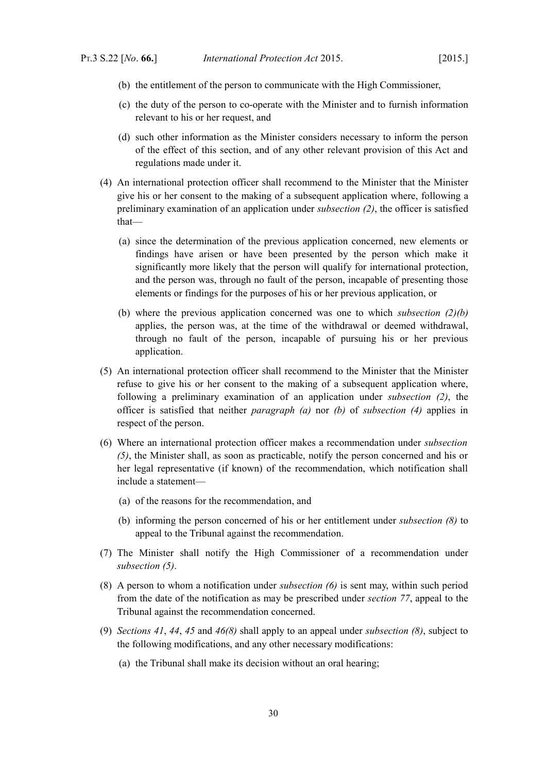- (b) the entitlement of the person to communicate with the High Commissioner,
- (c) the duty of the person to co-operate with the Minister and to furnish information relevant to his or her request, and
- (d) such other information as the Minister considers necessary to inform the person of the effect of this section, and of any other relevant provision of this Act and regulations made under it.
- <span id="page-31-5"></span><span id="page-31-3"></span>(4) An international protection officer shall recommend to the Minister that the Minister give his or her consent to the making of a subsequent application where, following a preliminary examination of an application under *subsection [\(2\)](#page-30-3)*, the officer is satisfied that—
	- (a) since the determination of the previous application concerned, new elements or findings have arisen or have been presented by the person which make it significantly more likely that the person will qualify for international protection, and the person was, through no fault of the person, incapable of presenting those elements or findings for the purposes of his or her previous application, or
	- (b) where the previous application concerned was one to which *subsection [\(2\)](#page-30-3)[\(b\)](#page-30-6)* applies, the person was, at the time of the withdrawal or deemed withdrawal, through no fault of the person, incapable of pursuing his or her previous application.
- <span id="page-31-4"></span><span id="page-31-2"></span>(5) An international protection officer shall recommend to the Minister that the Minister refuse to give his or her consent to the making of a subsequent application where, following a preliminary examination of an application under *subsection [\(2\)](#page-30-3)*, the officer is satisfied that neither *paragraph [\(a\)](#page-31-5)* nor *[\(b\)](#page-31-4)* of *subsection [\(4\)](#page-31-3)* applies in respect of the person.
- <span id="page-31-1"></span>(6) Where an international protection officer makes a recommendation under *subsection [\(5\)](#page-31-2)*, the Minister shall, as soon as practicable, notify the person concerned and his or her legal representative (if known) of the recommendation, which notification shall include a statement—
	- (a) of the reasons for the recommendation, and
	- (b) informing the person concerned of his or her entitlement under *subsection [\(8\)](#page-31-0)* to appeal to the Tribunal against the recommendation.
- (7) The Minister shall notify the High Commissioner of a recommendation under *subsection [\(5\)](#page-31-2)*.
- <span id="page-31-0"></span>(8) A person to whom a notification under *subsection [\(6\)](#page-31-1)* is sent may, within such period from the date of the notification as may be prescribed under *section [77](#page-84-4)*, appeal to the Tribunal against the recommendation concerned.
- (9) *Sections [41](#page-48-6)*, *[44](#page-50-3)*, *[45](#page-50-4)* and *[46](#page-52-1)[\(8\)](#page-53-4)* shall apply to an appeal under *subsection [\(8\)](#page-31-0)*, subject to the following modifications, and any other necessary modifications:
	- (a) the Tribunal shall make its decision without an oral hearing;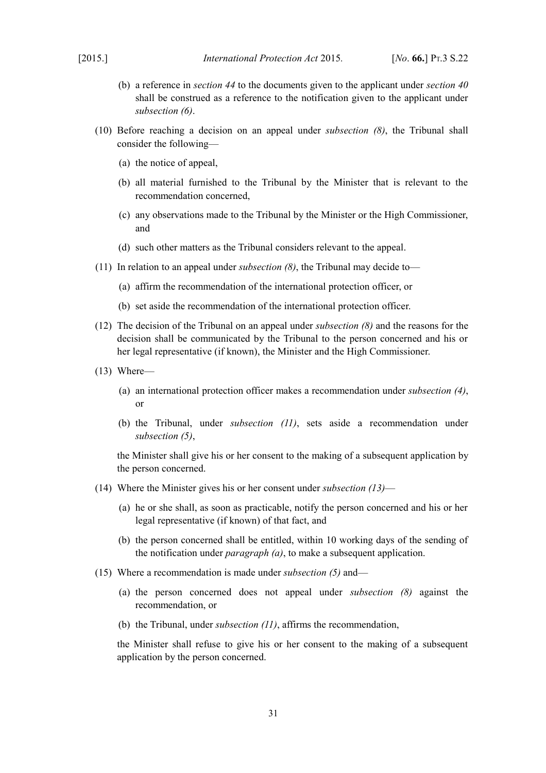- (b) a reference in *section [44](#page-50-3)* to the documents given to the applicant under *section [40](#page-47-1)* shall be construed as a reference to the notification given to the applicant under *subsection [\(6\)](#page-31-1)*.
- (10) Before reaching a decision on an appeal under *subsection [\(8\)](#page-31-0)*, the Tribunal shall consider the following—
	- (a) the notice of appeal,
	- (b) all material furnished to the Tribunal by the Minister that is relevant to the recommendation concerned,
	- (c) any observations made to the Tribunal by the Minister or the High Commissioner, and
	- (d) such other matters as the Tribunal considers relevant to the appeal.
- <span id="page-32-0"></span>(11) In relation to an appeal under *subsection [\(8\)](#page-31-0)*, the Tribunal may decide to—
	- (a) affirm the recommendation of the international protection officer, or
	- (b) set aside the recommendation of the international protection officer.
- (12) The decision of the Tribunal on an appeal under *subsection [\(8\)](#page-31-0)* and the reasons for the decision shall be communicated by the Tribunal to the person concerned and his or her legal representative (if known), the Minister and the High Commissioner.
- <span id="page-32-2"></span>(13) Where—
	- (a) an international protection officer makes a recommendation under *subsection [\(4\)](#page-31-3)*, or
	- (b) the Tribunal, under *subsection [\(11\)](#page-32-0)*, sets aside a recommendation under *subsection [\(5\)](#page-31-2)*,

the Minister shall give his or her consent to the making of a subsequent application by the person concerned.

- <span id="page-32-3"></span><span id="page-32-1"></span>(14) Where the Minister gives his or her consent under *subsection [\(13\)](#page-32-2)*—
	- (a) he or she shall, as soon as practicable, notify the person concerned and his or her legal representative (if known) of that fact, and
	- (b) the person concerned shall be entitled, within 10 working days of the sending of the notification under *paragraph [\(a\)](#page-32-1)*, to make a subsequent application.
- (15) Where a recommendation is made under *subsection [\(5\)](#page-31-2)* and—
	- (a) the person concerned does not appeal under *subsection [\(8\)](#page-31-0)* against the recommendation, or
	- (b) the Tribunal, under *subsection [\(11\)](#page-32-0)*, affirms the recommendation,

the Minister shall refuse to give his or her consent to the making of a subsequent application by the person concerned.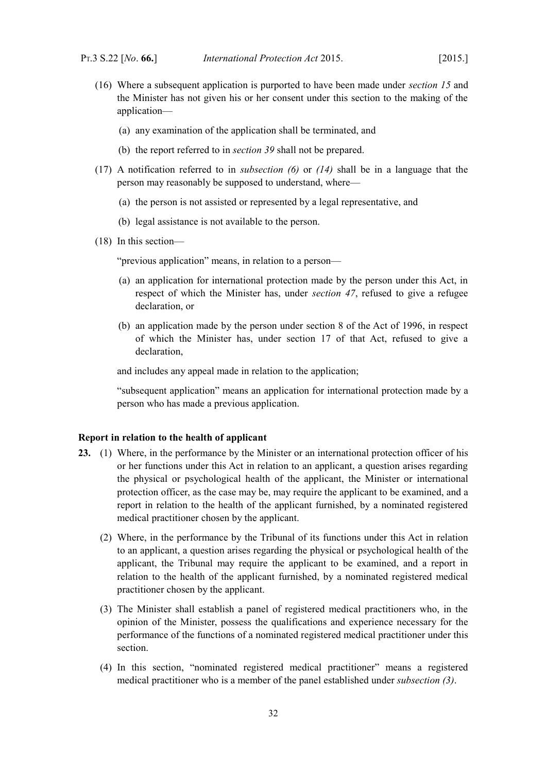- (16) Where a subsequent application is purported to have been made under *section [15](#page-20-1)* and the Minister has not given his or her consent under this section to the making of the application—
	- (a) any examination of the application shall be terminated, and
	- (b) the report referred to in *section [39](#page-45-1)* shall not be prepared.
- (17) A notification referred to in *subsection [\(6\)](#page-31-1)* or *[\(14\)](#page-32-3)* shall be in a language that the person may reasonably be supposed to understand, where—
	- (a) the person is not assisted or represented by a legal representative, and
	- (b) legal assistance is not available to the person.
- (18) In this section—

"previous application" means, in relation to a person—

- (a) an application for international protection made by the person under this Act, in respect of which the Minister has, under *section [47](#page-53-3)*, refused to give a refugee declaration, or
- (b) an application made by the person under section 8 of the Act of 1996, in respect of which the Minister has, under section 17 of that Act, refused to give a declaration,

and includes any appeal made in relation to the application;

"subsequent application" means an application for international protection made by a person who has made a previous application.

## <span id="page-33-0"></span>**Report in relation to the health of applicant**

- <span id="page-33-1"></span>**23.** (1) Where, in the performance by the Minister or an international protection officer of his or her functions under this Act in relation to an applicant, a question arises regarding the physical or psychological health of the applicant, the Minister or international protection officer, as the case may be, may require the applicant to be examined, and a report in relation to the health of the applicant furnished, by a nominated registered medical practitioner chosen by the applicant.
	- (2) Where, in the performance by the Tribunal of its functions under this Act in relation to an applicant, a question arises regarding the physical or psychological health of the applicant, the Tribunal may require the applicant to be examined, and a report in relation to the health of the applicant furnished, by a nominated registered medical practitioner chosen by the applicant.
	- (3) The Minister shall establish a panel of registered medical practitioners who, in the opinion of the Minister, possess the qualifications and experience necessary for the performance of the functions of a nominated registered medical practitioner under this section.
	- (4) In this section, "nominated registered medical practitioner" means a registered medical practitioner who is a member of the panel established under *subsection [\(3\)](#page-33-1)*.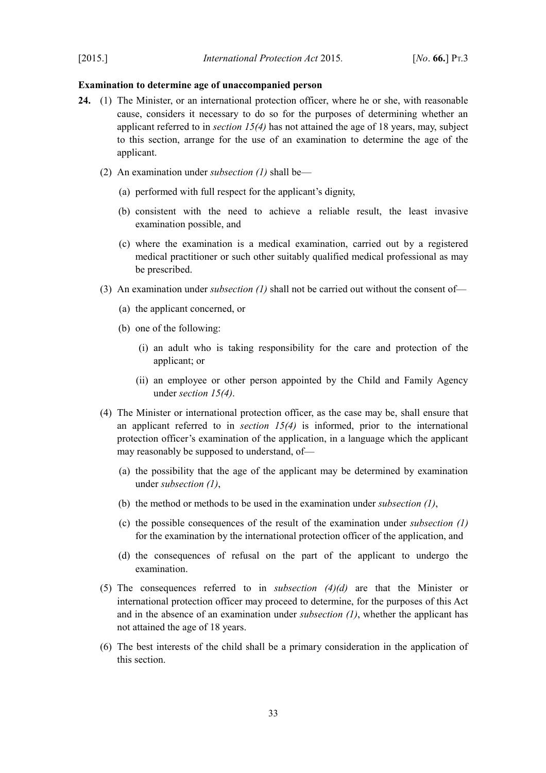## <span id="page-34-0"></span>**Examination to determine age of unaccompanied person**

- <span id="page-34-3"></span><span id="page-34-2"></span><span id="page-34-1"></span>**24.** (1) The Minister, or an international protection officer, where he or she, with reasonable cause, considers it necessary to do so for the purposes of determining whether an applicant referred to in *section [15](#page-20-1)[\(4\)](#page-20-4)* has not attained the age of 18 years, may, subject to this section, arrange for the use of an examination to determine the age of the applicant.
	- (2) An examination under *subsection [\(1\)](#page-34-1)* shall be—
		- (a) performed with full respect for the applicant's dignity,
		- (b) consistent with the need to achieve a reliable result, the least invasive examination possible, and
		- (c) where the examination is a medical examination, carried out by a registered medical practitioner or such other suitably qualified medical professional as may be prescribed.
	- (3) An examination under *subsection [\(1\)](#page-34-1)* shall not be carried out without the consent of—
		- (a) the applicant concerned, or
		- (b) one of the following:
			- (i) an adult who is taking responsibility for the care and protection of the applicant; or
			- (ii) an employee or other person appointed by the Child and Family Agency under *section [15](#page-20-1)[\(4\)](#page-20-4)*.
	- (4) The Minister or international protection officer, as the case may be, shall ensure that an applicant referred to in *section [15](#page-20-1)[\(4\)](#page-20-4)* is informed, prior to the international protection officer's examination of the application, in a language which the applicant may reasonably be supposed to understand, of—
		- (a) the possibility that the age of the applicant may be determined by examination under *subsection [\(1\)](#page-34-1)*,
		- (b) the method or methods to be used in the examination under *subsection [\(1\)](#page-34-1)*,
		- (c) the possible consequences of the result of the examination under *subsection [\(1\)](#page-34-1)* for the examination by the international protection officer of the application, and
		- (d) the consequences of refusal on the part of the applicant to undergo the examination.
	- (5) The consequences referred to in *subsection [\(4\)](#page-34-3)[\(d\)](#page-34-2)* are that the Minister or international protection officer may proceed to determine, for the purposes of this Act and in the absence of an examination under *subsection [\(1\)](#page-34-1)*, whether the applicant has not attained the age of 18 years.
	- (6) The best interests of the child shall be a primary consideration in the application of this section.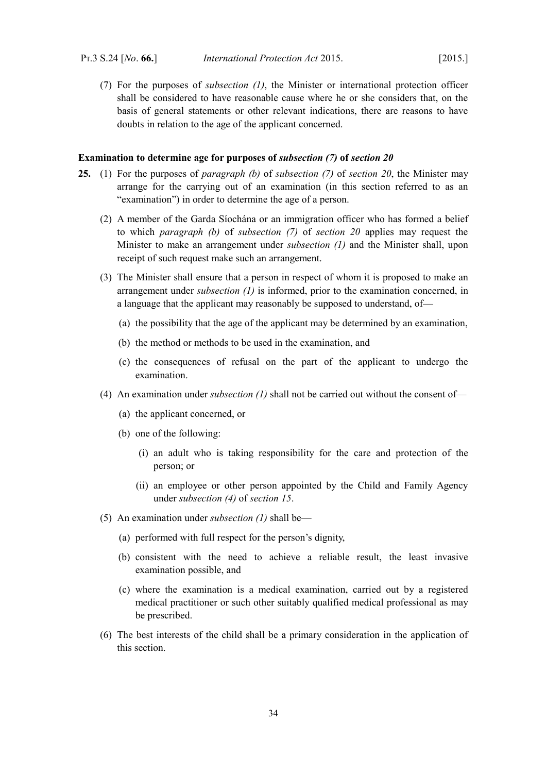(7) For the purposes of *subsection [\(1\)](#page-34-1)*, the Minister or international protection officer shall be considered to have reasonable cause where he or she considers that, on the basis of general statements or other relevant indications, there are reasons to have doubts in relation to the age of the applicant concerned.

#### <span id="page-35-0"></span>**Examination to determine age for purposes of** *subsection [\(7\)](#page-25-2)* **of** *section [20](#page-24-1)*

- <span id="page-35-2"></span><span id="page-35-1"></span>**25.** (1) For the purposes of *paragraph [\(b\)](#page-25-3)* of *subsection [\(7\)](#page-25-2)* of *section [20](#page-24-1)*, the Minister may arrange for the carrying out of an examination (in this section referred to as an "examination") in order to determine the age of a person.
	- (2) A member of the Garda Síochána or an immigration officer who has formed a belief to which *paragraph [\(b\)](#page-25-3)* of *subsection [\(7\)](#page-25-2)* of *section [20](#page-24-1)* applies may request the Minister to make an arrangement under *subsection [\(1\)](#page-35-2)* and the Minister shall, upon receipt of such request make such an arrangement.
	- (3) The Minister shall ensure that a person in respect of whom it is proposed to make an arrangement under *subsection [\(1\)](#page-35-2)* is informed, prior to the examination concerned, in a language that the applicant may reasonably be supposed to understand, of—
		- (a) the possibility that the age of the applicant may be determined by an examination,
		- (b) the method or methods to be used in the examination, and
		- (c) the consequences of refusal on the part of the applicant to undergo the examination.
	- (4) An examination under *subsection [\(1\)](#page-35-2)* shall not be carried out without the consent of—
		- (a) the applicant concerned, or
		- (b) one of the following:
			- (i) an adult who is taking responsibility for the care and protection of the person; or
			- (ii) an employee or other person appointed by the Child and Family Agency under *subsection [\(4\)](#page-20-4)* of *section [15](#page-20-1)*.
	- (5) An examination under *subsection [\(1\)](#page-35-2)* shall be—
		- (a) performed with full respect for the person's dignity,
		- (b) consistent with the need to achieve a reliable result, the least invasive examination possible, and
		- (c) where the examination is a medical examination, carried out by a registered medical practitioner or such other suitably qualified medical professional as may be prescribed.
	- (6) The best interests of the child shall be a primary consideration in the application of this section.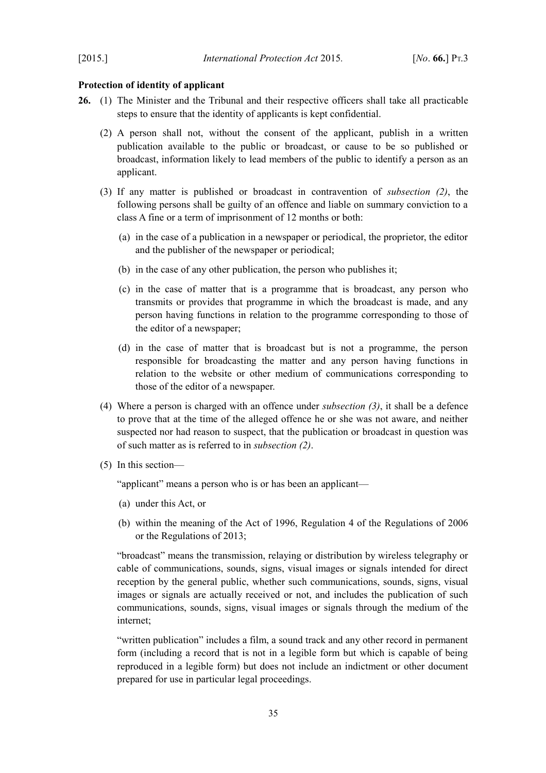## **Protection of identity of applicant**

- <span id="page-36-1"></span><span id="page-36-0"></span>**26.** (1) The Minister and the Tribunal and their respective officers shall take all practicable steps to ensure that the identity of applicants is kept confidential.
	- (2) A person shall not, without the consent of the applicant, publish in a written publication available to the public or broadcast, or cause to be so published or broadcast, information likely to lead members of the public to identify a person as an applicant.
	- (3) If any matter is published or broadcast in contravention of *subsection [\(2\)](#page-36-0)*, the following persons shall be guilty of an offence and liable on summary conviction to a class A fine or a term of imprisonment of 12 months or both:
		- (a) in the case of a publication in a newspaper or periodical, the proprietor, the editor and the publisher of the newspaper or periodical;
		- (b) in the case of any other publication, the person who publishes it;
		- (c) in the case of matter that is a programme that is broadcast, any person who transmits or provides that programme in which the broadcast is made, and any person having functions in relation to the programme corresponding to those of the editor of a newspaper;
		- (d) in the case of matter that is broadcast but is not a programme, the person responsible for broadcasting the matter and any person having functions in relation to the website or other medium of communications corresponding to those of the editor of a newspaper.
	- (4) Where a person is charged with an offence under *subsection [\(3\)](#page-36-1)*, it shall be a defence to prove that at the time of the alleged offence he or she was not aware, and neither suspected nor had reason to suspect, that the publication or broadcast in question was of such matter as is referred to in *subsection [\(2\)](#page-36-0)*.
	- (5) In this section—

"applicant" means a person who is or has been an applicant—

- (a) under this Act, or
- (b) within the meaning of the Act of 1996, Regulation 4 of the Regulations of 2006 or the Regulations of 2013;

"broadcast" means the transmission, relaying or distribution by wireless telegraphy or cable of communications, sounds, signs, visual images or signals intended for direct reception by the general public, whether such communications, sounds, signs, visual images or signals are actually received or not, and includes the publication of such communications, sounds, signs, visual images or signals through the medium of the internet;

"written publication" includes a film, a sound track and any other record in permanent form (including a record that is not in a legible form but which is capable of being reproduced in a legible form) but does not include an indictment or other document prepared for use in particular legal proceedings.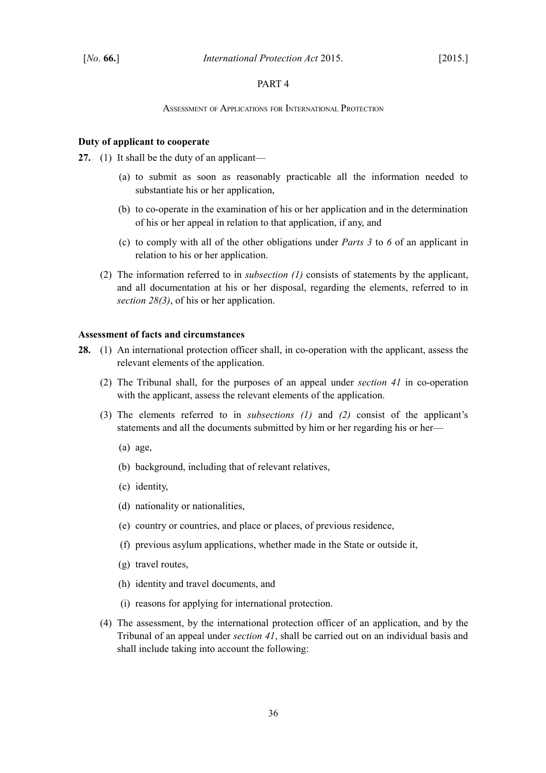## PART 4

### ASSESSMENT OF APPLICATIONS FOR INTERNATIONAL PROTECTION

## **Duty of applicant to cooperate**

<span id="page-37-5"></span><span id="page-37-4"></span>**27.** (1) It shall be the duty of an applicant—

- (a) to submit as soon as reasonably practicable all the information needed to substantiate his or her application,
- (b) to co-operate in the examination of his or her application and in the determination of his or her appeal in relation to that application, if any, and
- (c) to comply with all of the other obligations under *Parts [3](#page-18-0)* to *[6](#page-48-1)* of an applicant in relation to his or her application.
- (2) The information referred to in *subsection [\(1\)](#page-37-4)* consists of statements by the applicant, and all documentation at his or her disposal, regarding the elements, referred to in *section [28](#page-37-3)[\(3\)](#page-37-2)*, of his or her application.

#### **Assessment of facts and circumstances**

- <span id="page-37-3"></span><span id="page-37-2"></span><span id="page-37-1"></span><span id="page-37-0"></span>**28.** (1) An international protection officer shall, in co-operation with the applicant, assess the relevant elements of the application.
	- (2) The Tribunal shall, for the purposes of an appeal under *section [41](#page-48-0)* in co-operation with the applicant, assess the relevant elements of the application.
	- (3) The elements referred to in *subsections [\(1\)](#page-37-1)* and *[\(2\)](#page-37-0)* consist of the applicant's statements and all the documents submitted by him or her regarding his or her—
		- (a) age,
		- (b) background, including that of relevant relatives,
		- (c) identity,
		- (d) nationality or nationalities,
		- (e) country or countries, and place or places, of previous residence,
		- (f) previous asylum applications, whether made in the State or outside it,
		- (g) travel routes,
		- (h) identity and travel documents, and
		- (i) reasons for applying for international protection.
	- (4) The assessment, by the international protection officer of an application, and by the Tribunal of an appeal under *section [41](#page-48-0)*, shall be carried out on an individual basis and shall include taking into account the following: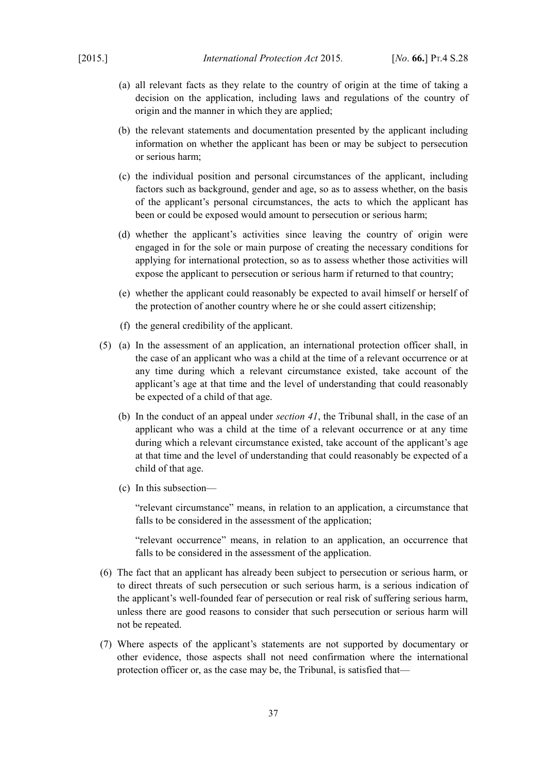- (a) all relevant facts as they relate to the country of origin at the time of taking a decision on the application, including laws and regulations of the country of origin and the manner in which they are applied;
- (b) the relevant statements and documentation presented by the applicant including information on whether the applicant has been or may be subject to persecution or serious harm;
- (c) the individual position and personal circumstances of the applicant, including factors such as background, gender and age, so as to assess whether, on the basis of the applicant's personal circumstances, the acts to which the applicant has been or could be exposed would amount to persecution or serious harm;
- (d) whether the applicant's activities since leaving the country of origin were engaged in for the sole or main purpose of creating the necessary conditions for applying for international protection, so as to assess whether those activities will expose the applicant to persecution or serious harm if returned to that country;
- (e) whether the applicant could reasonably be expected to avail himself or herself of the protection of another country where he or she could assert citizenship;
- (f) the general credibility of the applicant.
- (5) (a) In the assessment of an application, an international protection officer shall, in the case of an applicant who was a child at the time of a relevant occurrence or at any time during which a relevant circumstance existed, take account of the applicant's age at that time and the level of understanding that could reasonably be expected of a child of that age.
	- (b) In the conduct of an appeal under *section [41](#page-48-0)*, the Tribunal shall, in the case of an applicant who was a child at the time of a relevant occurrence or at any time during which a relevant circumstance existed, take account of the applicant's age at that time and the level of understanding that could reasonably be expected of a child of that age.
	- (c) In this subsection—

"relevant circumstance" means, in relation to an application, a circumstance that falls to be considered in the assessment of the application;

"relevant occurrence" means, in relation to an application, an occurrence that falls to be considered in the assessment of the application.

- (6) The fact that an applicant has already been subject to persecution or serious harm, or to direct threats of such persecution or such serious harm, is a serious indication of the applicant's well-founded fear of persecution or real risk of suffering serious harm, unless there are good reasons to consider that such persecution or serious harm will not be repeated.
- (7) Where aspects of the applicant's statements are not supported by documentary or other evidence, those aspects shall not need confirmation where the international protection officer or, as the case may be, the Tribunal, is satisfied that—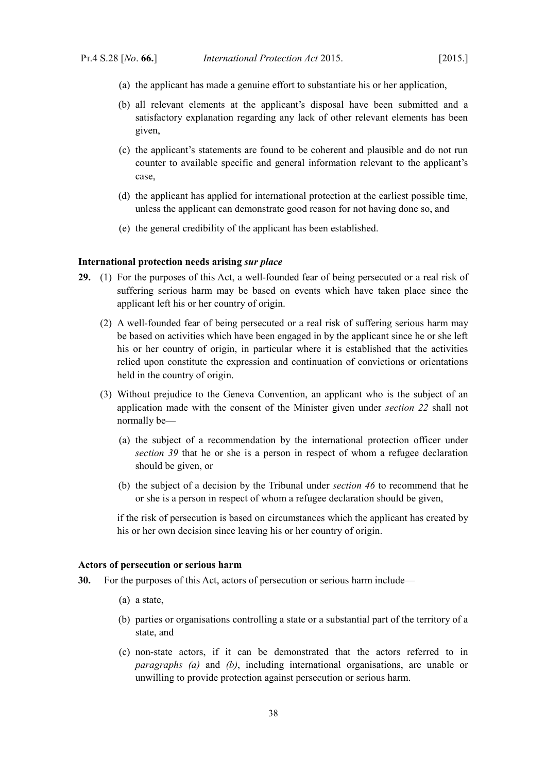- (a) the applicant has made a genuine effort to substantiate his or her application,
- (b) all relevant elements at the applicant's disposal have been submitted and a satisfactory explanation regarding any lack of other relevant elements has been given,
- (c) the applicant's statements are found to be coherent and plausible and do not run counter to available specific and general information relevant to the applicant's case,
- (d) the applicant has applied for international protection at the earliest possible time, unless the applicant can demonstrate good reason for not having done so, and
- (e) the general credibility of the applicant has been established.

### **International protection needs arising** *sur place*

- **29.** (1) For the purposes of this Act, a well-founded fear of being persecuted or a real risk of suffering serious harm may be based on events which have taken place since the applicant left his or her country of origin.
	- (2) A well-founded fear of being persecuted or a real risk of suffering serious harm may be based on activities which have been engaged in by the applicant since he or she left his or her country of origin, in particular where it is established that the activities relied upon constitute the expression and continuation of convictions or orientations held in the country of origin.
	- (3) Without prejudice to the Geneva Convention, an applicant who is the subject of an application made with the consent of the Minister given under *section [22](#page-30-0)* shall not normally be—
		- (a) the subject of a recommendation by the international protection officer under *section [39](#page-45-0)* that he or she is a person in respect of whom a refugee declaration should be given, or
		- (b) the subject of a decision by the Tribunal under *section [46](#page-52-0)* to recommend that he or she is a person in respect of whom a refugee declaration should be given,

if the risk of persecution is based on circumstances which the applicant has created by his or her own decision since leaving his or her country of origin.

### **Actors of persecution or serious harm**

- <span id="page-39-1"></span><span id="page-39-0"></span>**30.** For the purposes of this Act, actors of persecution or serious harm include—
	- (a) a state,
	- (b) parties or organisations controlling a state or a substantial part of the territory of a state, and
	- (c) non-state actors, if it can be demonstrated that the actors referred to in *paragraphs [\(a\)](#page-39-1)* and *[\(b\)](#page-39-0)*, including international organisations, are unable or unwilling to provide protection against persecution or serious harm.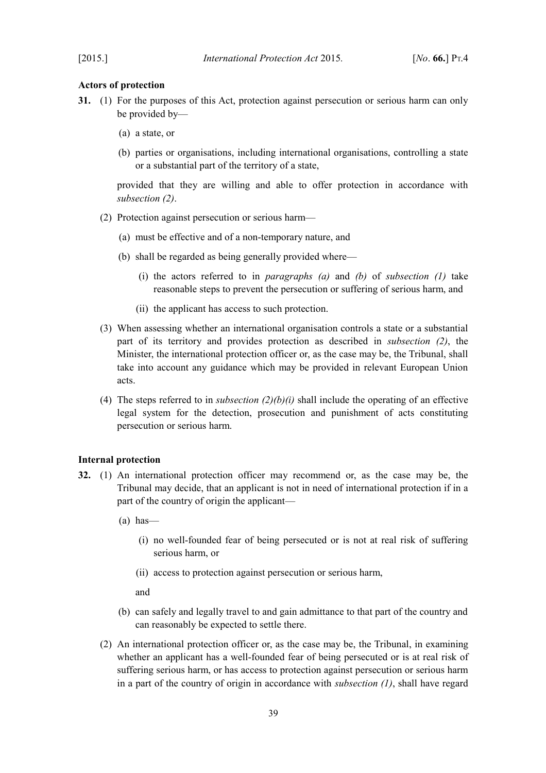# **Actors of protection**

- <span id="page-40-6"></span><span id="page-40-4"></span>**31.** (1) For the purposes of this Act, protection against persecution or serious harm can only be provided by—
	- (a) a state, or
	- (b) parties or organisations, including international organisations, controlling a state or a substantial part of the territory of a state,

<span id="page-40-5"></span>provided that they are willing and able to offer protection in accordance with *subsection [\(2\)](#page-40-3)*.

- <span id="page-40-3"></span><span id="page-40-2"></span><span id="page-40-1"></span>(2) Protection against persecution or serious harm—
	- (a) must be effective and of a non-temporary nature, and
	- (b) shall be regarded as being generally provided where—
		- (i) the actors referred to in *paragraphs [\(a\)](#page-40-6)* and *[\(b\)](#page-40-5)* of *subsection [\(1\)](#page-40-4)* take reasonable steps to prevent the persecution or suffering of serious harm, and
		- (ii) the applicant has access to such protection.
- (3) When assessing whether an international organisation controls a state or a substantial part of its territory and provides protection as described in *subsection [\(2\)](#page-40-3)*, the Minister, the international protection officer or, as the case may be, the Tribunal, shall take into account any guidance which may be provided in relevant European Union acts.
- (4) The steps referred to in *subsection*  $(2)(b)(i)$  $(2)(b)(i)$  $(2)(b)(i)$  shall include the operating of an effective legal system for the detection, prosecution and punishment of acts constituting persecution or serious harm.

## **Internal protection**

- <span id="page-40-7"></span><span id="page-40-0"></span>**32.** (1) An international protection officer may recommend or, as the case may be, the Tribunal may decide, that an applicant is not in need of international protection if in a part of the country of origin the applicant—
	- (a) has—
		- (i) no well-founded fear of being persecuted or is not at real risk of suffering serious harm, or
		- (ii) access to protection against persecution or serious harm,
		- and
	- (b) can safely and legally travel to and gain admittance to that part of the country and can reasonably be expected to settle there.
	- (2) An international protection officer or, as the case may be, the Tribunal, in examining whether an applicant has a well-founded fear of being persecuted or is at real risk of suffering serious harm, or has access to protection against persecution or serious harm in a part of the country of origin in accordance with *subsection [\(1\)](#page-40-0)*, shall have regard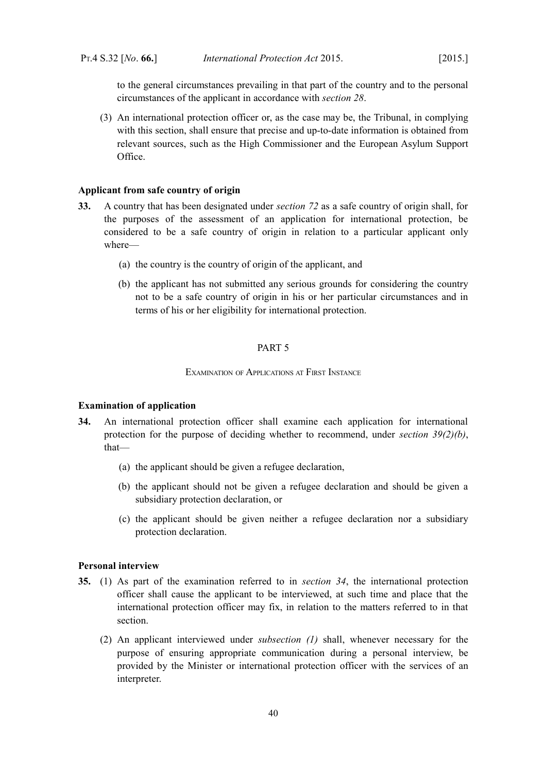to the general circumstances prevailing in that part of the country and to the personal circumstances of the applicant in accordance with *section [28](#page-37-3)*.

(3) An international protection officer or, as the case may be, the Tribunal, in complying with this section, shall ensure that precise and up-to-date information is obtained from relevant sources, such as the High Commissioner and the European Asylum Support Office.

### **Applicant from safe country of origin**

- **33.** A country that has been designated under *section [72](#page-81-0)* as a safe country of origin shall, for the purposes of the assessment of an application for international protection, be considered to be a safe country of origin in relation to a particular applicant only where—
	- (a) the country is the country of origin of the applicant, and
	- (b) the applicant has not submitted any serious grounds for considering the country not to be a safe country of origin in his or her particular circumstances and in terms of his or her eligibility for international protection.

## PART 5

#### EXAMINATION OF APPLICATIONS AT FIRST INSTANCE

#### **Examination of application**

- <span id="page-41-1"></span>**34.** An international protection officer shall examine each application for international protection for the purpose of deciding whether to recommend, under *section [39](#page-45-0)[\(2\)](#page-46-1)[\(b\)](#page-46-0)*, that—
	- (a) the applicant should be given a refugee declaration,
	- (b) the applicant should not be given a refugee declaration and should be given a subsidiary protection declaration, or
	- (c) the applicant should be given neither a refugee declaration nor a subsidiary protection declaration.

#### **Personal interview**

- <span id="page-41-3"></span><span id="page-41-2"></span><span id="page-41-0"></span>**35.** (1) As part of the examination referred to in *section [34](#page-41-1)*, the international protection officer shall cause the applicant to be interviewed, at such time and place that the international protection officer may fix, in relation to the matters referred to in that section.
	- (2) An applicant interviewed under *subsection [\(1\)](#page-41-0)* shall, whenever necessary for the purpose of ensuring appropriate communication during a personal interview, be provided by the Minister or international protection officer with the services of an interpreter.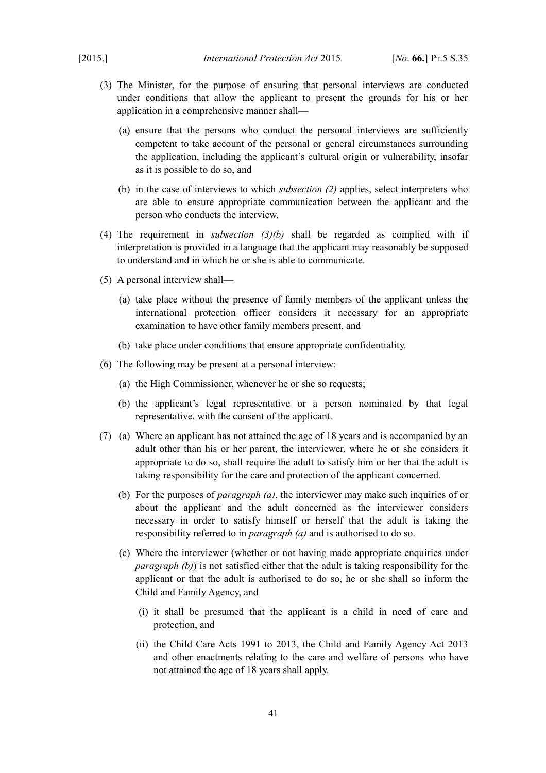- <span id="page-42-3"></span>(3) The Minister, for the purpose of ensuring that personal interviews are conducted under conditions that allow the applicant to present the grounds for his or her application in a comprehensive manner shall—
	- (a) ensure that the persons who conduct the personal interviews are sufficiently competent to take account of the personal or general circumstances surrounding the application, including the applicant's cultural origin or vulnerability, insofar as it is possible to do so, and
	- (b) in the case of interviews to which *subsection [\(2\)](#page-41-2)* applies, select interpreters who are able to ensure appropriate communication between the applicant and the person who conducts the interview.
- <span id="page-42-2"></span>(4) The requirement in *subsection [\(3\)](#page-42-3)[\(b\)](#page-42-2)* shall be regarded as complied with if interpretation is provided in a language that the applicant may reasonably be supposed to understand and in which he or she is able to communicate.
- (5) A personal interview shall—
	- (a) take place without the presence of family members of the applicant unless the international protection officer considers it necessary for an appropriate examination to have other family members present, and
	- (b) take place under conditions that ensure appropriate confidentiality.
- (6) The following may be present at a personal interview:
	- (a) the High Commissioner, whenever he or she so requests;
	- (b) the applicant's legal representative or a person nominated by that legal representative, with the consent of the applicant.
- <span id="page-42-1"></span><span id="page-42-0"></span>(7) (a) Where an applicant has not attained the age of 18 years and is accompanied by an adult other than his or her parent, the interviewer, where he or she considers it appropriate to do so, shall require the adult to satisfy him or her that the adult is taking responsibility for the care and protection of the applicant concerned.
	- (b) For the purposes of *paragraph [\(a\)](#page-42-1)*, the interviewer may make such inquiries of or about the applicant and the adult concerned as the interviewer considers necessary in order to satisfy himself or herself that the adult is taking the responsibility referred to in *paragraph [\(a\)](#page-42-1)* and is authorised to do so.
	- (c) Where the interviewer (whether or not having made appropriate enquiries under *paragraph [\(b\)](#page-42-0)*) is not satisfied either that the adult is taking responsibility for the applicant or that the adult is authorised to do so, he or she shall so inform the Child and Family Agency, and
		- (i) it shall be presumed that the applicant is a child in need of care and protection, and
		- (ii) the Child Care Acts 1991 to 2013, the [Child and Family Agency Act 2013](http://www.irishstatutebook.ie/2013/en/act/pub/0040/index.html) and other enactments relating to the care and welfare of persons who have not attained the age of 18 years shall apply.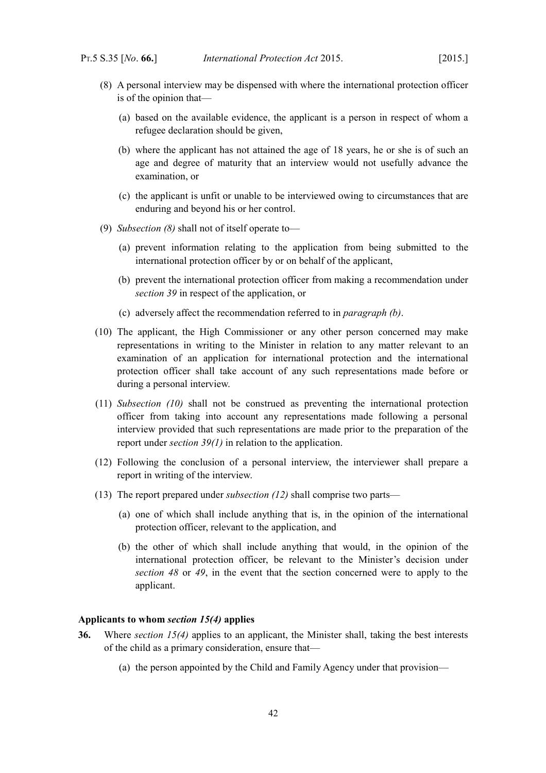- <span id="page-43-3"></span>(8) A personal interview may be dispensed with where the international protection officer is of the opinion that—
	- (a) based on the available evidence, the applicant is a person in respect of whom a refugee declaration should be given,
	- (b) where the applicant has not attained the age of 18 years, he or she is of such an age and degree of maturity that an interview would not usefully advance the examination, or
	- (c) the applicant is unfit or unable to be interviewed owing to circumstances that are enduring and beyond his or her control.
- <span id="page-43-2"></span>(9) *Subsection [\(8\)](#page-43-3)* shall not of itself operate to—
	- (a) prevent information relating to the application from being submitted to the international protection officer by or on behalf of the applicant,
	- (b) prevent the international protection officer from making a recommendation under *section [39](#page-45-0)* in respect of the application, or
	- (c) adversely affect the recommendation referred to in *paragraph [\(b\)](#page-43-2)*.
- <span id="page-43-1"></span>(10) The applicant, the High Commissioner or any other person concerned may make representations in writing to the Minister in relation to any matter relevant to an examination of an application for international protection and the international protection officer shall take account of any such representations made before or during a personal interview.
- (11) *Subsection [\(10\)](#page-43-1)* shall not be construed as preventing the international protection officer from taking into account any representations made following a personal interview provided that such representations are made prior to the preparation of the report under *section [39](#page-45-0)[\(1\)](#page-45-1)* in relation to the application.
- <span id="page-43-0"></span>(12) Following the conclusion of a personal interview, the interviewer shall prepare a report in writing of the interview.
- (13) The report prepared under *subsection [\(12\)](#page-43-0)* shall comprise two parts—
	- (a) one of which shall include anything that is, in the opinion of the international protection officer, relevant to the application, and
	- (b) the other of which shall include anything that would, in the opinion of the international protection officer, be relevant to the Minister's decision under *section [48](#page-55-0)* or *[49](#page-56-0)*, in the event that the section concerned were to apply to the applicant.

## **Applicants to whom** *section [15](#page-20-1)[\(4\)](#page-20-0)* **applies**

- <span id="page-43-4"></span>**36.** Where *section [15](#page-20-1)[\(4\)](#page-20-0)* applies to an applicant, the Minister shall, taking the best interests of the child as a primary consideration, ensure that—
	- (a) the person appointed by the Child and Family Agency under that provision—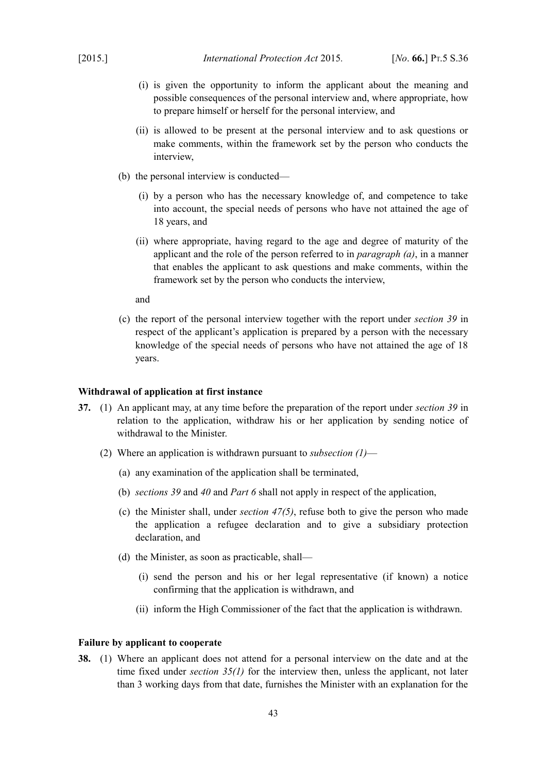- (i) is given the opportunity to inform the applicant about the meaning and possible consequences of the personal interview and, where appropriate, how to prepare himself or herself for the personal interview, and
- (ii) is allowed to be present at the personal interview and to ask questions or make comments, within the framework set by the person who conducts the interview,
- (b) the personal interview is conducted—
	- (i) by a person who has the necessary knowledge of, and competence to take into account, the special needs of persons who have not attained the age of 18 years, and
	- (ii) where appropriate, having regard to the age and degree of maturity of the applicant and the role of the person referred to in *paragraph [\(a\)](#page-43-4)*, in a manner that enables the applicant to ask questions and make comments, within the framework set by the person who conducts the interview,

and

(c) the report of the personal interview together with the report under *section [39](#page-45-0)* in respect of the applicant's application is prepared by a person with the necessary knowledge of the special needs of persons who have not attained the age of 18 years.

### **Withdrawal of application at first instance**

- <span id="page-44-3"></span><span id="page-44-2"></span><span id="page-44-1"></span><span id="page-44-0"></span>**37.** (1) An applicant may, at any time before the preparation of the report under *section [39](#page-45-0)* in relation to the application, withdraw his or her application by sending notice of withdrawal to the Minister.
	- (2) Where an application is withdrawn pursuant to *subsection [\(1\)](#page-44-0)*
		- (a) any examination of the application shall be terminated,
		- (b) *sections [39](#page-45-0)* and *[40](#page-47-0)* and *Part [6](#page-48-1)* shall not apply in respect of the application,
		- (c) the Minister shall, under *section [47](#page-53-0)[\(5\)](#page-54-0)*, refuse both to give the person who made the application a refugee declaration and to give a subsidiary protection declaration, and
		- (d) the Minister, as soon as practicable, shall—
			- (i) send the person and his or her legal representative (if known) a notice confirming that the application is withdrawn, and
			- (ii) inform the High Commissioner of the fact that the application is withdrawn.

## **Failure by applicant to cooperate**

**38.** (1) Where an applicant does not attend for a personal interview on the date and at the time fixed under *section [35](#page-41-3)[\(1\)](#page-41-0)* for the interview then, unless the applicant, not later than 3 working days from that date, furnishes the Minister with an explanation for the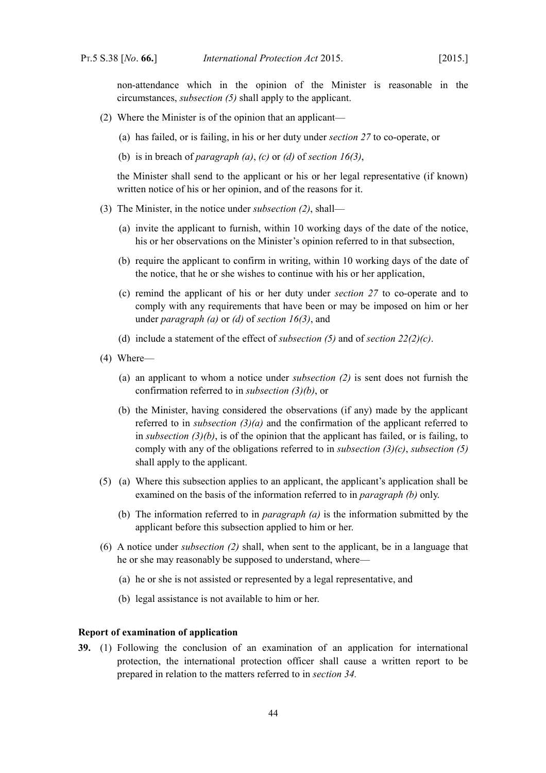non-attendance which in the opinion of the Minister is reasonable in the circumstances, *subsection [\(5\)](#page-45-5)* shall apply to the applicant.

- <span id="page-45-3"></span>(2) Where the Minister is of the opinion that an applicant—
	- (a) has failed, or is failing, in his or her duty under *section [27](#page-37-5)* to co-operate, or
	- (b) is in breach of *paragraph [\(a\)](#page-21-3)*, *[\(c\)](#page-21-4)* or *[\(d\)](#page-21-2)* of *section [16](#page-21-1)[\(3\)](#page-21-0)*,

the Minister shall send to the applicant or his or her legal representative (if known) written notice of his or her opinion, and of the reasons for it.

- <span id="page-45-9"></span><span id="page-45-8"></span><span id="page-45-7"></span>(3) The Minister, in the notice under *subsection [\(2\)](#page-45-3)*, shall—
	- (a) invite the applicant to furnish, within 10 working days of the date of the notice, his or her observations on the Minister's opinion referred to in that subsection,
	- (b) require the applicant to confirm in writing, within 10 working days of the date of the notice, that he or she wishes to continue with his or her application,
	- (c) remind the applicant of his or her duty under *section [27](#page-37-5)* to co-operate and to comply with any requirements that have been or may be imposed on him or her under *paragraph [\(a\)](#page-21-3)* or *[\(d\)](#page-21-2)* of *section [16](#page-21-1)[\(3\)](#page-21-0)*, and
	- (d) include a statement of the effect of *subsection [\(5\)](#page-45-5)* and of *section [22](#page-30-0)[\(2\)](#page-30-2)[\(c\)](#page-30-1)*.
- <span id="page-45-6"></span>(4) Where—
	- (a) an applicant to whom a notice under *subsection [\(2\)](#page-45-3)* is sent does not furnish the confirmation referred to in *subsection [\(3\)](#page-45-7)[\(b\)](#page-45-8)*, or
	- (b) the Minister, having considered the observations (if any) made by the applicant referred to in *subsection [\(3\)](#page-45-7)[\(a\)](#page-45-9)* and the confirmation of the applicant referred to in *subsection [\(3\)](#page-45-7)[\(b\)](#page-45-8)*, is of the opinion that the applicant has failed, or is failing, to comply with any of the obligations referred to in *subsection [\(3\)](#page-45-7)[\(c\)](#page-45-6)*, *subsection [\(5\)](#page-45-5)* shall apply to the applicant.
- <span id="page-45-5"></span><span id="page-45-4"></span><span id="page-45-2"></span>(5) (a) Where this subsection applies to an applicant, the applicant's application shall be examined on the basis of the information referred to in *paragraph [\(b\)](#page-45-2)* only.
	- (b) The information referred to in *paragraph [\(a\)](#page-45-4)* is the information submitted by the applicant before this subsection applied to him or her.
- (6) A notice under *subsection [\(2\)](#page-45-3)* shall, when sent to the applicant, be in a language that he or she may reasonably be supposed to understand, where—
	- (a) he or she is not assisted or represented by a legal representative, and
	- (b) legal assistance is not available to him or her.

### **Report of examination of application**

<span id="page-45-1"></span><span id="page-45-0"></span>**39.** (1) Following the conclusion of an examination of an application for international protection, the international protection officer shall cause a written report to be prepared in relation to the matters referred to in *section [34.](#page-41-1)*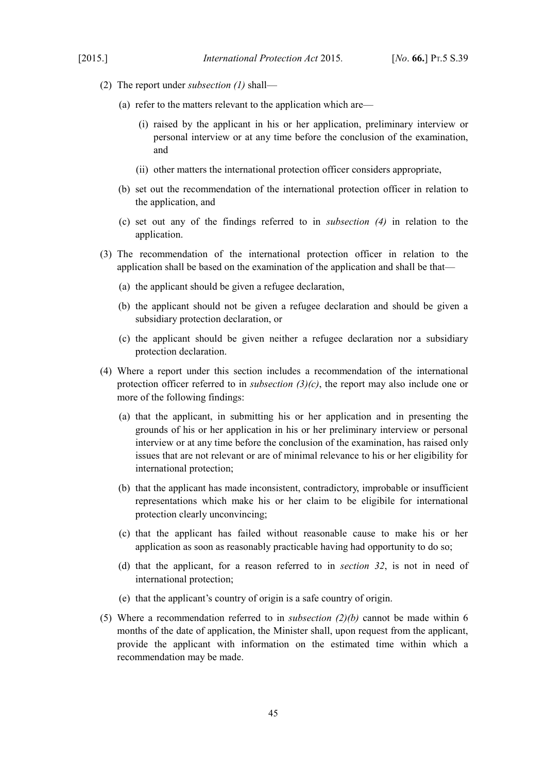- <span id="page-46-1"></span>(2) The report under *subsection [\(1\)](#page-45-1)* shall—
	- (a) refer to the matters relevant to the application which are—
		- (i) raised by the applicant in his or her application, preliminary interview or personal interview or at any time before the conclusion of the examination, and
		- (ii) other matters the international protection officer considers appropriate,
	- (b) set out the recommendation of the international protection officer in relation to the application, and
	- (c) set out any of the findings referred to in *subsection [\(4\)](#page-46-4)* in relation to the application.
- <span id="page-46-6"></span><span id="page-46-5"></span><span id="page-46-3"></span><span id="page-46-0"></span>(3) The recommendation of the international protection officer in relation to the application shall be based on the examination of the application and shall be that—
	- (a) the applicant should be given a refugee declaration,
	- (b) the applicant should not be given a refugee declaration and should be given a subsidiary protection declaration, or
	- (c) the applicant should be given neither a refugee declaration nor a subsidiary protection declaration.
- <span id="page-46-4"></span><span id="page-46-2"></span>(4) Where a report under this section includes a recommendation of the international protection officer referred to in *subsection [\(3\)](#page-46-3)[\(c\)](#page-46-2)*, the report may also include one or more of the following findings:
	- (a) that the applicant, in submitting his or her application and in presenting the grounds of his or her application in his or her preliminary interview or personal interview or at any time before the conclusion of the examination, has raised only issues that are not relevant or are of minimal relevance to his or her eligibility for international protection;
	- (b) that the applicant has made inconsistent, contradictory, improbable or insufficient representations which make his or her claim to be eligibile for international protection clearly unconvincing;
	- (c) that the applicant has failed without reasonable cause to make his or her application as soon as reasonably practicable having had opportunity to do so;
	- (d) that the applicant, for a reason referred to in *section [32](#page-40-7)*, is not in need of international protection;
	- (e) that the applicant's country of origin is a safe country of origin.
- <span id="page-46-7"></span>(5) Where a recommendation referred to in *subsection [\(2\)](#page-44-2)[\(b\)](#page-44-1)* cannot be made within 6 months of the date of application, the Minister shall, upon request from the applicant, provide the applicant with information on the estimated time within which a recommendation may be made.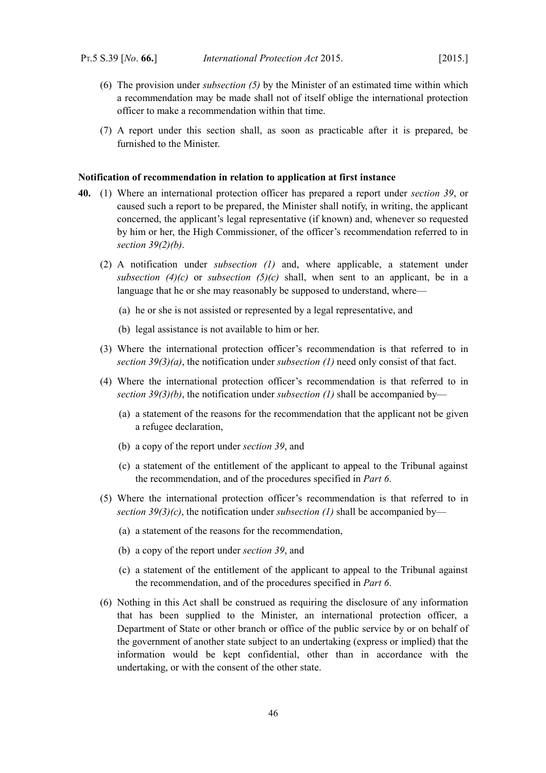- (6) The provision under *subsection [\(5\)](#page-46-7)* by the Minister of an estimated time within which a recommendation may be made shall not of itself oblige the international protection officer to make a recommendation within that time.
- (7) A report under this section shall, as soon as practicable after it is prepared, be furnished to the Minister.

### **Notification of recommendation in relation to application at first instance**

- <span id="page-47-5"></span><span id="page-47-4"></span><span id="page-47-3"></span><span id="page-47-2"></span><span id="page-47-1"></span><span id="page-47-0"></span>**40.** (1) Where an international protection officer has prepared a report under *section [39](#page-45-0)*, or caused such a report to be prepared, the Minister shall notify, in writing, the applicant concerned, the applicant's legal representative (if known) and, whenever so requested by him or her, the High Commissioner, of the officer's recommendation referred to in *section [39](#page-45-0)[\(2\)](#page-46-1)[\(b\)](#page-46-0)*.
	- (2) A notification under *subsection [\(1\)](#page-47-1)* and, where applicable, a statement under *subsection*  $(4)(c)$  $(4)(c)$  or *subsection*  $(5)(c)$  shall, when sent to an applicant, be in a language that he or she may reasonably be supposed to understand, where—
		- (a) he or she is not assisted or represented by a legal representative, and
		- (b) legal assistance is not available to him or her.
	- (3) Where the international protection officer's recommendation is that referred to in *section [39](#page-45-0)[\(3\)](#page-46-3)[\(a\)](#page-46-6)*, the notification under *subsection [\(1\)](#page-47-1)* need only consist of that fact.
	- (4) Where the international protection officer's recommendation is that referred to in *section [39](#page-45-0)[\(3\)](#page-46-3)[\(b\)](#page-46-5)*, the notification under *subsection [\(1\)](#page-47-1)* shall be accompanied by—
		- (a) a statement of the reasons for the recommendation that the applicant not be given a refugee declaration,
		- (b) a copy of the report under *section [39](#page-45-0)*, and
		- (c) a statement of the entitlement of the applicant to appeal to the Tribunal against the recommendation, and of the procedures specified in *Part [6](#page-48-1)*.
	- (5) Where the international protection officer's recommendation is that referred to in *section [39](#page-45-0)[\(3\)](#page-46-3)[\(c\)](#page-46-2)*, the notification under *subsection [\(1\)](#page-47-1)* shall be accompanied by—
		- (a) a statement of the reasons for the recommendation,
		- (b) a copy of the report under *section [39](#page-45-0)*, and
		- (c) a statement of the entitlement of the applicant to appeal to the Tribunal against the recommendation, and of the procedures specified in *Part [6](#page-48-1)*.
	- (6) Nothing in this Act shall be construed as requiring the disclosure of any information that has been supplied to the Minister, an international protection officer, a Department of State or other branch or office of the public service by or on behalf of the government of another state subject to an undertaking (express or implied) that the information would be kept confidential, other than in accordance with the undertaking, or with the consent of the other state.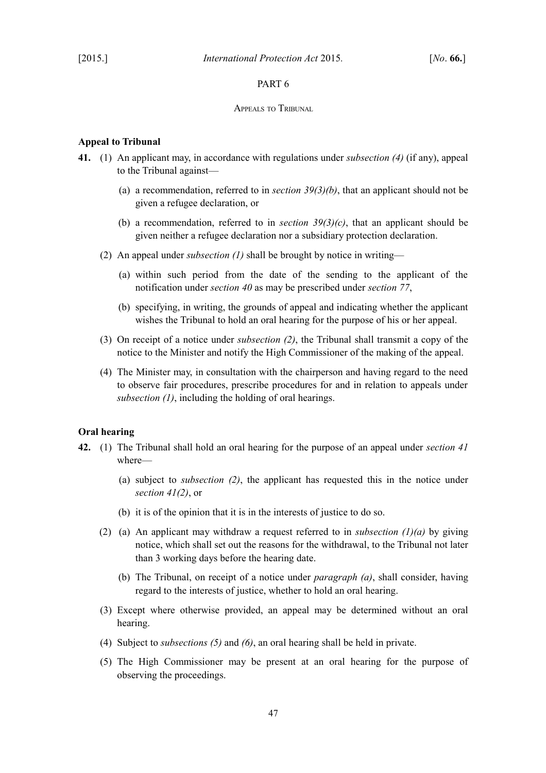### <span id="page-48-1"></span>PART 6

### APPEALS TO TRIBUNAL

### **Appeal to Tribunal**

- <span id="page-48-13"></span><span id="page-48-12"></span><span id="page-48-11"></span><span id="page-48-8"></span><span id="page-48-6"></span><span id="page-48-0"></span>**41.** (1) An applicant may, in accordance with regulations under *subsection [\(4\)](#page-48-9)* (if any), appeal to the Tribunal against—
	- (a) a recommendation, referred to in *section [39](#page-45-0)[\(3\)](#page-46-3)[\(b\)](#page-46-5)*, that an applicant should not be given a refugee declaration, or
	- (b) a recommendation, referred to in *section [39](#page-45-0)[\(3\)](#page-46-3)[\(c\)](#page-46-2)*, that an applicant should be given neither a refugee declaration nor a subsidiary protection declaration.
	- (2) An appeal under *subsection [\(1\)](#page-48-8)* shall be brought by notice in writing—
		- (a) within such period from the date of the sending to the applicant of the notification under *section [40](#page-47-0)* as may be prescribed under *section [77](#page-84-0)*,
		- (b) specifying, in writing, the grounds of appeal and indicating whether the applicant wishes the Tribunal to hold an oral hearing for the purpose of his or her appeal.
	- (3) On receipt of a notice under *subsection [\(2\)](#page-48-6)*, the Tribunal shall transmit a copy of the notice to the Minister and notify the High Commissioner of the making of the appeal.
	- (4) The Minister may, in consultation with the chairperson and having regard to the need to observe fair procedures, prescribe procedures for and in relation to appeals under *subsection [\(1\)](#page-48-8)*, including the holding of oral hearings.

#### <span id="page-48-9"></span>**Oral hearing**

- <span id="page-48-10"></span><span id="page-48-7"></span><span id="page-48-5"></span><span id="page-48-4"></span><span id="page-48-3"></span><span id="page-48-2"></span>**42.** (1) The Tribunal shall hold an oral hearing for the purpose of an appeal under *section [41](#page-48-0)* where—
	- (a) subject to *subsection [\(2\)](#page-48-7)*, the applicant has requested this in the notice under *section [41](#page-48-0)[\(2\)](#page-48-6)*, or
	- (b) it is of the opinion that it is in the interests of justice to do so.
	- (2) (a) An applicant may withdraw a request referred to in *subsection [\(1\)](#page-48-5)[\(a\)](#page-48-4)* by giving notice, which shall set out the reasons for the withdrawal, to the Tribunal not later than 3 working days before the hearing date.
		- (b) The Tribunal, on receipt of a notice under *paragraph [\(a\)](#page-48-3)*, shall consider, having regard to the interests of justice, whether to hold an oral hearing.
	- (3) Except where otherwise provided, an appeal may be determined without an oral hearing.
	- (4) Subject to *subsections [\(5\)](#page-48-2)* and *[\(6\)](#page-49-0)*, an oral hearing shall be held in private.
	- (5) The High Commissioner may be present at an oral hearing for the purpose of observing the proceedings.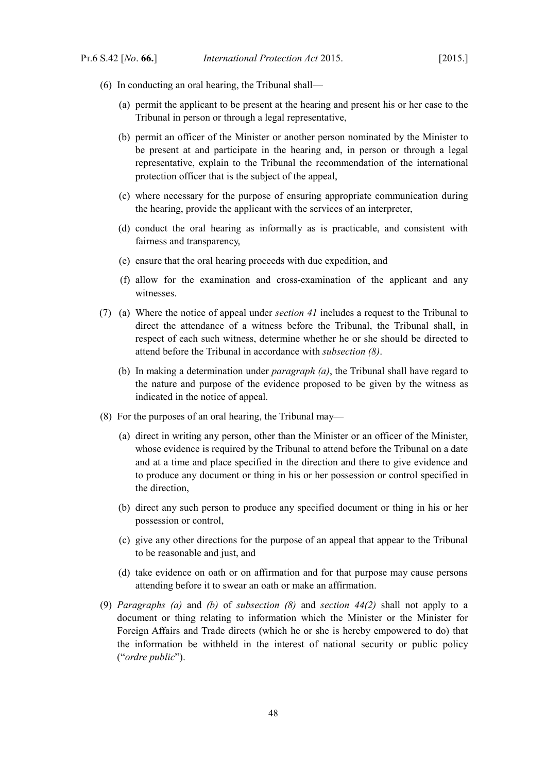- <span id="page-49-0"></span>(6) In conducting an oral hearing, the Tribunal shall—
	- (a) permit the applicant to be present at the hearing and present his or her case to the Tribunal in person or through a legal representative,
	- (b) permit an officer of the Minister or another person nominated by the Minister to be present at and participate in the hearing and, in person or through a legal representative, explain to the Tribunal the recommendation of the international protection officer that is the subject of the appeal,
	- (c) where necessary for the purpose of ensuring appropriate communication during the hearing, provide the applicant with the services of an interpreter,
	- (d) conduct the oral hearing as informally as is practicable, and consistent with fairness and transparency,
	- (e) ensure that the oral hearing proceeds with due expedition, and
	- (f) allow for the examination and cross-examination of the applicant and any witnesses.
- <span id="page-49-4"></span>(7) (a) Where the notice of appeal under *section [41](#page-48-0)* includes a request to the Tribunal to direct the attendance of a witness before the Tribunal, the Tribunal shall, in respect of each such witness, determine whether he or she should be directed to attend before the Tribunal in accordance with *subsection [\(8\)](#page-49-1)*.
	- (b) In making a determination under *paragraph [\(a\)](#page-49-4)*, the Tribunal shall have regard to the nature and purpose of the evidence proposed to be given by the witness as indicated in the notice of appeal.
- <span id="page-49-3"></span><span id="page-49-2"></span><span id="page-49-1"></span>(8) For the purposes of an oral hearing, the Tribunal may—
	- (a) direct in writing any person, other than the Minister or an officer of the Minister, whose evidence is required by the Tribunal to attend before the Tribunal on a date and at a time and place specified in the direction and there to give evidence and to produce any document or thing in his or her possession or control specified in the direction,
	- (b) direct any such person to produce any specified document or thing in his or her possession or control,
	- (c) give any other directions for the purpose of an appeal that appear to the Tribunal to be reasonable and just, and
	- (d) take evidence on oath or on affirmation and for that purpose may cause persons attending before it to swear an oath or make an affirmation.
- (9) *Paragraphs [\(a\)](#page-49-3)* and *[\(b\)](#page-49-2)* of *subsection [\(8\)](#page-49-1)* and *section [44](#page-50-1)[\(2\)](#page-50-0)* shall not apply to a document or thing relating to information which the Minister or the Minister for Foreign Affairs and Trade directs (which he or she is hereby empowered to do) that the information be withheld in the interest of national security or public policy ("*ordre public*").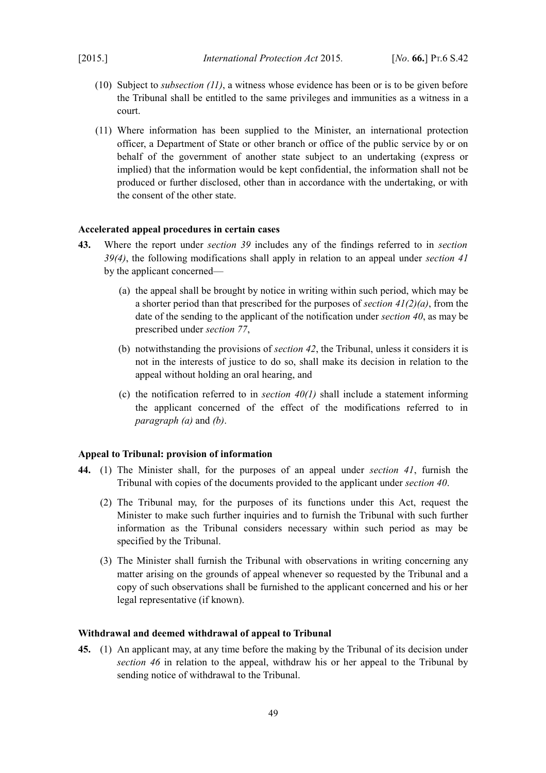- (10) Subject to *subsection [\(11\)](#page-50-5)*, a witness whose evidence has been or is to be given before the Tribunal shall be entitled to the same privileges and immunities as a witness in a court.
- <span id="page-50-5"></span>(11) Where information has been supplied to the Minister, an international protection officer, a Department of State or other branch or office of the public service by or on behalf of the government of another state subject to an undertaking (express or implied) that the information would be kept confidential, the information shall not be produced or further disclosed, other than in accordance with the undertaking, or with the consent of the other state.

### **Accelerated appeal procedures in certain cases**

- <span id="page-50-3"></span><span id="page-50-2"></span>**43.** Where the report under *section [39](#page-45-0)* includes any of the findings referred to in *section [39](#page-45-0)[\(4\)](#page-46-4)*, the following modifications shall apply in relation to an appeal under *section [41](#page-48-0)* by the applicant concerned—
	- (a) the appeal shall be brought by notice in writing within such period, which may be a shorter period than that prescribed for the purposes of *section [41](#page-48-0)[\(2\)](#page-48-6)[\(a\)](#page-48-11)*, from the date of the sending to the applicant of the notification under *section [40](#page-47-0)*, as may be prescribed under *section [77](#page-84-0)*,
	- (b) notwithstanding the provisions of *section [42](#page-48-10)*, the Tribunal, unless it considers it is not in the interests of justice to do so, shall make its decision in relation to the appeal without holding an oral hearing, and
	- (c) the notification referred to in *section [40](#page-47-0)[\(1\)](#page-47-1)* shall include a statement informing the applicant concerned of the effect of the modifications referred to in *paragraph [\(a\)](#page-50-3)* and *[\(b\)](#page-50-2)*.

### <span id="page-50-4"></span>**Appeal to Tribunal: provision of information**

- <span id="page-50-1"></span><span id="page-50-0"></span>**44.** (1) The Minister shall, for the purposes of an appeal under *section [41](#page-48-0)*, furnish the Tribunal with copies of the documents provided to the applicant under *section [40](#page-47-0)*.
	- (2) The Tribunal may, for the purposes of its functions under this Act, request the Minister to make such further inquiries and to furnish the Tribunal with such further information as the Tribunal considers necessary within such period as may be specified by the Tribunal.
	- (3) The Minister shall furnish the Tribunal with observations in writing concerning any matter arising on the grounds of appeal whenever so requested by the Tribunal and a copy of such observations shall be furnished to the applicant concerned and his or her legal representative (if known).

## **Withdrawal and deemed withdrawal of appeal to Tribunal**

<span id="page-50-7"></span><span id="page-50-6"></span>**45.** (1) An applicant may, at any time before the making by the Tribunal of its decision under *section [46](#page-52-0)* in relation to the appeal, withdraw his or her appeal to the Tribunal by sending notice of withdrawal to the Tribunal.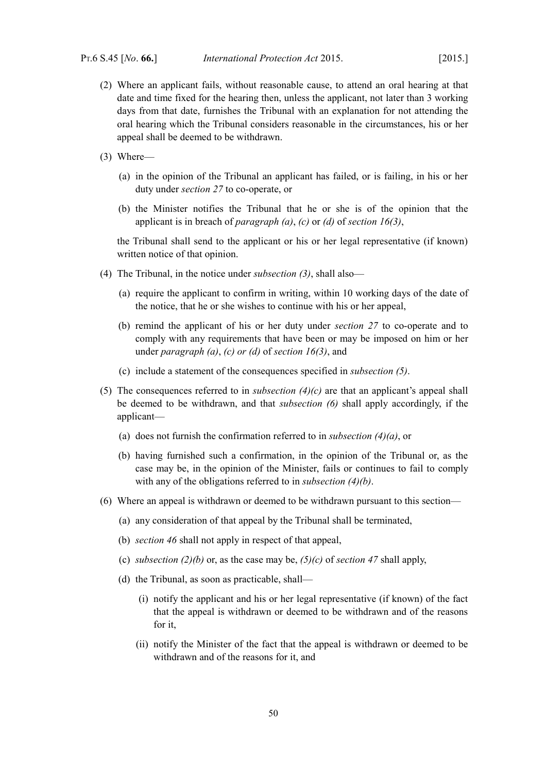- (2) Where an applicant fails, without reasonable cause, to attend an oral hearing at that date and time fixed for the hearing then, unless the applicant, not later than 3 working days from that date, furnishes the Tribunal with an explanation for not attending the oral hearing which the Tribunal considers reasonable in the circumstances, his or her appeal shall be deemed to be withdrawn.
- <span id="page-51-6"></span>(3) Where—
	- (a) in the opinion of the Tribunal an applicant has failed, or is failing, in his or her duty under *section [27](#page-37-5)* to co-operate, or
	- (b) the Minister notifies the Tribunal that he or she is of the opinion that the applicant is in breach of *paragraph [\(a\)](#page-21-3)*, *[\(c\)](#page-21-4)* or *[\(d\)](#page-21-2)* of *section [16](#page-21-1)[\(3\)](#page-21-0)*,

the Tribunal shall send to the applicant or his or her legal representative (if known) written notice of that opinion.

- <span id="page-51-2"></span><span id="page-51-1"></span><span id="page-51-0"></span>(4) The Tribunal, in the notice under *subsection [\(3\)](#page-51-6)*, shall also—
	- (a) require the applicant to confirm in writing, within 10 working days of the date of the notice, that he or she wishes to continue with his or her appeal,
	- (b) remind the applicant of his or her duty under *section [27](#page-37-5)* to co-operate and to comply with any requirements that have been or may be imposed on him or her under *paragraph [\(a\)](#page-21-3)*, *[\(c\)](#page-21-4) or [\(d\)](#page-21-2)* of *section [16](#page-21-1)[\(3\)](#page-21-0)*, and
	- (c) include a statement of the consequences specified in *subsection [\(5\)](#page-51-5)*.
- <span id="page-51-5"></span><span id="page-51-4"></span>(5) The consequences referred to in *subsection [\(4\)](#page-51-1)[\(c\)](#page-51-4)* are that an applicant's appeal shall be deemed to be withdrawn, and that *subsection [\(6\)](#page-51-3)* shall apply accordingly, if the applicant—
	- (a) does not furnish the confirmation referred to in *subsection [\(4\)](#page-51-1)[\(a\)](#page-51-2)*, or
	- (b) having furnished such a confirmation, in the opinion of the Tribunal or, as the case may be, in the opinion of the Minister, fails or continues to fail to comply with any of the obligations referred to in *subsection [\(4\)](#page-51-1)[\(b\)](#page-51-0)*.
- <span id="page-51-8"></span><span id="page-51-7"></span><span id="page-51-3"></span>(6) Where an appeal is withdrawn or deemed to be withdrawn pursuant to this section—
	- (a) any consideration of that appeal by the Tribunal shall be terminated,
	- (b) *section [46](#page-52-0)* shall not apply in respect of that appeal,
	- (c) *subsection [\(2\)](#page-53-2)[\(b\)](#page-53-1)* or, as the case may be, *[\(5\)](#page-54-0)[\(c\)](#page-54-1)* of *section [47](#page-53-0)* shall apply,
	- (d) the Tribunal, as soon as practicable, shall—
		- (i) notify the applicant and his or her legal representative (if known) of the fact that the appeal is withdrawn or deemed to be withdrawn and of the reasons for it,
		- (ii) notify the Minister of the fact that the appeal is withdrawn or deemed to be withdrawn and of the reasons for it, and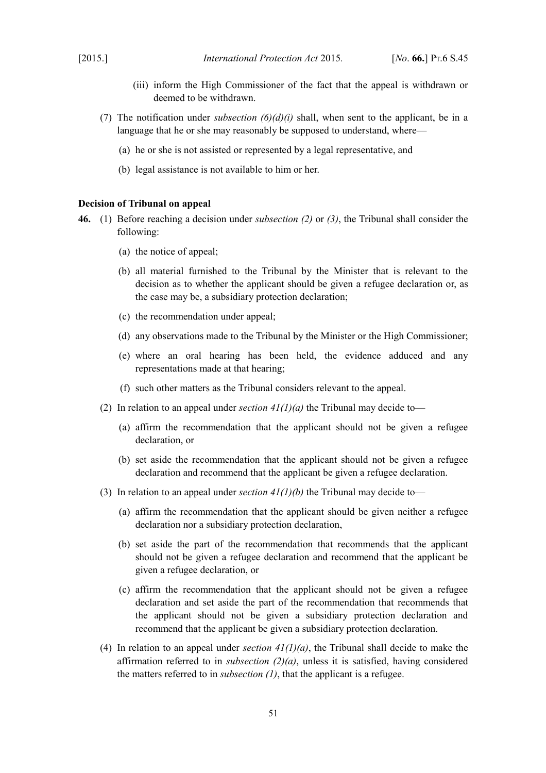- (iii) inform the High Commissioner of the fact that the appeal is withdrawn or deemed to be withdrawn.
- (7) The notification under *subsection*  $(6)(d)(i)$  $(6)(d)(i)$  $(6)(d)(i)$  shall, when sent to the applicant, be in a language that he or she may reasonably be supposed to understand, where—
	- (a) he or she is not assisted or represented by a legal representative, and
	- (b) legal assistance is not available to him or her.

#### **Decision of Tribunal on appeal**

- <span id="page-52-8"></span><span id="page-52-7"></span><span id="page-52-6"></span><span id="page-52-5"></span><span id="page-52-4"></span><span id="page-52-3"></span><span id="page-52-2"></span><span id="page-52-1"></span><span id="page-52-0"></span>**46.** (1) Before reaching a decision under *subsection [\(2\)](#page-52-3)* or *[\(3\)](#page-52-4)*, the Tribunal shall consider the following:
	- (a) the notice of appeal;
	- (b) all material furnished to the Tribunal by the Minister that is relevant to the decision as to whether the applicant should be given a refugee declaration or, as the case may be, a subsidiary protection declaration;
	- (c) the recommendation under appeal;
	- (d) any observations made to the Tribunal by the Minister or the High Commissioner;
	- (e) where an oral hearing has been held, the evidence adduced and any representations made at that hearing;
	- (f) such other matters as the Tribunal considers relevant to the appeal.
	- (2) In relation to an appeal under *section*  $41(1)(a)$  $41(1)(a)$  $41(1)(a)$  the Tribunal may decide to—
		- (a) affirm the recommendation that the applicant should not be given a refugee declaration, or
		- (b) set aside the recommendation that the applicant should not be given a refugee declaration and recommend that the applicant be given a refugee declaration.
	- (3) In relation to an appeal under *section [41](#page-48-0)[\(1\)](#page-48-8)[\(b\)](#page-48-13)* the Tribunal may decide to—
		- (a) affirm the recommendation that the applicant should be given neither a refugee declaration nor a subsidiary protection declaration,
		- (b) set aside the part of the recommendation that recommends that the applicant should not be given a refugee declaration and recommend that the applicant be given a refugee declaration, or
		- (c) affirm the recommendation that the applicant should not be given a refugee declaration and set aside the part of the recommendation that recommends that the applicant should not be given a subsidiary protection declaration and recommend that the applicant be given a subsidiary protection declaration.
	- (4) In relation to an appeal under *section*  $4I(I)(a)$  $4I(I)(a)$ , the Tribunal shall decide to make the affirmation referred to in *subsection [\(2\)](#page-52-3)[\(a\)](#page-52-2)*, unless it is satisfied, having considered the matters referred to in *subsection [\(1\)](#page-52-1)*, that the applicant is a refugee.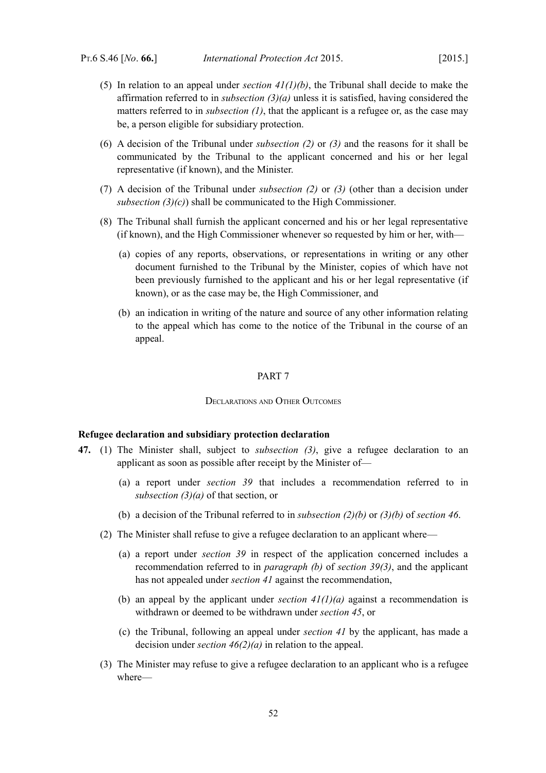- (5) In relation to an appeal under *section [41](#page-48-0)[\(1\)](#page-48-8)[\(b\)](#page-48-13)*, the Tribunal shall decide to make the affirmation referred to in *subsection [\(3\)](#page-52-4)[\(a\)](#page-52-8)* unless it is satisfied, having considered the matters referred to in *subsection [\(1\)](#page-52-1)*, that the applicant is a refugee or, as the case may be, a person eligible for subsidiary protection.
- <span id="page-53-5"></span>(6) A decision of the Tribunal under *subsection [\(2\)](#page-52-3)* or *[\(3\)](#page-52-4)* and the reasons for it shall be communicated by the Tribunal to the applicant concerned and his or her legal representative (if known), and the Minister.
- (7) A decision of the Tribunal under *subsection [\(2\)](#page-52-3)* or *[\(3\)](#page-52-4)* (other than a decision under *subsection [\(3\)](#page-52-4)[\(c\)](#page-52-7)*) shall be communicated to the High Commissioner.
- (8) The Tribunal shall furnish the applicant concerned and his or her legal representative (if known), and the High Commissioner whenever so requested by him or her, with—
	- (a) copies of any reports, observations, or representations in writing or any other document furnished to the Tribunal by the Minister, copies of which have not been previously furnished to the applicant and his or her legal representative (if known), or as the case may be, the High Commissioner, and
	- (b) an indication in writing of the nature and source of any other information relating to the appeal which has come to the notice of the Tribunal in the course of an appeal.

#### PART 7

### DECLARATIONS AND OTHER OUTCOMES

#### **Refugee declaration and subsidiary protection declaration**

- <span id="page-53-4"></span><span id="page-53-3"></span><span id="page-53-2"></span><span id="page-53-1"></span><span id="page-53-0"></span>**47.** (1) The Minister shall, subject to *subsection [\(3\)](#page-53-3)*, give a refugee declaration to an applicant as soon as possible after receipt by the Minister of—
	- (a) a report under *section [39](#page-45-0)* that includes a recommendation referred to in *subsection [\(3\)](#page-53-3)[\(a\)](#page-54-2)* of that section, or
	- (b) a decision of the Tribunal referred to in *subsection [\(2\)](#page-52-3)[\(b\)](#page-52-6)* or *[\(3\)](#page-52-4)[\(b\)](#page-52-5)* of *section [46](#page-52-0)*.
	- (2) The Minister shall refuse to give a refugee declaration to an applicant where—
		- (a) a report under *section [39](#page-45-0)* in respect of the application concerned includes a recommendation referred to in *paragraph [\(b\)](#page-46-5)* of *section [39](#page-45-0)[\(3\)](#page-46-3)*, and the applicant has not appealed under *section [41](#page-48-0)* against the recommendation,
		- (b) an appeal by the applicant under *section*  $41/1/a$  against a recommendation is withdrawn or deemed to be withdrawn under *section [45](#page-50-6)*, or
		- (c) the Tribunal, following an appeal under *section [41](#page-48-0)* by the applicant, has made a decision under *section [46](#page-52-0)[\(2\)](#page-52-3)[\(a\)](#page-52-2)* in relation to the appeal.
	- (3) The Minister may refuse to give a refugee declaration to an applicant who is a refugee where—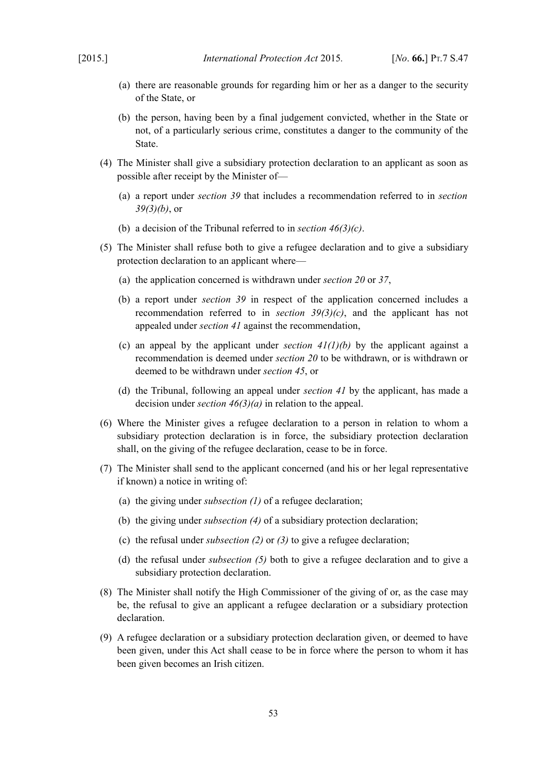- <span id="page-54-2"></span>(a) there are reasonable grounds for regarding him or her as a danger to the security of the State, or
- (b) the person, having been by a final judgement convicted, whether in the State or not, of a particularly serious crime, constitutes a danger to the community of the State.
- <span id="page-54-3"></span>(4) The Minister shall give a subsidiary protection declaration to an applicant as soon as possible after receipt by the Minister of—
	- (a) a report under *section [39](#page-45-0)* that includes a recommendation referred to in *section [39](#page-45-0)[\(3\)](#page-46-3)[\(b\)](#page-46-5)*, or
	- (b) a decision of the Tribunal referred to in *section [46](#page-52-0)[\(3\)](#page-52-4)[\(c\)](#page-52-7)*.
- <span id="page-54-0"></span>(5) The Minister shall refuse both to give a refugee declaration and to give a subsidiary protection declaration to an applicant where—
	- (a) the application concerned is withdrawn under *section [20](#page-24-0)* or *[37](#page-44-3)*,
	- (b) a report under *section [39](#page-45-0)* in respect of the application concerned includes a recommendation referred to in *section [39](#page-45-0)[\(3\)](#page-46-3)[\(c\)](#page-46-2)*, and the applicant has not appealed under *section [41](#page-48-0)* against the recommendation,
	- (c) an appeal by the applicant under *section [41](#page-48-0)[\(1\)](#page-48-8)[\(b\)](#page-48-13)* by the applicant against a recommendation is deemed under *section [20](#page-24-0)* to be withdrawn, or is withdrawn or deemed to be withdrawn under *section [45](#page-50-6)*, or
	- (d) the Tribunal, following an appeal under *section [41](#page-48-0)* by the applicant, has made a decision under *section [46](#page-52-0)[\(3\)](#page-52-4)[\(a\)](#page-52-8)* in relation to the appeal.
- <span id="page-54-1"></span>(6) Where the Minister gives a refugee declaration to a person in relation to whom a subsidiary protection declaration is in force, the subsidiary protection declaration shall, on the giving of the refugee declaration, cease to be in force.
- (7) The Minister shall send to the applicant concerned (and his or her legal representative if known) a notice in writing of:
	- (a) the giving under *subsection [\(1\)](#page-53-4)* of a refugee declaration;
	- (b) the giving under *subsection [\(4\)](#page-54-3)* of a subsidiary protection declaration;
	- (c) the refusal under *subsection [\(2\)](#page-53-2)* or *[\(3\)](#page-53-3)* to give a refugee declaration;
	- (d) the refusal under *subsection [\(5\)](#page-54-0)* both to give a refugee declaration and to give a subsidiary protection declaration.
- (8) The Minister shall notify the High Commissioner of the giving of or, as the case may be, the refusal to give an applicant a refugee declaration or a subsidiary protection declaration.
- (9) A refugee declaration or a subsidiary protection declaration given, or deemed to have been given, under this Act shall cease to be in force where the person to whom it has been given becomes an Irish citizen.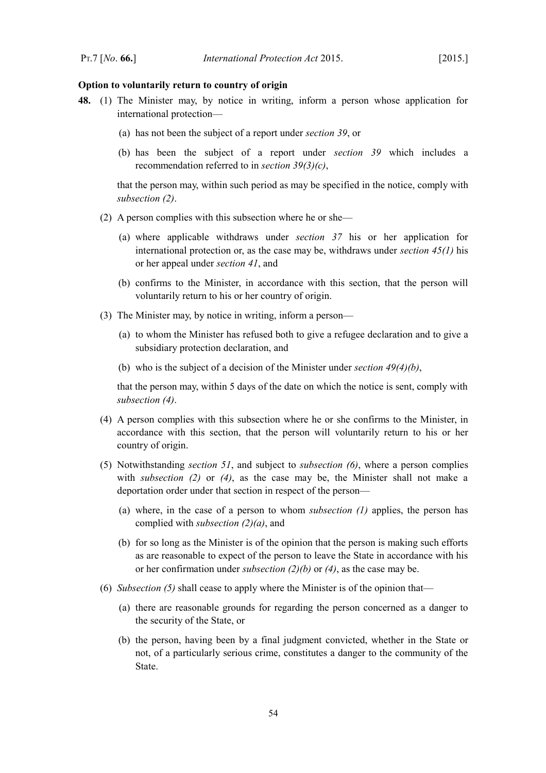### **Option to voluntarily return to country of origin**

- <span id="page-55-6"></span><span id="page-55-0"></span>**48.** (1) The Minister may, by notice in writing, inform a person whose application for international protection—
	- (a) has not been the subject of a report under *section [39](#page-45-0)*, or
	- (b) has been the subject of a report under *section [39](#page-45-0)* which includes a recommendation referred to in *section [39](#page-45-0)[\(3\)](#page-46-3)[\(c\)](#page-46-2)*,

that the person may, within such period as may be specified in the notice, comply with *subsection [\(2\)](#page-55-4)*.

- <span id="page-55-5"></span><span id="page-55-4"></span>(2) A person complies with this subsection where he or she—
	- (a) where applicable withdraws under *section [37](#page-44-3)* his or her application for international protection or, as the case may be, withdraws under *section [45](#page-50-6)[\(1\)](#page-50-7)* his or her appeal under *section [41](#page-48-0)*, and
	- (b) confirms to the Minister, in accordance with this section, that the person will voluntarily return to his or her country of origin.
- <span id="page-55-8"></span><span id="page-55-3"></span>(3) The Minister may, by notice in writing, inform a person—
	- (a) to whom the Minister has refused both to give a refugee declaration and to give a subsidiary protection declaration, and
	- (b) who is the subject of a decision of the Minister under *section [49](#page-56-0)[\(4\)](#page-56-2)[\(b\)](#page-56-1)*,

that the person may, within 5 days of the date on which the notice is sent, comply with *subsection [\(4\)](#page-55-2)*.

- <span id="page-55-2"></span>(4) A person complies with this subsection where he or she confirms to the Minister, in accordance with this section, that the person will voluntarily return to his or her country of origin.
- <span id="page-55-1"></span>(5) Notwithstanding *section [51](#page-58-0)*, and subject to *subsection [\(6\)](#page-55-7)*, where a person complies with *subsection [\(2\)](#page-55-4)* or *[\(4\)](#page-55-2)*, as the case may be, the Minister shall not make a deportation order under that section in respect of the person—
	- (a) where, in the case of a person to whom *subsection [\(1\)](#page-55-6)* applies, the person has complied with *subsection [\(2\)](#page-55-4)[\(a\)](#page-55-5)*, and
	- (b) for so long as the Minister is of the opinion that the person is making such efforts as are reasonable to expect of the person to leave the State in accordance with his or her confirmation under *subsection [\(2\)](#page-55-4)[\(b\)](#page-55-3)* or *[\(4\)](#page-55-2)*, as the case may be.
- <span id="page-55-7"></span>(6) *Subsection [\(5\)](#page-55-1)* shall cease to apply where the Minister is of the opinion that—
	- (a) there are reasonable grounds for regarding the person concerned as a danger to the security of the State, or
	- (b) the person, having been by a final judgment convicted, whether in the State or not, of a particularly serious crime, constitutes a danger to the community of the State.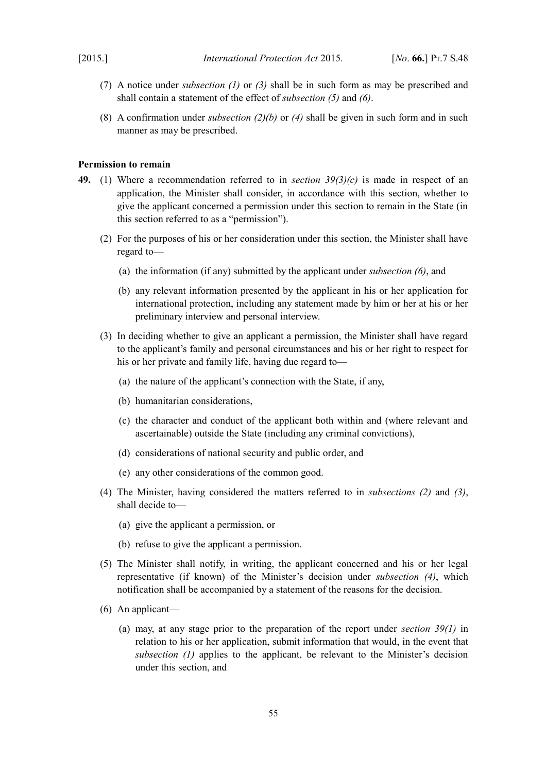- (7) A notice under *subsection [\(1\)](#page-55-6)* or *[\(3\)](#page-55-8)* shall be in such form as may be prescribed and shall contain a statement of the effect of *subsection [\(5\)](#page-55-1)* and *[\(6\)](#page-55-7)*.
- (8) A confirmation under *subsection [\(2\)](#page-55-4)[\(b\)](#page-55-3)* or *[\(4\)](#page-55-2)* shall be given in such form and in such manner as may be prescribed.

### **Permission to remain**

- <span id="page-56-8"></span><span id="page-56-7"></span><span id="page-56-6"></span><span id="page-56-5"></span><span id="page-56-4"></span><span id="page-56-3"></span><span id="page-56-2"></span><span id="page-56-1"></span><span id="page-56-0"></span>**49.** (1) Where a recommendation referred to in *section [39](#page-45-0)[\(3\)](#page-46-3)[\(c\)](#page-46-2)* is made in respect of an application, the Minister shall consider, in accordance with this section, whether to give the applicant concerned a permission under this section to remain in the State (in this section referred to as a "permission").
	- (2) For the purposes of his or her consideration under this section, the Minister shall have regard to—
		- (a) the information (if any) submitted by the applicant under *subsection [\(6\)](#page-56-6)*, and
		- (b) any relevant information presented by the applicant in his or her application for international protection, including any statement made by him or her at his or her preliminary interview and personal interview.
	- (3) In deciding whether to give an applicant a permission, the Minister shall have regard to the applicant's family and personal circumstances and his or her right to respect for his or her private and family life, having due regard to—
		- (a) the nature of the applicant's connection with the State, if any,
		- (b) humanitarian considerations,
		- (c) the character and conduct of the applicant both within and (where relevant and ascertainable) outside the State (including any criminal convictions),
		- (d) considerations of national security and public order, and
		- (e) any other considerations of the common good.
	- (4) The Minister, having considered the matters referred to in *subsections [\(2\)](#page-56-5)* and *[\(3\)](#page-56-4)*, shall decide to—
		- (a) give the applicant a permission, or
		- (b) refuse to give the applicant a permission.
	- (5) The Minister shall notify, in writing, the applicant concerned and his or her legal representative (if known) of the Minister's decision under *subsection [\(4\)](#page-56-2)*, which notification shall be accompanied by a statement of the reasons for the decision.
	- (6) An applicant—
		- (a) may, at any stage prior to the preparation of the report under *section [39](#page-45-0)[\(1\)](#page-45-1)* in relation to his or her application, submit information that would, in the event that *subsection [\(1\)](#page-56-3)* applies to the applicant, be relevant to the Minister's decision under this section, and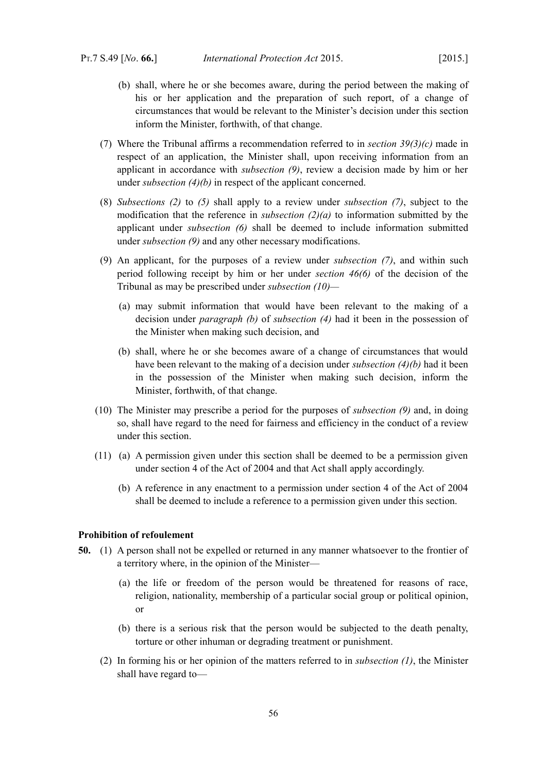- (b) shall, where he or she becomes aware, during the period between the making of his or her application and the preparation of such report, of a change of circumstances that would be relevant to the Minister's decision under this section inform the Minister, forthwith, of that change.
- <span id="page-57-3"></span>(7) Where the Tribunal affirms a recommendation referred to in *section [39](#page-45-0)[\(3\)](#page-46-3)[\(c\)](#page-46-2)* made in respect of an application, the Minister shall, upon receiving information from an applicant in accordance with *subsection [\(9\)](#page-57-1)*, review a decision made by him or her under *subsection [\(4\)](#page-56-2)[\(b\)](#page-56-1)* in respect of the applicant concerned.
- (8) *Subsections [\(2\)](#page-56-5)* to *[\(5\)](#page-56-8)* shall apply to a review under *subsection [\(7\)](#page-57-3)*, subject to the modification that the reference in *subsection [\(2\)](#page-56-5)[\(a\)](#page-56-7)* to information submitted by the applicant under *subsection [\(6\)](#page-56-6)* shall be deemed to include information submitted under *subsection [\(9\)](#page-57-1)* and any other necessary modifications.
- <span id="page-57-1"></span>(9) An applicant, for the purposes of a review under *subsection [\(7\)](#page-57-3)*, and within such period following receipt by him or her under *section [46](#page-52-0)[\(6\)](#page-53-5)* of the decision of the Tribunal as may be prescribed under *subsection [\(10\)—](#page-57-2)*
	- (a) may submit information that would have been relevant to the making of a decision under *paragraph [\(b\)](#page-56-1)* of *subsection [\(4\)](#page-56-2)* had it been in the possession of the Minister when making such decision, and
	- (b) shall, where he or she becomes aware of a change of circumstances that would have been relevant to the making of a decision under *subsection [\(4\)](#page-56-2)[\(b\)](#page-56-1)* had it been in the possession of the Minister when making such decision, inform the Minister, forthwith, of that change.
- <span id="page-57-2"></span>(10) The Minister may prescribe a period for the purposes of *subsection [\(9\)](#page-57-1)* and, in doing so, shall have regard to the need for fairness and efficiency in the conduct of a review under this section.
- (11) (a) A permission given under this section shall be deemed to be a permission given under section 4 of the Act of 2004 and that Act shall apply accordingly.
	- (b) A reference in any enactment to a permission under section 4 of the Act of 2004 shall be deemed to include a reference to a permission given under this section.

### **Prohibition of refoulement**

- <span id="page-57-4"></span><span id="page-57-0"></span>**50.** (1) A person shall not be expelled or returned in any manner whatsoever to the frontier of a territory where, in the opinion of the Minister—
	- (a) the life or freedom of the person would be threatened for reasons of race, religion, nationality, membership of a particular social group or political opinion, or
	- (b) there is a serious risk that the person would be subjected to the death penalty, torture or other inhuman or degrading treatment or punishment.
	- (2) In forming his or her opinion of the matters referred to in *subsection [\(1\)](#page-57-0)*, the Minister shall have regard to—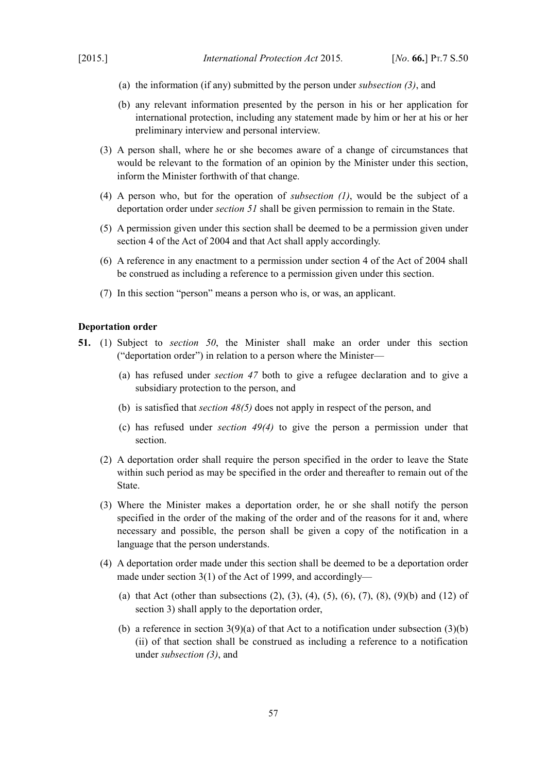- (a) the information (if any) submitted by the person under *subsection [\(3\)](#page-58-2)*, and
- (b) any relevant information presented by the person in his or her application for international protection, including any statement made by him or her at his or her preliminary interview and personal interview.
- <span id="page-58-2"></span>(3) A person shall, where he or she becomes aware of a change of circumstances that would be relevant to the formation of an opinion by the Minister under this section, inform the Minister forthwith of that change.
- (4) A person who, but for the operation of *subsection [\(1\)](#page-57-0)*, would be the subject of a deportation order under *section [51](#page-58-0)* shall be given permission to remain in the State.
- (5) A permission given under this section shall be deemed to be a permission given under section 4 of the Act of 2004 and that Act shall apply accordingly.
- (6) A reference in any enactment to a permission under section 4 of the Act of 2004 shall be construed as including a reference to a permission given under this section.
- (7) In this section "person" means a person who is, or was, an applicant.

## **Deportation order**

- <span id="page-58-1"></span><span id="page-58-0"></span>**51.** (1) Subject to *section [50](#page-57-4)*, the Minister shall make an order under this section ("deportation order") in relation to a person where the Minister—
	- (a) has refused under *section [47](#page-53-0)* both to give a refugee declaration and to give a subsidiary protection to the person, and
	- (b) is satisfied that *section [48](#page-55-0)[\(5\)](#page-55-1)* does not apply in respect of the person, and
	- (c) has refused under *section [49](#page-56-0)[\(4\)](#page-56-2)* to give the person a permission under that section.
	- (2) A deportation order shall require the person specified in the order to leave the State within such period as may be specified in the order and thereafter to remain out of the State.
	- (3) Where the Minister makes a deportation order, he or she shall notify the person specified in the order of the making of the order and of the reasons for it and, where necessary and possible, the person shall be given a copy of the notification in a language that the person understands.
	- (4) A deportation order made under this section shall be deemed to be a deportation order made under section 3(1) of the Act of 1999, and accordingly—
		- (a) that Act (other than subsections  $(2)$ ,  $(3)$ ,  $(4)$ ,  $(5)$ ,  $(6)$ ,  $(7)$ ,  $(8)$ ,  $(9)(b)$  and  $(12)$  of section 3) shall apply to the deportation order,
		- (b) a reference in section  $3(9)(a)$  of that Act to a notification under subsection  $(3)(b)$ (ii) of that section shall be construed as including a reference to a notification under *subsection [\(3\)](#page-58-1)*, and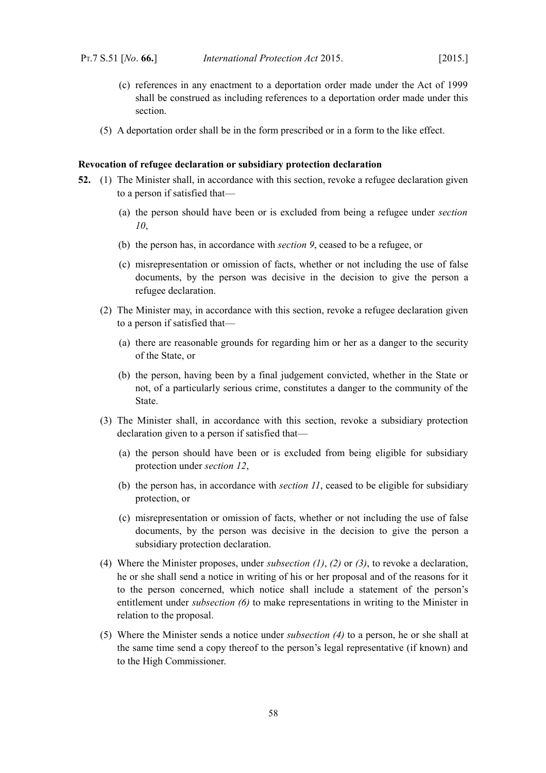- (c) references in any enactment to a deportation order made under the Act of 1999 shall be construed as including references to a deportation order made under this section.
- (5) A deportation order shall be in the form prescribed or in a form to the like effect.

### **Revocation of refugee declaration or subsidiary protection declaration**

- <span id="page-59-3"></span><span id="page-59-2"></span><span id="page-59-1"></span><span id="page-59-0"></span>**52.** (1) The Minister shall, in accordance with this section, revoke a refugee declaration given to a person if satisfied that—
	- (a) the person should have been or is excluded from being a refugee under *section [10](#page-17-0)*,
	- (b) the person has, in accordance with *section [9](#page-16-0)*, ceased to be a refugee, or
	- (c) misrepresentation or omission of facts, whether or not including the use of false documents, by the person was decisive in the decision to give the person a refugee declaration.
	- (2) The Minister may, in accordance with this section, revoke a refugee declaration given to a person if satisfied that—
		- (a) there are reasonable grounds for regarding him or her as a danger to the security of the State, or
		- (b) the person, having been by a final judgement convicted, whether in the State or not, of a particularly serious crime, constitutes a danger to the community of the State.
	- (3) The Minister shall, in accordance with this section, revoke a subsidiary protection declaration given to a person if satisfied that—
		- (a) the person should have been or is excluded from being eligible for subsidiary protection under *section [12](#page-18-2)*,
		- (b) the person has, in accordance with *section [11](#page-18-1)*, ceased to be eligible for subsidiary protection, or
		- (c) misrepresentation or omission of facts, whether or not including the use of false documents, by the person was decisive in the decision to give the person a subsidiary protection declaration.
	- (4) Where the Minister proposes, under *subsection [\(1\)](#page-59-3)*, *[\(2\)](#page-59-2)* or *[\(3\)](#page-59-1)*, to revoke a declaration, he or she shall send a notice in writing of his or her proposal and of the reasons for it to the person concerned, which notice shall include a statement of the person's entitlement under *subsection [\(6\)](#page-60-0)* to make representations in writing to the Minister in relation to the proposal.
	- (5) Where the Minister sends a notice under *subsection [\(4\)](#page-59-0)* to a person, he or she shall at the same time send a copy thereof to the person's legal representative (if known) and to the High Commissioner.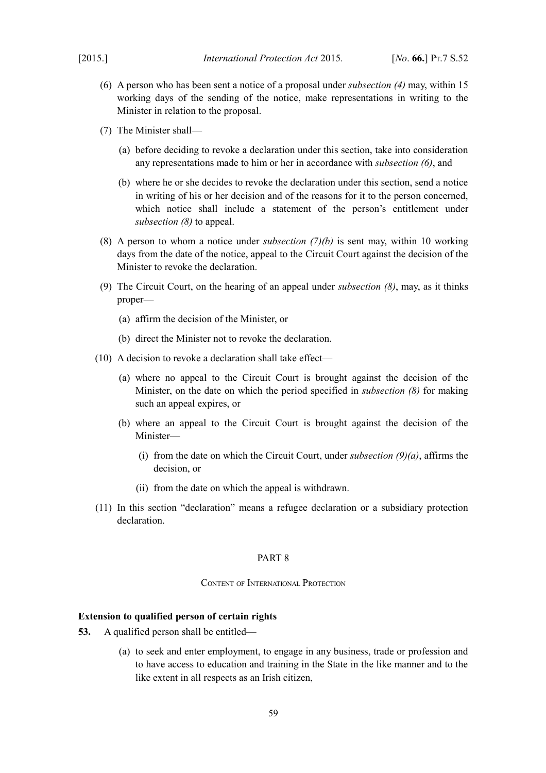- <span id="page-60-0"></span>(6) A person who has been sent a notice of a proposal under *subsection [\(4\)](#page-59-0)* may, within 15 working days of the sending of the notice, make representations in writing to the Minister in relation to the proposal.
- <span id="page-60-5"></span><span id="page-60-4"></span>(7) The Minister shall—
	- (a) before deciding to revoke a declaration under this section, take into consideration any representations made to him or her in accordance with *subsection [\(6\)](#page-60-0)*, and
	- (b) where he or she decides to revoke the declaration under this section, send a notice in writing of his or her decision and of the reasons for it to the person concerned, which notice shall include a statement of the person's entitlement under *subsection [\(8\)](#page-60-3)* to appeal.
- <span id="page-60-3"></span>(8) A person to whom a notice under *subsection [\(7\)](#page-60-5)[\(b\)](#page-60-4)* is sent may, within 10 working days from the date of the notice, appeal to the Circuit Court against the decision of the Minister to revoke the declaration.
- <span id="page-60-2"></span><span id="page-60-1"></span>(9) The Circuit Court, on the hearing of an appeal under *subsection [\(8\)](#page-60-3)*, may, as it thinks proper—
	- (a) affirm the decision of the Minister, or
	- (b) direct the Minister not to revoke the declaration.
- (10) A decision to revoke a declaration shall take effect—
	- (a) where no appeal to the Circuit Court is brought against the decision of the Minister, on the date on which the period specified in *subsection [\(8\)](#page-60-3)* for making such an appeal expires, or
	- (b) where an appeal to the Circuit Court is brought against the decision of the Minister—
		- (i) from the date on which the Circuit Court, under *subsection [\(9\)](#page-60-2)[\(a\)](#page-60-1)*, affirms the decision, or
		- (ii) from the date on which the appeal is withdrawn.
- (11) In this section "declaration" means a refugee declaration or a subsidiary protection declaration.

### PART 8

### CONTENT OF INTERNATIONAL PROTECTION

## **Extension to qualified person of certain rights**

- <span id="page-60-6"></span>**53.** A qualified person shall be entitled—
	- (a) to seek and enter employment, to engage in any business, trade or profession and to have access to education and training in the State in the like manner and to the like extent in all respects as an Irish citizen,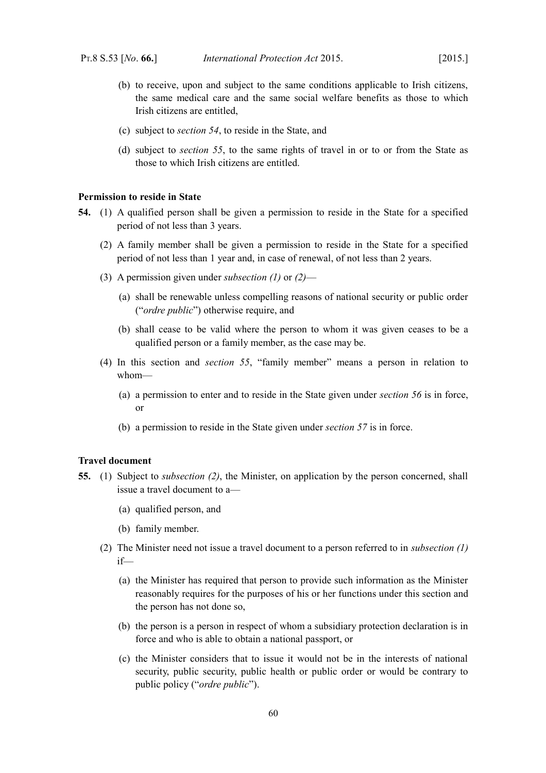- (b) to receive, upon and subject to the same conditions applicable to Irish citizens, the same medical care and the same social welfare benefits as those to which Irish citizens are entitled,
- (c) subject to *section [54](#page-61-5)*, to reside in the State, and
- (d) subject to *section [55](#page-61-2)*, to the same rights of travel in or to or from the State as those to which Irish citizens are entitled.

## **Permission to reside in State**

- <span id="page-61-5"></span><span id="page-61-4"></span><span id="page-61-3"></span>**54.** (1) A qualified person shall be given a permission to reside in the State for a specified period of not less than 3 years.
	- (2) A family member shall be given a permission to reside in the State for a specified period of not less than 1 year and, in case of renewal, of not less than 2 years.
	- (3) A permission given under *subsection [\(1\)](#page-61-4)* or *[\(2\)](#page-61-3)*
		- (a) shall be renewable unless compelling reasons of national security or public order ("*ordre public*") otherwise require, and
		- (b) shall cease to be valid where the person to whom it was given ceases to be a qualified person or a family member, as the case may be.
	- (4) In this section and *section [55](#page-61-2)*, "family member" means a person in relation to whom—
		- (a) a permission to enter and to reside in the State given under *section [56](#page-62-0)* is in force, or
		- (b) a permission to reside in the State given under *section [57](#page-63-0)* is in force.

## **Travel document**

- <span id="page-61-2"></span><span id="page-61-1"></span><span id="page-61-0"></span>**55.** (1) Subject to *subsection [\(2\)](#page-61-1)*, the Minister, on application by the person concerned, shall issue a travel document to a—
	- (a) qualified person, and
	- (b) family member.
	- (2) The Minister need not issue a travel document to a person referred to in *subsection [\(1\)](#page-61-0)* if—
		- (a) the Minister has required that person to provide such information as the Minister reasonably requires for the purposes of his or her functions under this section and the person has not done so,
		- (b) the person is a person in respect of whom a subsidiary protection declaration is in force and who is able to obtain a national passport, or
		- (c) the Minister considers that to issue it would not be in the interests of national security, public security, public health or public order or would be contrary to public policy ("*ordre public*").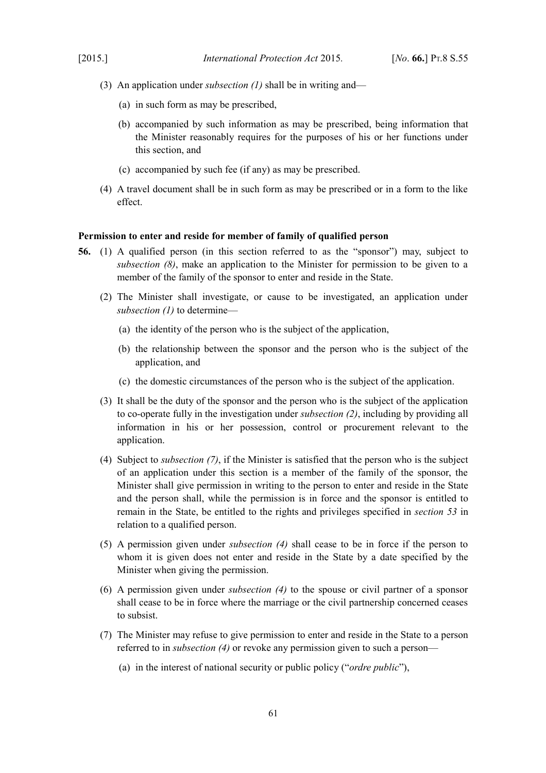- (3) An application under *subsection [\(1\)](#page-61-0)* shall be in writing and—
	- (a) in such form as may be prescribed,
	- (b) accompanied by such information as may be prescribed, being information that the Minister reasonably requires for the purposes of his or her functions under this section, and
	- (c) accompanied by such fee (if any) as may be prescribed.
- (4) A travel document shall be in such form as may be prescribed or in a form to the like effect.

### **Permission to enter and reside for member of family of qualified person**

- <span id="page-62-4"></span><span id="page-62-3"></span><span id="page-62-2"></span><span id="page-62-1"></span><span id="page-62-0"></span>**56.** (1) A qualified person (in this section referred to as the "sponsor") may, subject to *subsection [\(8\)](#page-63-1)*, make an application to the Minister for permission to be given to a member of the family of the sponsor to enter and reside in the State.
	- (2) The Minister shall investigate, or cause to be investigated, an application under *subsection [\(1\)](#page-62-4)* to determine—
		- (a) the identity of the person who is the subject of the application,
		- (b) the relationship between the sponsor and the person who is the subject of the application, and
		- (c) the domestic circumstances of the person who is the subject of the application.
	- (3) It shall be the duty of the sponsor and the person who is the subject of the application to co-operate fully in the investigation under *subsection [\(2\)](#page-62-3)*, including by providing all information in his or her possession, control or procurement relevant to the application.
	- (4) Subject to *subsection [\(7\)](#page-62-2)*, if the Minister is satisfied that the person who is the subject of an application under this section is a member of the family of the sponsor, the Minister shall give permission in writing to the person to enter and reside in the State and the person shall, while the permission is in force and the sponsor is entitled to remain in the State, be entitled to the rights and privileges specified in *section [53](#page-60-6)* in relation to a qualified person.
	- (5) A permission given under *subsection [\(4\)](#page-62-1)* shall cease to be in force if the person to whom it is given does not enter and reside in the State by a date specified by the Minister when giving the permission.
	- (6) A permission given under *subsection [\(4\)](#page-62-1)* to the spouse or civil partner of a sponsor shall cease to be in force where the marriage or the civil partnership concerned ceases to subsist.
	- (7) The Minister may refuse to give permission to enter and reside in the State to a person referred to in *subsection [\(4\)](#page-62-1)* or revoke any permission given to such a person—
		- (a) in the interest of national security or public policy ("*ordre public*"),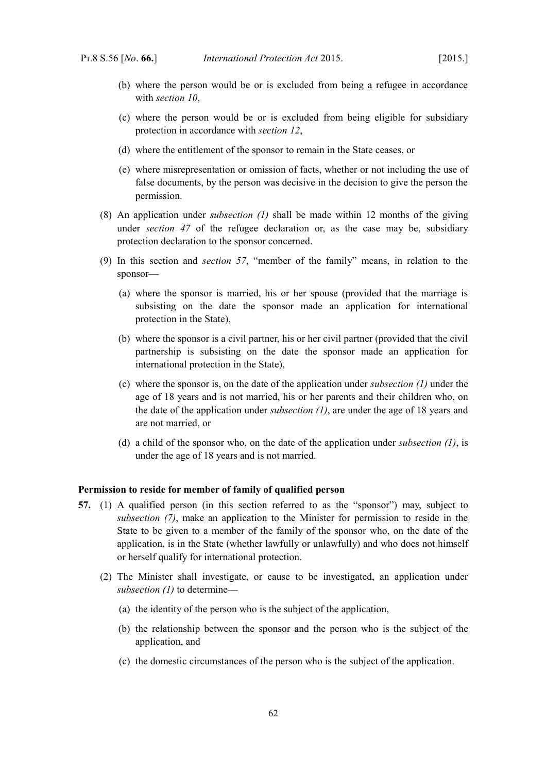- (b) where the person would be or is excluded from being a refugee in accordance with *section [10](#page-17-0)*,
- (c) where the person would be or is excluded from being eligible for subsidiary protection in accordance with *section [12](#page-18-2)*,
- (d) where the entitlement of the sponsor to remain in the State ceases, or
- (e) where misrepresentation or omission of facts, whether or not including the use of false documents, by the person was decisive in the decision to give the person the permission.
- <span id="page-63-1"></span>(8) An application under *subsection [\(1\)](#page-62-4)* shall be made within 12 months of the giving under *section [47](#page-53-0)* of the refugee declaration or, as the case may be, subsidiary protection declaration to the sponsor concerned.
- (9) In this section and *section [57](#page-63-0)*, "member of the family" means, in relation to the sponsor—
	- (a) where the sponsor is married, his or her spouse (provided that the marriage is subsisting on the date the sponsor made an application for international protection in the State),
	- (b) where the sponsor is a civil partner, his or her civil partner (provided that the civil partnership is subsisting on the date the sponsor made an application for international protection in the State),
	- (c) where the sponsor is, on the date of the application under *subsection [\(1\)](#page-62-4)* under the age of 18 years and is not married, his or her parents and their children who, on the date of the application under *subsection [\(1\)](#page-62-4)*, are under the age of 18 years and are not married, or
	- (d) a child of the sponsor who, on the date of the application under *subsection [\(1\)](#page-62-4)*, is under the age of 18 years and is not married.

### **Permission to reside for member of family of qualified person**

- <span id="page-63-3"></span><span id="page-63-2"></span><span id="page-63-0"></span>**57.** (1) A qualified person (in this section referred to as the "sponsor") may, subject to *subsection [\(7\)](#page-64-0)*, make an application to the Minister for permission to reside in the State to be given to a member of the family of the sponsor who, on the date of the application, is in the State (whether lawfully or unlawfully) and who does not himself or herself qualify for international protection.
	- (2) The Minister shall investigate, or cause to be investigated, an application under *subsection [\(1\)](#page-63-2)* to determine—
		- (a) the identity of the person who is the subject of the application,
		- (b) the relationship between the sponsor and the person who is the subject of the application, and
		- (c) the domestic circumstances of the person who is the subject of the application.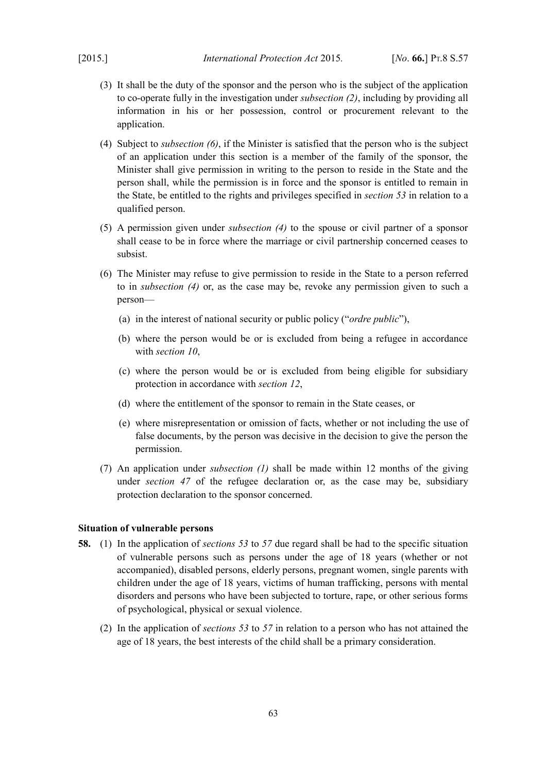- (3) It shall be the duty of the sponsor and the person who is the subject of the application to co-operate fully in the investigation under *subsection [\(2\)](#page-63-3)*, including by providing all information in his or her possession, control or procurement relevant to the application.
- <span id="page-64-1"></span>(4) Subject to *subsection [\(6\)](#page-64-2)*, if the Minister is satisfied that the person who is the subject of an application under this section is a member of the family of the sponsor, the Minister shall give permission in writing to the person to reside in the State and the person shall, while the permission is in force and the sponsor is entitled to remain in the State, be entitled to the rights and privileges specified in *section [53](#page-60-6)* in relation to a qualified person.
- (5) A permission given under *subsection [\(4\)](#page-64-1)* to the spouse or civil partner of a sponsor shall cease to be in force where the marriage or civil partnership concerned ceases to subsist.
- <span id="page-64-2"></span>(6) The Minister may refuse to give permission to reside in the State to a person referred to in *subsection [\(4\)](#page-64-1)* or, as the case may be, revoke any permission given to such a person—
	- (a) in the interest of national security or public policy ("*ordre public*"),
	- (b) where the person would be or is excluded from being a refugee in accordance with *section [10](#page-17-0)*,
	- (c) where the person would be or is excluded from being eligible for subsidiary protection in accordance with *section [12](#page-18-2)*,
	- (d) where the entitlement of the sponsor to remain in the State ceases, or
	- (e) where misrepresentation or omission of facts, whether or not including the use of false documents, by the person was decisive in the decision to give the person the permission.
- <span id="page-64-0"></span>(7) An application under *subsection [\(1\)](#page-63-2)* shall be made within 12 months of the giving under *section [47](#page-53-0)* of the refugee declaration or, as the case may be, subsidiary protection declaration to the sponsor concerned.

### **Situation of vulnerable persons**

- **58.** (1) In the application of *sections [53](#page-60-6)* to *[57](#page-63-0)* due regard shall be had to the specific situation of vulnerable persons such as persons under the age of 18 years (whether or not accompanied), disabled persons, elderly persons, pregnant women, single parents with children under the age of 18 years, victims of human trafficking, persons with mental disorders and persons who have been subjected to torture, rape, or other serious forms of psychological, physical or sexual violence.
	- (2) In the application of *sections [53](#page-60-6)* to *[57](#page-63-0)* in relation to a person who has not attained the age of 18 years, the best interests of the child shall be a primary consideration.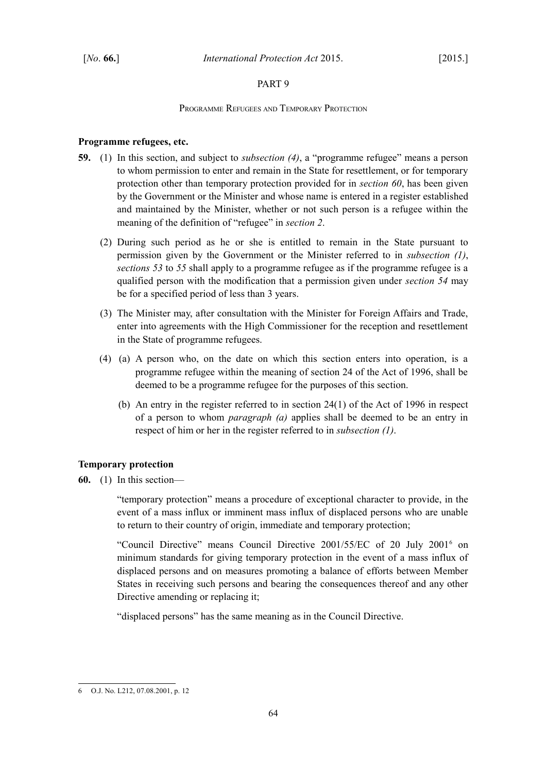## PART 9

### PROGRAMME REFUGEES AND TEMPORARY PROTECTION

## **Programme refugees, etc.**

- <span id="page-65-0"></span>**59.** (1) In this section, and subject to *subsection [\(4\)](#page-65-3)*, a "programme refugee" means a person to whom permission to enter and remain in the State for resettlement, or for temporary protection other than temporary protection provided for in *section [60](#page-65-2)*, has been given by the Government or the Minister and whose name is entered in a register established and maintained by the Minister, whether or not such person is a refugee within the meaning of the definition of "refugee" in *section [2](#page-9-0)*.
	- (2) During such period as he or she is entitled to remain in the State pursuant to permission given by the Government or the Minister referred to in *subsection [\(1\)](#page-65-0)*, *sections [53](#page-60-6)* to *[55](#page-61-2)* shall apply to a programme refugee as if the programme refugee is a qualified person with the modification that a permission given under *section [54](#page-61-5)* may be for a specified period of less than 3 years.
	- (3) The Minister may, after consultation with the Minister for Foreign Affairs and Trade, enter into agreements with the High Commissioner for the reception and resettlement in the State of programme refugees.
	- (4) (a) A person who, on the date on which this section enters into operation, is a programme refugee within the meaning of section 24 of the Act of 1996, shall be deemed to be a programme refugee for the purposes of this section.
		- (b) An entry in the register referred to in section 24(1) of the Act of 1996 in respect of a person to whom *paragraph [\(a\)](#page-65-1)* applies shall be deemed to be an entry in respect of him or her in the register referred to in *subsection [\(1\)](#page-65-0)*.

### <span id="page-65-3"></span><span id="page-65-1"></span>**Temporary protection**

<span id="page-65-2"></span>**60.** (1) In this section—

"temporary protection" means a procedure of exceptional character to provide, in the event of a mass influx or imminent mass influx of displaced persons who are unable to return to their country of origin, immediate and temporary protection;

"Council Directive" means Council Directive 2001/55/EC of 20 July 2001<sup>[6](#page-65-4)</sup> on minimum standards for giving temporary protection in the event of a mass influx of displaced persons and on measures promoting a balance of efforts between Member States in receiving such persons and bearing the consequences thereof and any other Directive amending or replacing it;

"displaced persons" has the same meaning as in the Council Directive.

<span id="page-65-4"></span><sup>6</sup> O.J. No. L212, 07.08.2001, p. 12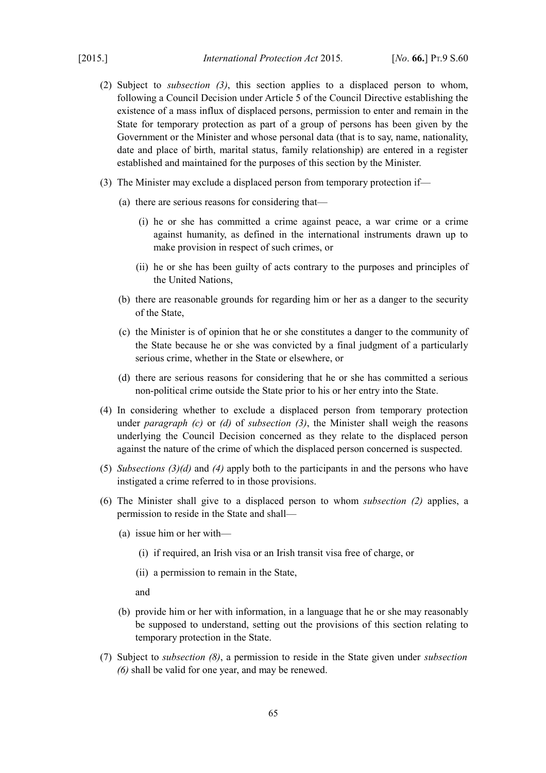- <span id="page-66-1"></span>(2) Subject to *subsection [\(3\)](#page-66-4)*, this section applies to a displaced person to whom, following a Council Decision under Article 5 of the Council Directive establishing the existence of a mass influx of displaced persons, permission to enter and remain in the State for temporary protection as part of a group of persons has been given by the Government or the Minister and whose personal data (that is to say, name, nationality, date and place of birth, marital status, family relationship) are entered in a register established and maintained for the purposes of this section by the Minister.
- <span id="page-66-4"></span>(3) The Minister may exclude a displaced person from temporary protection if—
	- (a) there are serious reasons for considering that—
		- (i) he or she has committed a crime against peace, a war crime or a crime against humanity, as defined in the international instruments drawn up to make provision in respect of such crimes, or
		- (ii) he or she has been guilty of acts contrary to the purposes and principles of the United Nations,
	- (b) there are reasonable grounds for regarding him or her as a danger to the security of the State,
	- (c) the Minister is of opinion that he or she constitutes a danger to the community of the State because he or she was convicted by a final judgment of a particularly serious crime, whether in the State or elsewhere, or
	- (d) there are serious reasons for considering that he or she has committed a serious non-political crime outside the State prior to his or her entry into the State.
- <span id="page-66-5"></span><span id="page-66-3"></span><span id="page-66-2"></span>(4) In considering whether to exclude a displaced person from temporary protection under *paragraph [\(c\)](#page-66-5)* or *[\(d\)](#page-66-3)* of *subsection [\(3\)](#page-66-4)*, the Minister shall weigh the reasons underlying the Council Decision concerned as they relate to the displaced person against the nature of the crime of which the displaced person concerned is suspected.
- (5) *Subsections [\(3\)](#page-66-4)[\(d\)](#page-66-3)* and *[\(4\)](#page-66-2)* apply both to the participants in and the persons who have instigated a crime referred to in those provisions.
- <span id="page-66-0"></span>(6) The Minister shall give to a displaced person to whom *subsection [\(2\)](#page-66-1)* applies, a permission to reside in the State and shall—
	- (a) issue him or her with—
		- (i) if required, an Irish visa or an Irish transit visa free of charge, or
		- (ii) a permission to remain in the State,

and

- (b) provide him or her with information, in a language that he or she may reasonably be supposed to understand, setting out the provisions of this section relating to temporary protection in the State.
- (7) Subject to *subsection [\(8\)](#page-67-0)*, a permission to reside in the State given under *subsection [\(6\)](#page-66-0)* shall be valid for one year, and may be renewed.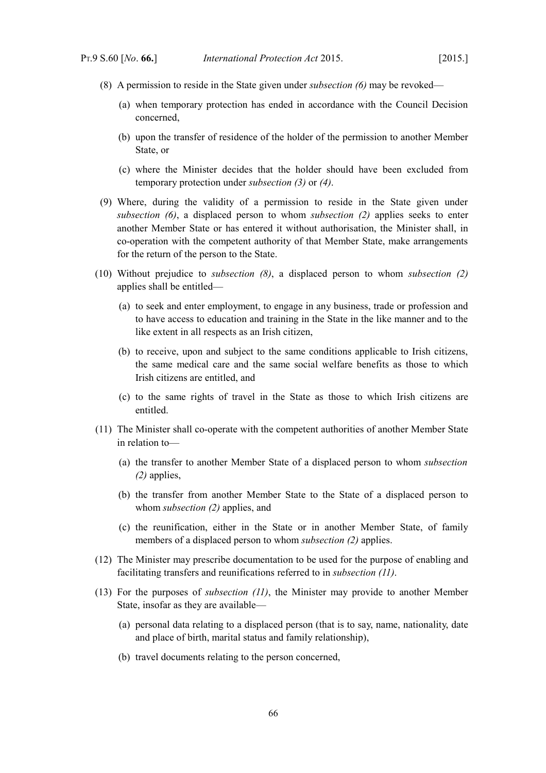- <span id="page-67-0"></span>(8) A permission to reside in the State given under *subsection [\(6\)](#page-66-0)* may be revoked—
	- (a) when temporary protection has ended in accordance with the Council Decision concerned,
	- (b) upon the transfer of residence of the holder of the permission to another Member State, or
	- (c) where the Minister decides that the holder should have been excluded from temporary protection under *subsection [\(3\)](#page-66-4)* or *[\(4\)](#page-66-2)*.
- (9) Where, during the validity of a permission to reside in the State given under *subsection [\(6\)](#page-66-0)*, a displaced person to whom *subsection [\(2\)](#page-66-1)* applies seeks to enter another Member State or has entered it without authorisation, the Minister shall, in co-operation with the competent authority of that Member State, make arrangements for the return of the person to the State.
- (10) Without prejudice to *subsection [\(8\)](#page-67-0)*, a displaced person to whom *subsection [\(2\)](#page-66-1)* applies shall be entitled—
	- (a) to seek and enter employment, to engage in any business, trade or profession and to have access to education and training in the State in the like manner and to the like extent in all respects as an Irish citizen,
	- (b) to receive, upon and subject to the same conditions applicable to Irish citizens, the same medical care and the same social welfare benefits as those to which Irish citizens are entitled, and
	- (c) to the same rights of travel in the State as those to which Irish citizens are entitled.
- <span id="page-67-1"></span>(11) The Minister shall co-operate with the competent authorities of another Member State in relation to—
	- (a) the transfer to another Member State of a displaced person to whom *subsection [\(2\)](#page-66-1)* applies,
	- (b) the transfer from another Member State to the State of a displaced person to whom *subsection [\(2\)](#page-66-1)* applies, and
	- (c) the reunification, either in the State or in another Member State, of family members of a displaced person to whom *subsection [\(2\)](#page-66-1)* applies.
- (12) The Minister may prescribe documentation to be used for the purpose of enabling and facilitating transfers and reunifications referred to in *subsection [\(11\)](#page-67-1)*.
- <span id="page-67-2"></span>(13) For the purposes of *subsection [\(11\)](#page-67-1)*, the Minister may provide to another Member State, insofar as they are available—
	- (a) personal data relating to a displaced person (that is to say, name, nationality, date and place of birth, marital status and family relationship),
	- (b) travel documents relating to the person concerned,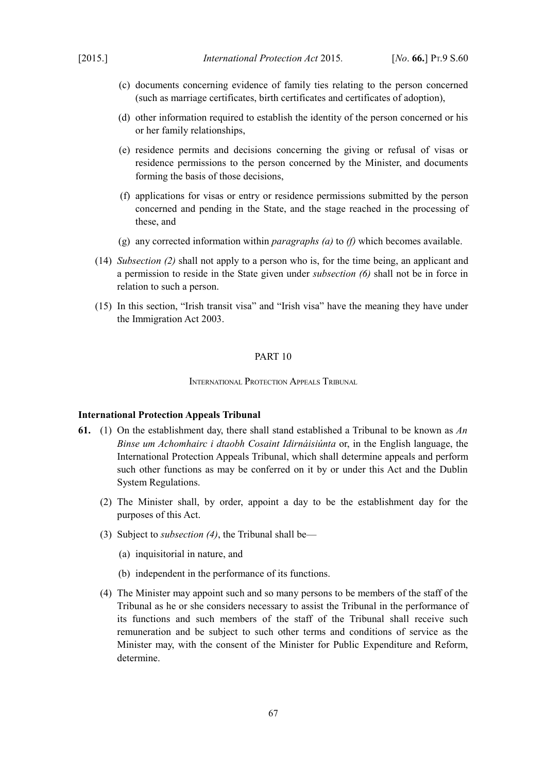- (c) documents concerning evidence of family ties relating to the person concerned (such as marriage certificates, birth certificates and certificates of adoption),
- (d) other information required to establish the identity of the person concerned or his or her family relationships,
- (e) residence permits and decisions concerning the giving or refusal of visas or residence permissions to the person concerned by the Minister, and documents forming the basis of those decisions,
- <span id="page-68-1"></span>(f) applications for visas or entry or residence permissions submitted by the person concerned and pending in the State, and the stage reached in the processing of these, and
- (g) any corrected information within *paragraphs [\(a\)](#page-67-2)* to *[\(f\)](#page-68-1)* which becomes available.
- (14) *Subsection [\(2\)](#page-66-1)* shall not apply to a person who is, for the time being, an applicant and a permission to reside in the State given under *subsection [\(6\)](#page-66-0)* shall not be in force in relation to such a person.
- (15) In this section, "Irish transit visa" and "Irish visa" have the meaning they have under the [Immigration Act 2003.](http://www.irishstatutebook.ie/2003/en/act/pub/0026/index.html)

# PART 10

INTERNATIONAL PROTECTION APPEALS TRIBUNAL

### **International Protection Appeals Tribunal**

- <span id="page-68-0"></span>**61.** (1) On the establishment day, there shall stand established a Tribunal to be known as *An Binse um Achomhairc i dtaobh Cosaint Idirnáisiúnta* or, in the English language, the International Protection Appeals Tribunal, which shall determine appeals and perform such other functions as may be conferred on it by or under this Act and the Dublin System Regulations.
	- (2) The Minister shall, by order, appoint a day to be the establishment day for the purposes of this Act.
	- (3) Subject to *subsection [\(4\)](#page-68-0)*, the Tribunal shall be—
		- (a) inquisitorial in nature, and
		- (b) independent in the performance of its functions.
	- (4) The Minister may appoint such and so many persons to be members of the staff of the Tribunal as he or she considers necessary to assist the Tribunal in the performance of its functions and such members of the staff of the Tribunal shall receive such remuneration and be subject to such other terms and conditions of service as the Minister may, with the consent of the Minister for Public Expenditure and Reform, determine.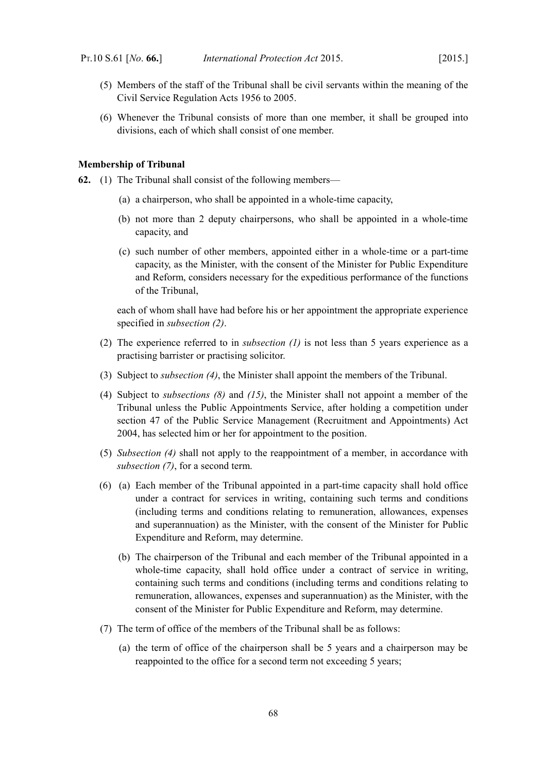- (5) Members of the staff of the Tribunal shall be civil servants within the meaning of the Civil Service Regulation Acts 1956 to 2005.
- (6) Whenever the Tribunal consists of more than one member, it shall be grouped into divisions, each of which shall consist of one member.

### **Membership of Tribunal**

<span id="page-69-2"></span>**62.** (1) The Tribunal shall consist of the following members—

- (a) a chairperson, who shall be appointed in a whole-time capacity,
- (b) not more than 2 deputy chairpersons, who shall be appointed in a whole-time capacity, and
- (c) such number of other members, appointed either in a whole-time or a part-time capacity, as the Minister, with the consent of the Minister for Public Expenditure and Reform, considers necessary for the expeditious performance of the functions of the Tribunal,

each of whom shall have had before his or her appointment the appropriate experience specified in *subsection [\(2\)](#page-69-3)*.

- <span id="page-69-3"></span>(2) The experience referred to in *subsection [\(1\)](#page-69-2)* is not less than 5 years experience as a practising barrister or practising solicitor.
- (3) Subject to *subsection [\(4\)](#page-69-1)*, the Minister shall appoint the members of the Tribunal.
- <span id="page-69-1"></span>(4) Subject to *subsections [\(8\)](#page-70-0)* and *[\(15\)](#page-71-0)*, the Minister shall not appoint a member of the Tribunal unless the Public Appointments Service, after holding a competition under section 47 of the [Public Service Management \(Recruitment and Appointments\) Act](http://www.irishstatutebook.ie/2004/en/act/pub/0033/index.html) [2004,](http://www.irishstatutebook.ie/2004/en/act/pub/0033/index.html) has selected him or her for appointment to the position.
- (5) *Subsection [\(4\)](#page-69-1)* shall not apply to the reappointment of a member, in accordance with *subsection [\(7\)](#page-69-0)*, for a second term.
- (6) (a) Each member of the Tribunal appointed in a part-time capacity shall hold office under a contract for services in writing, containing such terms and conditions (including terms and conditions relating to remuneration, allowances, expenses and superannuation) as the Minister, with the consent of the Minister for Public Expenditure and Reform, may determine.
	- (b) The chairperson of the Tribunal and each member of the Tribunal appointed in a whole-time capacity, shall hold office under a contract of service in writing, containing such terms and conditions (including terms and conditions relating to remuneration, allowances, expenses and superannuation) as the Minister, with the consent of the Minister for Public Expenditure and Reform, may determine.
- <span id="page-69-0"></span>(7) The term of office of the members of the Tribunal shall be as follows:
	- (a) the term of office of the chairperson shall be 5 years and a chairperson may be reappointed to the office for a second term not exceeding 5 years;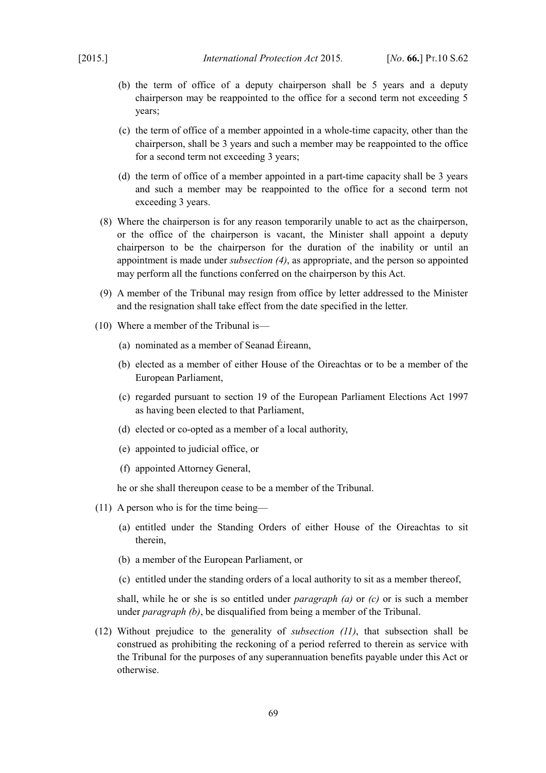- (b) the term of office of a deputy chairperson shall be 5 years and a deputy chairperson may be reappointed to the office for a second term not exceeding 5 years;
- (c) the term of office of a member appointed in a whole-time capacity, other than the chairperson, shall be 3 years and such a member may be reappointed to the office for a second term not exceeding 3 years;
- (d) the term of office of a member appointed in a part-time capacity shall be 3 years and such a member may be reappointed to the office for a second term not exceeding 3 years.
- <span id="page-70-0"></span>(8) Where the chairperson is for any reason temporarily unable to act as the chairperson, or the office of the chairperson is vacant, the Minister shall appoint a deputy chairperson to be the chairperson for the duration of the inability or until an appointment is made under *subsection [\(4\)](#page-69-1)*, as appropriate, and the person so appointed may perform all the functions conferred on the chairperson by this Act.
- (9) A member of the Tribunal may resign from office by letter addressed to the Minister and the resignation shall take effect from the date specified in the letter.
- (10) Where a member of the Tribunal is—
	- (a) nominated as a member of Seanad Éireann,
	- (b) elected as a member of either House of the Oireachtas or to be a member of the European Parliament,
	- (c) regarded pursuant to section 19 of the [European Parliament Elections Act 1997](http://www.irishstatutebook.ie/1997/en/act/pub/0002/index.html) as having been elected to that Parliament,
	- (d) elected or co-opted as a member of a local authority,
	- (e) appointed to judicial office, or
	- (f) appointed Attorney General,

he or she shall thereupon cease to be a member of the Tribunal.

- <span id="page-70-4"></span><span id="page-70-1"></span>(11) A person who is for the time being—
	- (a) entitled under the Standing Orders of either House of the Oireachtas to sit therein,
	- (b) a member of the European Parliament, or
	- (c) entitled under the standing orders of a local authority to sit as a member thereof,

<span id="page-70-3"></span><span id="page-70-2"></span>shall, while he or she is so entitled under *paragraph [\(a\)](#page-70-4)* or *[\(c\)](#page-70-3)* or is such a member under *paragraph [\(b\)](#page-70-2)*, be disqualified from being a member of the Tribunal.

(12) Without prejudice to the generality of *subsection [\(11\)](#page-70-1)*, that subsection shall be construed as prohibiting the reckoning of a period referred to therein as service with the Tribunal for the purposes of any superannuation benefits payable under this Act or otherwise.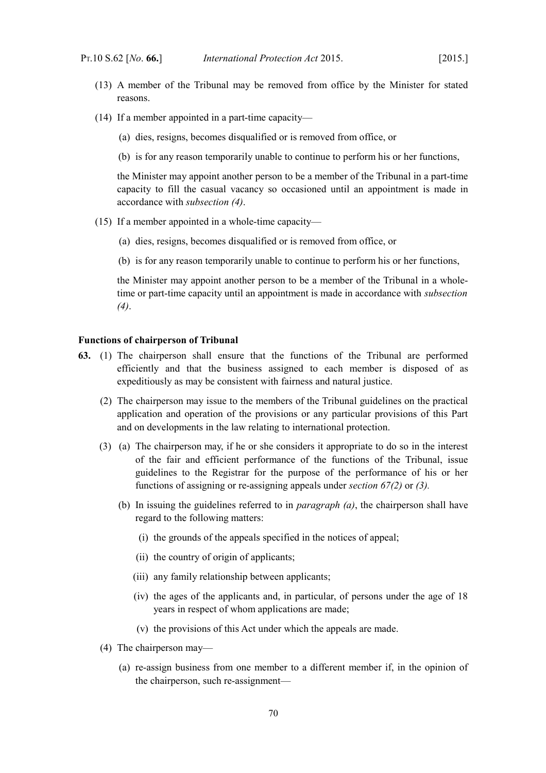- (13) A member of the Tribunal may be removed from office by the Minister for stated reasons.
- (14) If a member appointed in a part-time capacity—
	- (a) dies, resigns, becomes disqualified or is removed from office, or
	- (b) is for any reason temporarily unable to continue to perform his or her functions,

the Minister may appoint another person to be a member of the Tribunal in a part-time capacity to fill the casual vacancy so occasioned until an appointment is made in accordance with *subsection [\(4\)](#page-69-1)*.

- <span id="page-71-0"></span>(15) If a member appointed in a whole-time capacity—
	- (a) dies, resigns, becomes disqualified or is removed from office, or
	- (b) is for any reason temporarily unable to continue to perform his or her functions,

the Minister may appoint another person to be a member of the Tribunal in a wholetime or part-time capacity until an appointment is made in accordance with *subsection [\(4\)](#page-69-1)*.

### **Functions of chairperson of Tribunal**

- <span id="page-71-1"></span>**63.** (1) The chairperson shall ensure that the functions of the Tribunal are performed efficiently and that the business assigned to each member is disposed of as expeditiously as may be consistent with fairness and natural justice.
	- (2) The chairperson may issue to the members of the Tribunal guidelines on the practical application and operation of the provisions or any particular provisions of this Part and on developments in the law relating to international protection.
	- (3) (a) The chairperson may, if he or she considers it appropriate to do so in the interest of the fair and efficient performance of the functions of the Tribunal, issue guidelines to the Registrar for the purpose of the performance of his or her functions of assigning or re-assigning appeals under *section [67](#page-73-0)[\(2\)](#page-74-1)* or *[\(3\).](#page-74-0)*
		- (b) In issuing the guidelines referred to in *paragraph [\(a\)](#page-71-1)*, the chairperson shall have regard to the following matters:
			- (i) the grounds of the appeals specified in the notices of appeal;
			- (ii) the country of origin of applicants;
			- (iii) any family relationship between applicants;
			- (iv) the ages of the applicants and, in particular, of persons under the age of 18 years in respect of whom applications are made;
			- (v) the provisions of this Act under which the appeals are made.
	- (4) The chairperson may—
		- (a) re-assign business from one member to a different member if, in the opinion of the chairperson, such re-assignment—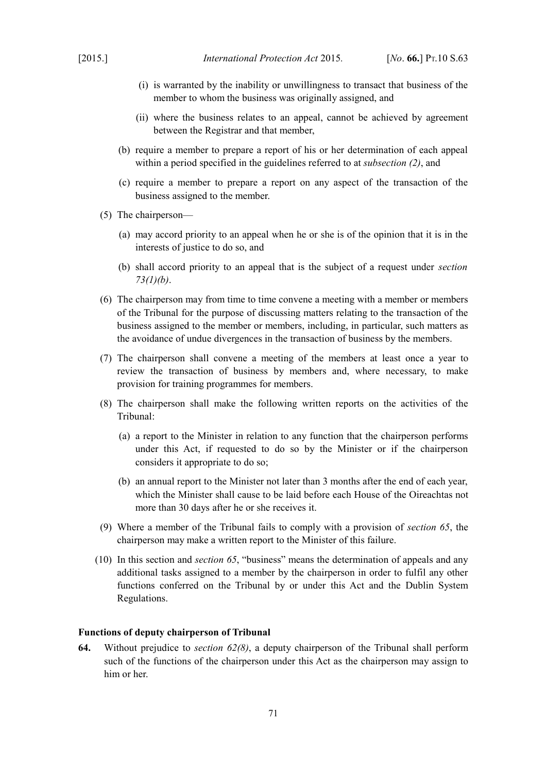- (i) is warranted by the inability or unwillingness to transact that business of the member to whom the business was originally assigned, and
- (ii) where the business relates to an appeal, cannot be achieved by agreement between the Registrar and that member,
- <span id="page-72-3"></span>(b) require a member to prepare a report of his or her determination of each appeal within a period specified in the guidelines referred to at *subsection [\(2\)](#page-71-0)*, and
- <span id="page-72-2"></span>(c) require a member to prepare a report on any aspect of the transaction of the business assigned to the member.
- <span id="page-72-4"></span>(5) The chairperson—
	- (a) may accord priority to an appeal when he or she is of the opinion that it is in the interests of justice to do so, and
	- (b) shall accord priority to an appeal that is the subject of a request under *section [73](#page-82-1)[\(1\)](#page-82-0)[\(b\)](#page-83-0)*.
- <span id="page-72-1"></span>(6) The chairperson may from time to time convene a meeting with a member or members of the Tribunal for the purpose of discussing matters relating to the transaction of the business assigned to the member or members, including, in particular, such matters as the avoidance of undue divergences in the transaction of business by the members.
- <span id="page-72-0"></span>(7) The chairperson shall convene a meeting of the members at least once a year to review the transaction of business by members and, where necessary, to make provision for training programmes for members.
- (8) The chairperson shall make the following written reports on the activities of the Tribunal:
	- (a) a report to the Minister in relation to any function that the chairperson performs under this Act, if requested to do so by the Minister or if the chairperson considers it appropriate to do so;
	- (b) an annual report to the Minister not later than 3 months after the end of each year, which the Minister shall cause to be laid before each House of the Oireachtas not more than 30 days after he or she receives it.
- (9) Where a member of the Tribunal fails to comply with a provision of *section [65](#page-73-0)*, the chairperson may make a written report to the Minister of this failure.
- (10) In this section and *section [65](#page-73-0)*, "business" means the determination of appeals and any additional tasks assigned to a member by the chairperson in order to fulfil any other functions conferred on the Tribunal by or under this Act and the Dublin System Regulations.

## **Functions of deputy chairperson of Tribunal**

**64.** Without prejudice to *section [62](#page-69-0)[\(8\)](#page-70-0)*, a deputy chairperson of the Tribunal shall perform such of the functions of the chairperson under this Act as the chairperson may assign to him or her.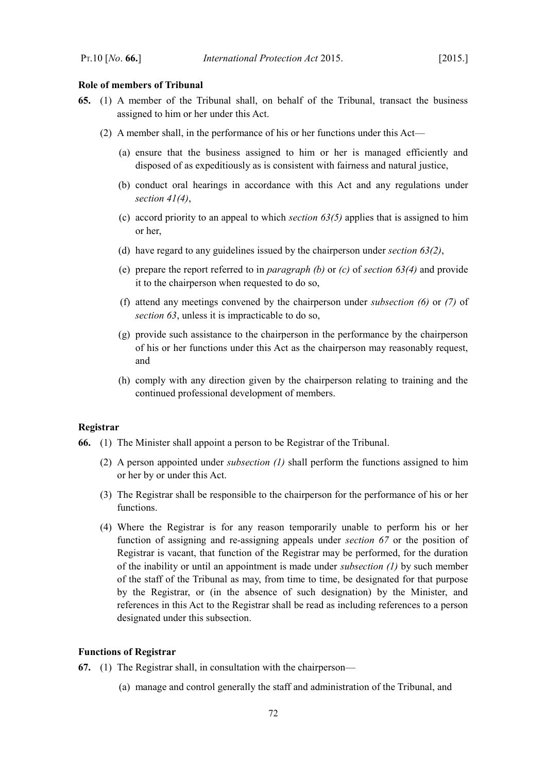# **Role of members of Tribunal**

- <span id="page-73-0"></span>**65.** (1) A member of the Tribunal shall, on behalf of the Tribunal, transact the business assigned to him or her under this Act.
	- (2) A member shall, in the performance of his or her functions under this Act—
		- (a) ensure that the business assigned to him or her is managed efficiently and disposed of as expeditiously as is consistent with fairness and natural justice,
		- (b) conduct oral hearings in accordance with this Act and any regulations under *section [41](#page-48-1)[\(4\)](#page-48-0)*,
		- (c) accord priority to an appeal to which *section [63](#page-71-1)[\(5\)](#page-72-4)* applies that is assigned to him or her,
		- (d) have regard to any guidelines issued by the chairperson under *section [63](#page-71-1)[\(2\)](#page-71-0)*,
		- (e) prepare the report referred to in *paragraph [\(b\)](#page-72-3)* or *[\(c\)](#page-72-2)* of *section [63](#page-71-1)[\(4\)](#page-71-2)* and provide it to the chairperson when requested to do so,
		- (f) attend any meetings convened by the chairperson under *subsection [\(6\)](#page-72-1)* or *[\(7\)](#page-72-0)* of *section [63](#page-71-1)*, unless it is impracticable to do so,
		- (g) provide such assistance to the chairperson in the performance by the chairperson of his or her functions under this Act as the chairperson may reasonably request, and
		- (h) comply with any direction given by the chairperson relating to training and the continued professional development of members.

# **Registrar**

- <span id="page-73-4"></span><span id="page-73-1"></span>**66.** (1) The Minister shall appoint a person to be Registrar of the Tribunal.
	- (2) A person appointed under *subsection [\(1\)](#page-73-1)* shall perform the functions assigned to him or her by or under this Act.
	- (3) The Registrar shall be responsible to the chairperson for the performance of his or her functions.
	- (4) Where the Registrar is for any reason temporarily unable to perform his or her function of assigning and re-assigning appeals under *section [67](#page-73-2)* or the position of Registrar is vacant, that function of the Registrar may be performed, for the duration of the inability or until an appointment is made under *subsection [\(1\)](#page-73-1)* by such member of the staff of the Tribunal as may, from time to time, be designated for that purpose by the Registrar, or (in the absence of such designation) by the Minister, and references in this Act to the Registrar shall be read as including references to a person designated under this subsection.

## **Functions of Registrar**

- <span id="page-73-3"></span><span id="page-73-2"></span>**67.** (1) The Registrar shall, in consultation with the chairperson—
	- (a) manage and control generally the staff and administration of the Tribunal, and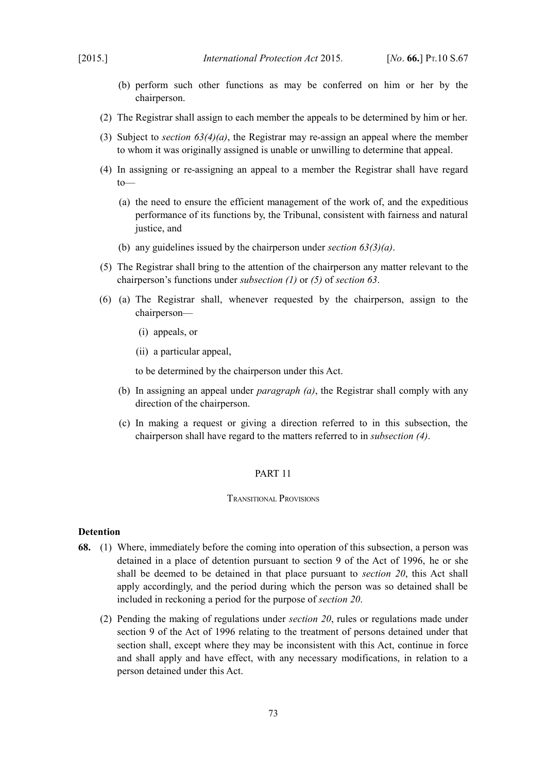- (b) perform such other functions as may be conferred on him or her by the chairperson.
- (2) The Registrar shall assign to each member the appeals to be determined by him or her.
- (3) Subject to *section [63](#page-71-1)[\(4\)](#page-71-2)[\(a\)](#page-71-5)*, the Registrar may re-assign an appeal where the member to whom it was originally assigned is unable or unwilling to determine that appeal.
- <span id="page-74-0"></span>(4) In assigning or re-assigning an appeal to a member the Registrar shall have regard to—
	- (a) the need to ensure the efficient management of the work of, and the expeditious performance of its functions by, the Tribunal, consistent with fairness and natural justice, and
	- (b) any guidelines issued by the chairperson under *section [63](#page-71-1)[\(3\)](#page-71-4)[\(a\)](#page-71-3)*.
- <span id="page-74-2"></span>(5) The Registrar shall bring to the attention of the chairperson any matter relevant to the chairperson's functions under *subsection [\(1\)](#page-73-3)* or *[\(5\)](#page-74-2)* of *section [63](#page-71-1)*.
- <span id="page-74-1"></span>(6) (a) The Registrar shall, whenever requested by the chairperson, assign to the chairperson—
	- (i) appeals, or
	- (ii) a particular appeal,

to be determined by the chairperson under this Act.

- (b) In assigning an appeal under *paragraph [\(a\)](#page-74-1)*, the Registrar shall comply with any direction of the chairperson.
- (c) In making a request or giving a direction referred to in this subsection, the chairperson shall have regard to the matters referred to in *subsection [\(4\)](#page-74-0)*.

# PART 11

# TRANSITIONAL PROVISIONS

#### **Detention**

- **68.** (1) Where, immediately before the coming into operation of this subsection, a person was detained in a place of detention pursuant to section 9 of the Act of 1996, he or she shall be deemed to be detained in that place pursuant to *section [20](#page-24-0)*, this Act shall apply accordingly, and the period during which the person was so detained shall be included in reckoning a period for the purpose of *section [20](#page-24-0)*.
	- (2) Pending the making of regulations under *section [20](#page-24-0)*, rules or regulations made under section 9 of the Act of 1996 relating to the treatment of persons detained under that section shall, except where they may be inconsistent with this Act, continue in force and shall apply and have effect, with any necessary modifications, in relation to a person detained under this Act.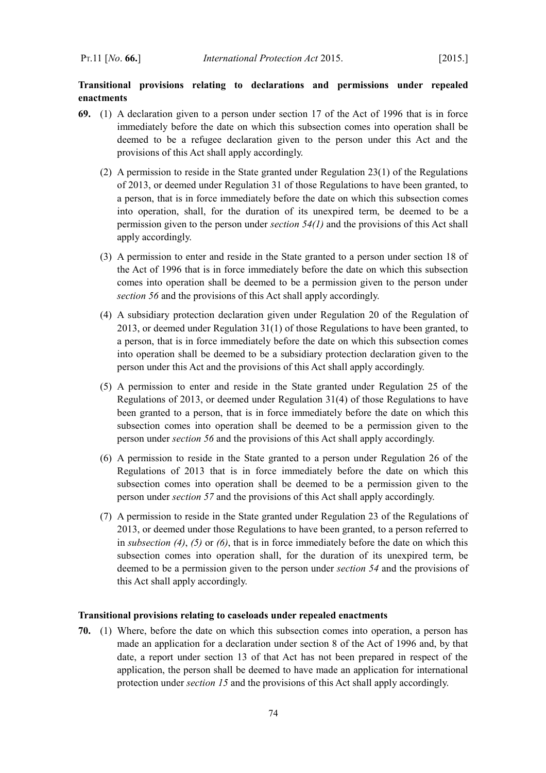# **Transitional provisions relating to declarations and permissions under repealed enactments**

- <span id="page-75-2"></span>**69.** (1) A declaration given to a person under section 17 of the Act of 1996 that is in force immediately before the date on which this subsection comes into operation shall be deemed to be a refugee declaration given to the person under this Act and the provisions of this Act shall apply accordingly.
	- (2) A permission to reside in the State granted under Regulation 23(1) of the Regulations of 2013, or deemed under Regulation 31 of those Regulations to have been granted, to a person, that is in force immediately before the date on which this subsection comes into operation, shall, for the duration of its unexpired term, be deemed to be a permission given to the person under *section [54](#page-61-0)[\(1\)](#page-61-1)* and the provisions of this Act shall apply accordingly.
	- (3) A permission to enter and reside in the State granted to a person under section 18 of the Act of 1996 that is in force immediately before the date on which this subsection comes into operation shall be deemed to be a permission given to the person under *section [56](#page-62-0)* and the provisions of this Act shall apply accordingly.
	- (4) A subsidiary protection declaration given under Regulation 20 of the Regulation of 2013, or deemed under Regulation 31(1) of those Regulations to have been granted, to a person, that is in force immediately before the date on which this subsection comes into operation shall be deemed to be a subsidiary protection declaration given to the person under this Act and the provisions of this Act shall apply accordingly.
	- (5) A permission to enter and reside in the State granted under Regulation 25 of the Regulations of 2013, or deemed under Regulation 31(4) of those Regulations to have been granted to a person, that is in force immediately before the date on which this subsection comes into operation shall be deemed to be a permission given to the person under *section [56](#page-62-0)* and the provisions of this Act shall apply accordingly.
	- (6) A permission to reside in the State granted to a person under Regulation 26 of the Regulations of 2013 that is in force immediately before the date on which this subsection comes into operation shall be deemed to be a permission given to the person under *section [57](#page-63-0)* and the provisions of this Act shall apply accordingly.
	- (7) A permission to reside in the State granted under Regulation 23 of the Regulations of 2013, or deemed under those Regulations to have been granted, to a person referred to in *subsection [\(4\)](#page-75-2)*, *[\(5\)](#page-75-1)* or *[\(6\)](#page-75-0)*, that is in force immediately before the date on which this subsection comes into operation shall, for the duration of its unexpired term, be deemed to be a permission given to the person under *section [54](#page-61-0)* and the provisions of this Act shall apply accordingly.

#### <span id="page-75-1"></span><span id="page-75-0"></span>**Transitional provisions relating to caseloads under repealed enactments**

<span id="page-75-4"></span><span id="page-75-3"></span>**70.** (1) Where, before the date on which this subsection comes into operation, a person has made an application for a declaration under section 8 of the Act of 1996 and, by that date, a report under section 13 of that Act has not been prepared in respect of the application, the person shall be deemed to have made an application for international protection under *section [15](#page-20-0)* and the provisions of this Act shall apply accordingly.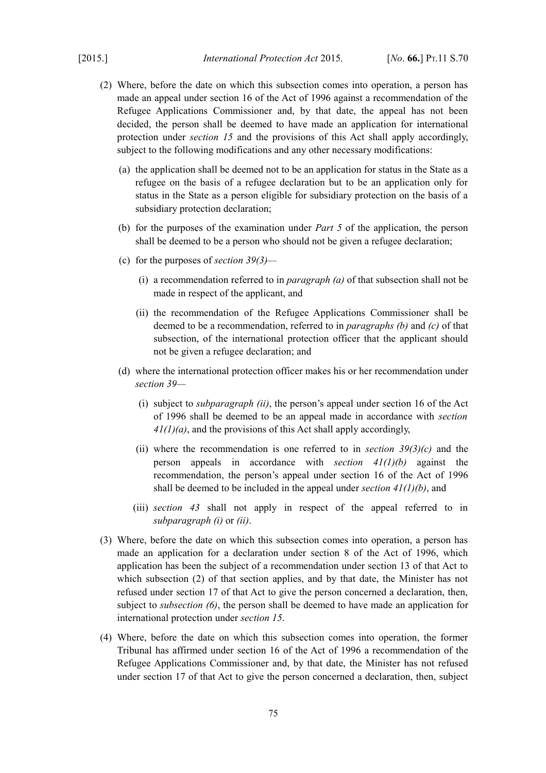- <span id="page-76-4"></span>(2) Where, before the date on which this subsection comes into operation, a person has made an appeal under section 16 of the Act of 1996 against a recommendation of the Refugee Applications Commissioner and, by that date, the appeal has not been decided, the person shall be deemed to have made an application for international protection under *section [15](#page-20-0)* and the provisions of this Act shall apply accordingly, subject to the following modifications and any other necessary modifications:
	- (a) the application shall be deemed not to be an application for status in the State as a refugee on the basis of a refugee declaration but to be an application only for status in the State as a person eligible for subsidiary protection on the basis of a subsidiary protection declaration;
	- (b) for the purposes of the examination under *Part [5](#page-41-0)* of the application, the person shall be deemed to be a person who should not be given a refugee declaration;
	- (c) for the purposes of *section [39](#page-45-0)[\(3\)—](#page-46-1)*
		- (i) a recommendation referred to in *paragraph [\(a\)](#page-46-3)* of that subsection shall not be made in respect of the applicant, and
		- (ii) the recommendation of the Refugee Applications Commissioner shall be deemed to be a recommendation, referred to in *paragraphs [\(b\)](#page-46-2)* and *[\(c\)](#page-46-0)* of that subsection, of the international protection officer that the applicant should not be given a refugee declaration; and
	- (d) where the international protection officer makes his or her recommendation under *section [39—](#page-45-0)*
		- (i) subject to *subparagraph [\(ii\)](#page-76-0)*, the person's appeal under section 16 of the Act of 1996 shall be deemed to be an appeal made in accordance with *section [41](#page-48-1)[\(1\)](#page-48-3)[\(a\)](#page-48-4)*, and the provisions of this Act shall apply accordingly,
		- (ii) where the recommendation is one referred to in *section [39](#page-45-0)[\(3\)](#page-46-1)[\(c\)](#page-46-0)* and the person appeals in accordance with *section [41](#page-48-1)[\(1\)](#page-48-3)[\(b\)](#page-48-2)* against the recommendation, the person's appeal under section 16 of the Act of 1996 shall be deemed to be included in the appeal under *section [41](#page-48-1)[\(1\)](#page-48-3)[\(b\)](#page-48-2)*, and
		- (iii) *section [43](#page-50-0)* shall not apply in respect of the appeal referred to in *subparagraph [\(i\)](#page-76-1)* or *[\(ii\)](#page-76-0)*.
- <span id="page-76-3"></span><span id="page-76-1"></span><span id="page-76-0"></span>(3) Where, before the date on which this subsection comes into operation, a person has made an application for a declaration under section 8 of the Act of 1996, which application has been the subject of a recommendation under section 13 of that Act to which subsection (2) of that section applies, and by that date, the Minister has not refused under section 17 of that Act to give the person concerned a declaration, then, subject to *subsection [\(6\)](#page-77-0)*, the person shall be deemed to have made an application for international protection under *section [15](#page-20-0)*.
- <span id="page-76-2"></span>(4) Where, before the date on which this subsection comes into operation, the former Tribunal has affirmed under section 16 of the Act of 1996 a recommendation of the Refugee Applications Commissioner and, by that date, the Minister has not refused under section 17 of that Act to give the person concerned a declaration, then, subject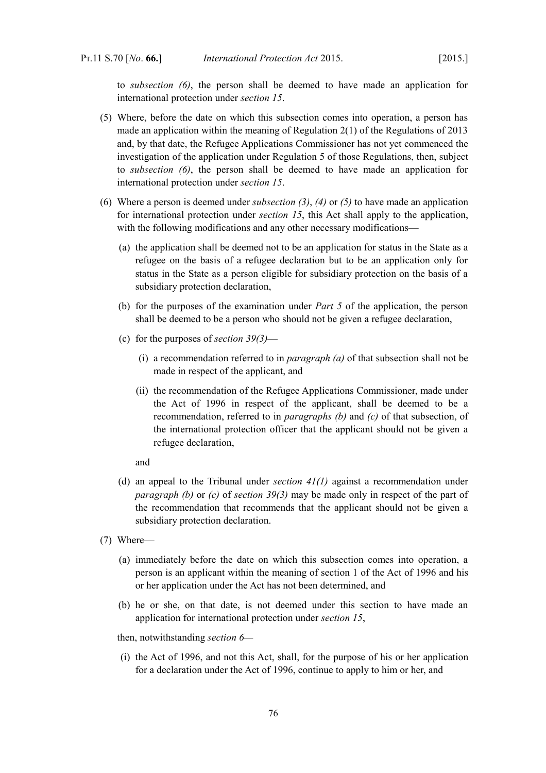to *subsection [\(6\)](#page-77-0)*, the person shall be deemed to have made an application for international protection under *section [15](#page-20-0)*.

- <span id="page-77-1"></span>(5) Where, before the date on which this subsection comes into operation, a person has made an application within the meaning of Regulation 2(1) of the Regulations of 2013 and, by that date, the Refugee Applications Commissioner has not yet commenced the investigation of the application under Regulation 5 of those Regulations, then, subject to *subsection [\(6\)](#page-77-0)*, the person shall be deemed to have made an application for international protection under *section [15](#page-20-0)*.
- <span id="page-77-0"></span>(6) Where a person is deemed under *subsection [\(3\)](#page-76-3)*, *[\(4\)](#page-76-2)* or *[\(5\)](#page-77-1)* to have made an application for international protection under *section [15](#page-20-0)*, this Act shall apply to the application, with the following modifications and any other necessary modifications—
	- (a) the application shall be deemed not to be an application for status in the State as a refugee on the basis of a refugee declaration but to be an application only for status in the State as a person eligible for subsidiary protection on the basis of a subsidiary protection declaration,
	- (b) for the purposes of the examination under *Part [5](#page-41-0)* of the application, the person shall be deemed to be a person who should not be given a refugee declaration,
	- (c) for the purposes of *section [39](#page-45-0)[\(3\)](#page-46-1)*
		- (i) a recommendation referred to in *paragraph [\(a\)](#page-46-3)* of that subsection shall not be made in respect of the applicant, and
		- (ii) the recommendation of the Refugee Applications Commissioner, made under the Act of 1996 in respect of the applicant, shall be deemed to be a recommendation, referred to in *paragraphs [\(b\)](#page-46-2)* and *[\(c\)](#page-46-0)* of that subsection, of the international protection officer that the applicant should not be given a refugee declaration,
		- and
	- (d) an appeal to the Tribunal under *section [41](#page-48-1)[\(1\)](#page-48-3)* against a recommendation under *paragraph [\(b\)](#page-46-2)* or *[\(c\)](#page-46-0)* of *section [39](#page-45-0)[\(3\)](#page-46-1)* may be made only in respect of the part of the recommendation that recommends that the applicant should not be given a subsidiary protection declaration.
- <span id="page-77-2"></span>(7) Where—
	- (a) immediately before the date on which this subsection comes into operation, a person is an applicant within the meaning of section 1 of the Act of 1996 and his or her application under the Act has not been determined, and
	- (b) he or she, on that date, is not deemed under this section to have made an application for international protection under *section [15](#page-20-0)*,

then, notwithstanding *section [6—](#page-14-0)*

(i) the Act of 1996, and not this Act, shall, for the purpose of his or her application for a declaration under the Act of 1996, continue to apply to him or her, and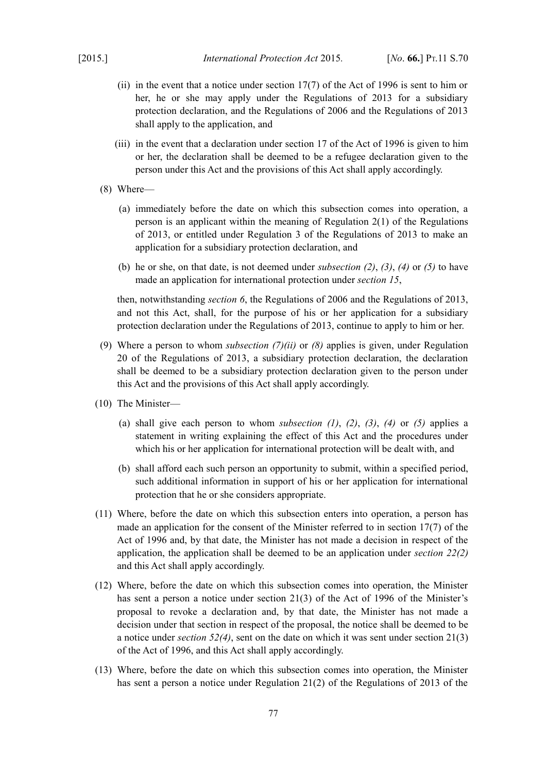- <span id="page-78-1"></span>(ii) in the event that a notice under section  $17(7)$  of the Act of 1996 is sent to him or her, he or she may apply under the Regulations of 2013 for a subsidiary protection declaration, and the Regulations of 2006 and the Regulations of 2013 shall apply to the application, and
- (iii) in the event that a declaration under section 17 of the Act of 1996 is given to him or her, the declaration shall be deemed to be a refugee declaration given to the person under this Act and the provisions of this Act shall apply accordingly.
- <span id="page-78-0"></span>(8) Where—
	- (a) immediately before the date on which this subsection comes into operation, a person is an applicant within the meaning of Regulation 2(1) of the Regulations of 2013, or entitled under Regulation 3 of the Regulations of 2013 to make an application for a subsidiary protection declaration, and
	- (b) he or she, on that date, is not deemed under *subsection [\(2\)](#page-76-4)*, *[\(3\)](#page-76-3)*, *[\(4\)](#page-76-2)* or *[\(5\)](#page-77-1)* to have made an application for international protection under *section [15](#page-20-0)*,

then, notwithstanding *section [6](#page-14-0)*, the Regulations of 2006 and the Regulations of 2013, and not this Act, shall, for the purpose of his or her application for a subsidiary protection declaration under the Regulations of 2013, continue to apply to him or her.

- (9) Where a person to whom *subsection [\(7\)](#page-77-2)[\(ii\)](#page-78-1)* or *[\(8\)](#page-78-0)* applies is given, under Regulation 20 of the Regulations of 2013, a subsidiary protection declaration, the declaration shall be deemed to be a subsidiary protection declaration given to the person under this Act and the provisions of this Act shall apply accordingly.
- (10) The Minister—
	- (a) shall give each person to whom *subsection [\(1\)](#page-75-3)*, *[\(2\)](#page-76-4)*, *[\(3\)](#page-76-3)*, *[\(4\)](#page-76-2)* or *[\(5\)](#page-77-1)* applies a statement in writing explaining the effect of this Act and the procedures under which his or her application for international protection will be dealt with, and
	- (b) shall afford each such person an opportunity to submit, within a specified period, such additional information in support of his or her application for international protection that he or she considers appropriate.
- (11) Where, before the date on which this subsection enters into operation, a person has made an application for the consent of the Minister referred to in section 17(7) of the Act of 1996 and, by that date, the Minister has not made a decision in respect of the application, the application shall be deemed to be an application under *section [22](#page-30-1)[\(2\)](#page-30-0)* and this Act shall apply accordingly.
- (12) Where, before the date on which this subsection comes into operation, the Minister has sent a person a notice under section 21(3) of the Act of 1996 of the Minister's proposal to revoke a declaration and, by that date, the Minister has not made a decision under that section in respect of the proposal, the notice shall be deemed to be a notice under *section [52](#page-59-1)[\(4\)](#page-59-0)*, sent on the date on which it was sent under section 21(3) of the Act of 1996, and this Act shall apply accordingly.
- (13) Where, before the date on which this subsection comes into operation, the Minister has sent a person a notice under Regulation 21(2) of the Regulations of 2013 of the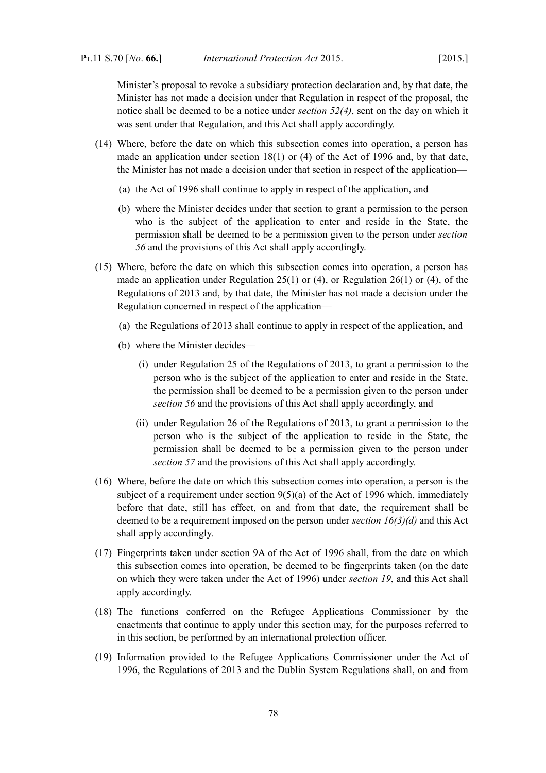Minister's proposal to revoke a subsidiary protection declaration and, by that date, the Minister has not made a decision under that Regulation in respect of the proposal, the notice shall be deemed to be a notice under *section [52](#page-59-1)[\(4\)](#page-59-0)*, sent on the day on which it was sent under that Regulation, and this Act shall apply accordingly.

- (14) Where, before the date on which this subsection comes into operation, a person has made an application under section 18(1) or (4) of the Act of 1996 and, by that date, the Minister has not made a decision under that section in respect of the application—
	- (a) the Act of 1996 shall continue to apply in respect of the application, and
	- (b) where the Minister decides under that section to grant a permission to the person who is the subject of the application to enter and reside in the State, the permission shall be deemed to be a permission given to the person under *section [56](#page-62-0)* and the provisions of this Act shall apply accordingly.
- (15) Where, before the date on which this subsection comes into operation, a person has made an application under Regulation  $25(1)$  or (4), or Regulation  $26(1)$  or (4), of the Regulations of 2013 and, by that date, the Minister has not made a decision under the Regulation concerned in respect of the application—
	- (a) the Regulations of 2013 shall continue to apply in respect of the application, and
	- (b) where the Minister decides—
		- (i) under Regulation 25 of the Regulations of 2013, to grant a permission to the person who is the subject of the application to enter and reside in the State, the permission shall be deemed to be a permission given to the person under *section [56](#page-62-0)* and the provisions of this Act shall apply accordingly, and
		- (ii) under Regulation 26 of the Regulations of 2013, to grant a permission to the person who is the subject of the application to reside in the State, the permission shall be deemed to be a permission given to the person under *section [57](#page-63-0)* and the provisions of this Act shall apply accordingly.
- (16) Where, before the date on which this subsection comes into operation, a person is the subject of a requirement under section  $9(5)(a)$  of the Act of 1996 which, immediately before that date, still has effect, on and from that date, the requirement shall be deemed to be a requirement imposed on the person under *section [16](#page-21-2)[\(3\)](#page-21-1)[\(d\)](#page-21-0)* and this Act shall apply accordingly.
- (17) Fingerprints taken under section 9A of the Act of 1996 shall, from the date on which this subsection comes into operation, be deemed to be fingerprints taken (on the date on which they were taken under the Act of 1996) under *section [19](#page-23-0)*, and this Act shall apply accordingly.
- (18) The functions conferred on the Refugee Applications Commissioner by the enactments that continue to apply under this section may, for the purposes referred to in this section, be performed by an international protection officer.
- (19) Information provided to the Refugee Applications Commissioner under the Act of 1996, the Regulations of 2013 and the Dublin System Regulations shall, on and from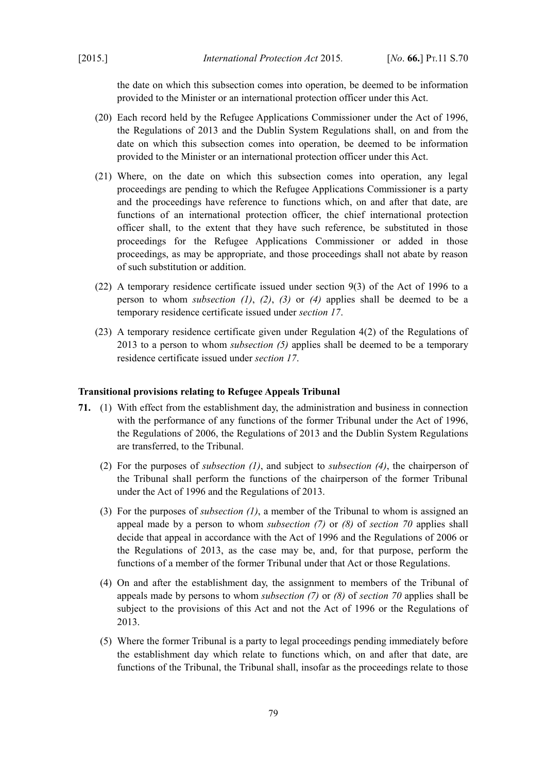the date on which this subsection comes into operation, be deemed to be information provided to the Minister or an international protection officer under this Act.

- (20) Each record held by the Refugee Applications Commissioner under the Act of 1996, the Regulations of 2013 and the Dublin System Regulations shall, on and from the date on which this subsection comes into operation, be deemed to be information provided to the Minister or an international protection officer under this Act.
- (21) Where, on the date on which this subsection comes into operation, any legal proceedings are pending to which the Refugee Applications Commissioner is a party and the proceedings have reference to functions which, on and after that date, are functions of an international protection officer, the chief international protection officer shall, to the extent that they have such reference, be substituted in those proceedings for the Refugee Applications Commissioner or added in those proceedings, as may be appropriate, and those proceedings shall not abate by reason of such substitution or addition.
- (22) A temporary residence certificate issued under section 9(3) of the Act of 1996 to a person to whom *subsection [\(1\)](#page-75-3)*, *[\(2\)](#page-76-4)*, *[\(3\)](#page-76-3)* or *[\(4\)](#page-76-2)* applies shall be deemed to be a temporary residence certificate issued under *section [17](#page-21-3)*.
- (23) A temporary residence certificate given under Regulation 4(2) of the Regulations of 2013 to a person to whom *subsection [\(5\)](#page-77-1)* applies shall be deemed to be a temporary residence certificate issued under *section [17](#page-21-3)*.

# **Transitional provisions relating to Refugee Appeals Tribunal**

- <span id="page-80-1"></span><span id="page-80-0"></span>**71.** (1) With effect from the establishment day, the administration and business in connection with the performance of any functions of the former Tribunal under the Act of 1996, the Regulations of 2006, the Regulations of 2013 and the Dublin System Regulations are transferred, to the Tribunal.
	- (2) For the purposes of *subsection [\(1\)](#page-80-0)*, and subject to *subsection [\(4\)](#page-80-1)*, the chairperson of the Tribunal shall perform the functions of the chairperson of the former Tribunal under the Act of 1996 and the Regulations of 2013.
	- (3) For the purposes of *subsection [\(1\)](#page-80-0)*, a member of the Tribunal to whom is assigned an appeal made by a person to whom *subsection [\(7\)](#page-77-2)* or *[\(8\)](#page-78-0)* of *section [70](#page-75-4)* applies shall decide that appeal in accordance with the Act of 1996 and the Regulations of 2006 or the Regulations of 2013, as the case may be, and, for that purpose, perform the functions of a member of the former Tribunal under that Act or those Regulations.
	- (4) On and after the establishment day, the assignment to members of the Tribunal of appeals made by persons to whom *subsection [\(7\)](#page-77-2)* or *[\(8\)](#page-78-0)* of *section [70](#page-75-4)* applies shall be subject to the provisions of this Act and not the Act of 1996 or the Regulations of 2013.
	- (5) Where the former Tribunal is a party to legal proceedings pending immediately before the establishment day which relate to functions which, on and after that date, are functions of the Tribunal, the Tribunal shall, insofar as the proceedings relate to those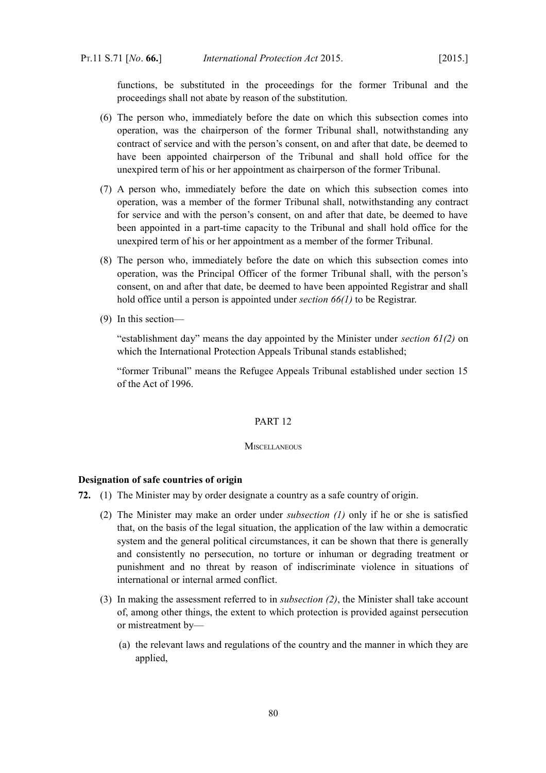functions, be substituted in the proceedings for the former Tribunal and the proceedings shall not abate by reason of the substitution.

- (6) The person who, immediately before the date on which this subsection comes into operation, was the chairperson of the former Tribunal shall, notwithstanding any contract of service and with the person's consent, on and after that date, be deemed to have been appointed chairperson of the Tribunal and shall hold office for the unexpired term of his or her appointment as chairperson of the former Tribunal.
- (7) A person who, immediately before the date on which this subsection comes into operation, was a member of the former Tribunal shall, notwithstanding any contract for service and with the person's consent, on and after that date, be deemed to have been appointed in a part-time capacity to the Tribunal and shall hold office for the unexpired term of his or her appointment as a member of the former Tribunal.
- (8) The person who, immediately before the date on which this subsection comes into operation, was the Principal Officer of the former Tribunal shall, with the person's consent, on and after that date, be deemed to have been appointed Registrar and shall hold office until a person is appointed under *section [66](#page-73-4)[\(1\)](#page-73-1)* to be Registrar.
- (9) In this section—

"establishment day" means the day appointed by the Minister under *section [61](#page-68-1)[\(2\)](#page-68-0)* on which the International Protection Appeals Tribunal stands established;

"former Tribunal" means the Refugee Appeals Tribunal established under section 15 of the Act of 1996.

## PART 12

# **MISCELLANEOUS**

# **Designation of safe countries of origin**

- <span id="page-81-1"></span><span id="page-81-0"></span>**72.** (1) The Minister may by order designate a country as a safe country of origin.
	- (2) The Minister may make an order under *subsection [\(1\)](#page-81-1)* only if he or she is satisfied that, on the basis of the legal situation, the application of the law within a democratic system and the general political circumstances, it can be shown that there is generally and consistently no persecution, no torture or inhuman or degrading treatment or punishment and no threat by reason of indiscriminate violence in situations of international or internal armed conflict.
	- (3) In making the assessment referred to in *subsection [\(2\)](#page-81-0)*, the Minister shall take account of, among other things, the extent to which protection is provided against persecution or mistreatment by—
		- (a) the relevant laws and regulations of the country and the manner in which they are applied,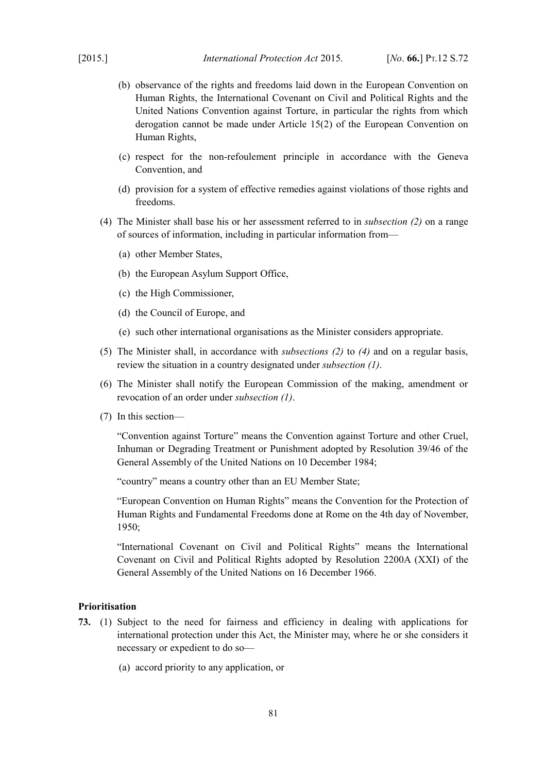- (b) observance of the rights and freedoms laid down in the European Convention on Human Rights, the International Covenant on Civil and Political Rights and the United Nations Convention against Torture, in particular the rights from which derogation cannot be made under Article 15(2) of the European Convention on Human Rights,
- (c) respect for the non-refoulement principle in accordance with the Geneva Convention, and
- (d) provision for a system of effective remedies against violations of those rights and freedoms.
- <span id="page-82-2"></span>(4) The Minister shall base his or her assessment referred to in *subsection [\(2\)](#page-81-0)* on a range of sources of information, including in particular information from—
	- (a) other Member States,
	- (b) the European Asylum Support Office,
	- (c) the High Commissioner,
	- (d) the Council of Europe, and
	- (e) such other international organisations as the Minister considers appropriate.
- (5) The Minister shall, in accordance with *subsections [\(2\)](#page-81-0)* to *[\(4\)](#page-82-2)* and on a regular basis, review the situation in a country designated under *subsection [\(1\)](#page-81-1)*.
- (6) The Minister shall notify the European Commission of the making, amendment or revocation of an order under *subsection [\(1\)](#page-81-1)*.
- (7) In this section—

"Convention against Torture" means the Convention against Torture and other Cruel, Inhuman or Degrading Treatment or Punishment adopted by Resolution 39/46 of the General Assembly of the United Nations on 10 December 1984;

"country" means a country other than an EU Member State;

"European Convention on Human Rights" means the Convention for the Protection of Human Rights and Fundamental Freedoms done at Rome on the 4th day of November, 1950;

"International Covenant on Civil and Political Rights" means the International Covenant on Civil and Political Rights adopted by Resolution 2200A (XXI) of the General Assembly of the United Nations on 16 December 1966.

## **Prioritisation**

- <span id="page-82-3"></span><span id="page-82-1"></span><span id="page-82-0"></span>**73.** (1) Subject to the need for fairness and efficiency in dealing with applications for international protection under this Act, the Minister may, where he or she considers it necessary or expedient to do so—
	- (a) accord priority to any application, or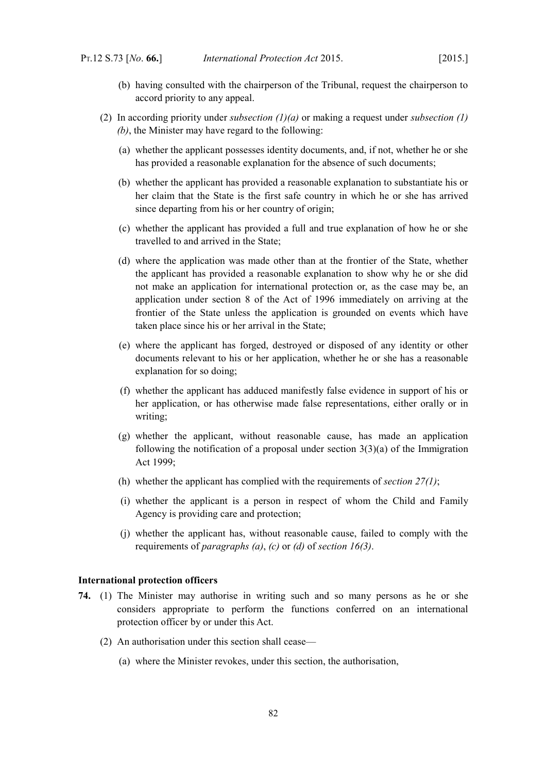- <span id="page-83-0"></span>(b) having consulted with the chairperson of the Tribunal, request the chairperson to accord priority to any appeal.
- (2) In according priority under *subsection [\(1\)](#page-82-0)[\(a\)](#page-82-3)* or making a request under *subsection [\(1\)](#page-82-0) [\(b\)](#page-83-0)*, the Minister may have regard to the following:
	- (a) whether the applicant possesses identity documents, and, if not, whether he or she has provided a reasonable explanation for the absence of such documents;
	- (b) whether the applicant has provided a reasonable explanation to substantiate his or her claim that the State is the first safe country in which he or she has arrived since departing from his or her country of origin;
	- (c) whether the applicant has provided a full and true explanation of how he or she travelled to and arrived in the State;
	- (d) where the application was made other than at the frontier of the State, whether the applicant has provided a reasonable explanation to show why he or she did not make an application for international protection or, as the case may be, an application under section 8 of the Act of 1996 immediately on arriving at the frontier of the State unless the application is grounded on events which have taken place since his or her arrival in the State;
	- (e) where the applicant has forged, destroyed or disposed of any identity or other documents relevant to his or her application, whether he or she has a reasonable explanation for so doing;
	- (f) whether the applicant has adduced manifestly false evidence in support of his or her application, or has otherwise made false representations, either orally or in writing;
	- (g) whether the applicant, without reasonable cause, has made an application following the notification of a proposal under section  $3(3)(a)$  of the [Immigration](http://www.irishstatutebook.ie/1999/en/act/pub/0022/index.html) [Act 1999;](http://www.irishstatutebook.ie/1999/en/act/pub/0022/index.html)
	- (h) whether the applicant has complied with the requirements of *section [27](#page-37-1)[\(1\)](#page-37-0)*;
	- (i) whether the applicant is a person in respect of whom the Child and Family Agency is providing care and protection;
	- (j) whether the applicant has, without reasonable cause, failed to comply with the requirements of *paragraphs [\(a\)](#page-21-5)*, *[\(c\)](#page-21-4)* or *[\(d\)](#page-21-0)* of *section [16](#page-21-2)[\(3\)](#page-21-1)*.

# **International protection officers**

- **74.** (1) The Minister may authorise in writing such and so many persons as he or she considers appropriate to perform the functions conferred on an international protection officer by or under this Act.
	- (2) An authorisation under this section shall cease—
		- (a) where the Minister revokes, under this section, the authorisation,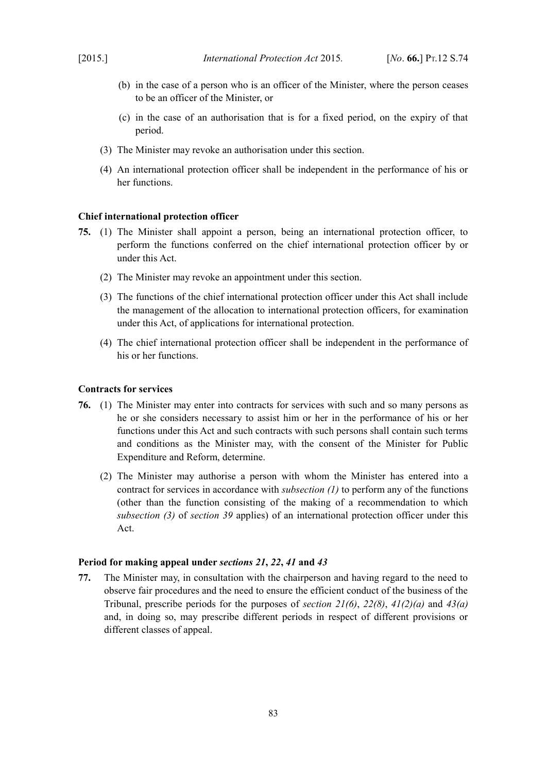- (b) in the case of a person who is an officer of the Minister, where the person ceases to be an officer of the Minister, or
- (c) in the case of an authorisation that is for a fixed period, on the expiry of that period.
- (3) The Minister may revoke an authorisation under this section.
- (4) An international protection officer shall be independent in the performance of his or her functions.

## **Chief international protection officer**

- **75.** (1) The Minister shall appoint a person, being an international protection officer, to perform the functions conferred on the chief international protection officer by or under this Act.
	- (2) The Minister may revoke an appointment under this section.
	- (3) The functions of the chief international protection officer under this Act shall include the management of the allocation to international protection officers, for examination under this Act, of applications for international protection.
	- (4) The chief international protection officer shall be independent in the performance of his or her functions.

# **Contracts for services**

- <span id="page-84-0"></span>**76.** (1) The Minister may enter into contracts for services with such and so many persons as he or she considers necessary to assist him or her in the performance of his or her functions under this Act and such contracts with such persons shall contain such terms and conditions as the Minister may, with the consent of the Minister for Public Expenditure and Reform, determine.
	- (2) The Minister may authorise a person with whom the Minister has entered into a contract for services in accordance with *subsection [\(1\)](#page-84-0)* to perform any of the functions (other than the function consisting of the making of a recommendation to which *subsection [\(3\)](#page-46-1)* of *section [39](#page-45-0)* applies) of an international protection officer under this Act.

## **Period for making appeal under** *sections [21](#page-28-1)***,** *[22](#page-30-1)***,** *[41](#page-48-1)* **and** *[43](#page-50-0)*

**77.** The Minister may, in consultation with the chairperson and having regard to the need to observe fair procedures and the need to ensure the efficient conduct of the business of the Tribunal, prescribe periods for the purposes of *section [21](#page-28-1)[\(6\)](#page-28-0)*, *[22](#page-30-1)[\(8\)](#page-31-0)*, *[41](#page-48-1)[\(2\)](#page-48-6)[\(a\)](#page-48-5)* and *[43](#page-50-0)[\(a\)](#page-50-1)* and, in doing so, may prescribe different periods in respect of different provisions or different classes of appeal.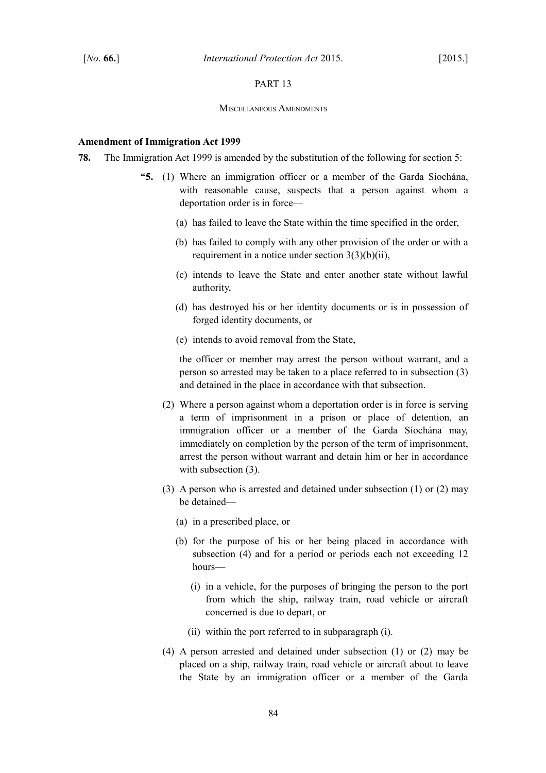# PART 13

## MISCELLANEOUS AMENDMENTS

#### **Amendment of [Immigration Act 1999](http://www.irishstatutebook.ie/1999/en/act/pub/0022/index.html)**

- **78.** The [Immigration Act 1999](http://www.irishstatutebook.ie/1999/en/act/pub/0022/index.html) is amended by the substitution of the following for section 5:
	- **"5.** (1) Where an immigration officer or a member of the Garda Síochána, with reasonable cause, suspects that a person against whom a deportation order is in force—
		- (a) has failed to leave the State within the time specified in the order,
		- (b) has failed to comply with any other provision of the order or with a requirement in a notice under section 3(3)(b)(ii),
		- (c) intends to leave the State and enter another state without lawful authority,
		- (d) has destroyed his or her identity documents or is in possession of forged identity documents, or
		- (e) intends to avoid removal from the State,

the officer or member may arrest the person without warrant, and a person so arrested may be taken to a place referred to in subsection (3) and detained in the place in accordance with that subsection.

- (2) Where a person against whom a deportation order is in force is serving a term of imprisonment in a prison or place of detention, an immigration officer or a member of the Garda Síochána may, immediately on completion by the person of the term of imprisonment, arrest the person without warrant and detain him or her in accordance with subsection  $(3)$ .
- (3) A person who is arrested and detained under subsection (1) or (2) may be detained—
	- (a) in a prescribed place, or
	- (b) for the purpose of his or her being placed in accordance with subsection (4) and for a period or periods each not exceeding 12 hours—
		- (i) in a vehicle, for the purposes of bringing the person to the port from which the ship, railway train, road vehicle or aircraft concerned is due to depart, or
		- (ii) within the port referred to in subparagraph (i).
- (4) A person arrested and detained under subsection (1) or (2) may be placed on a ship, railway train, road vehicle or aircraft about to leave the State by an immigration officer or a member of the Garda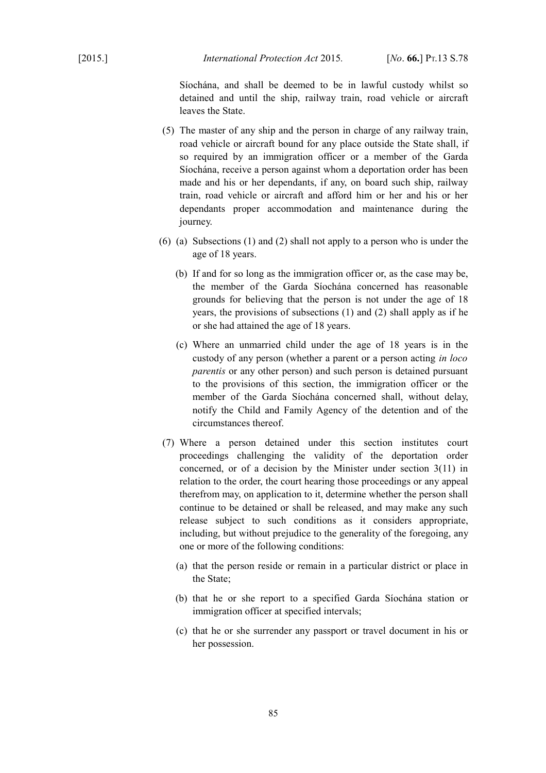Síochána, and shall be deemed to be in lawful custody whilst so detained and until the ship, railway train, road vehicle or aircraft leaves the State.

- (5) The master of any ship and the person in charge of any railway train, road vehicle or aircraft bound for any place outside the State shall, if so required by an immigration officer or a member of the Garda Síochána, receive a person against whom a deportation order has been made and his or her dependants, if any, on board such ship, railway train, road vehicle or aircraft and afford him or her and his or her dependants proper accommodation and maintenance during the journey.
- (6) (a) Subsections (1) and (2) shall not apply to a person who is under the age of 18 years.
	- (b) If and for so long as the immigration officer or, as the case may be, the member of the Garda Síochána concerned has reasonable grounds for believing that the person is not under the age of 18 years, the provisions of subsections (1) and (2) shall apply as if he or she had attained the age of 18 years.
	- (c) Where an unmarried child under the age of 18 years is in the custody of any person (whether a parent or a person acting *in loco parentis* or any other person) and such person is detained pursuant to the provisions of this section, the immigration officer or the member of the Garda Síochána concerned shall, without delay, notify the Child and Family Agency of the detention and of the circumstances thereof.
- (7) Where a person detained under this section institutes court proceedings challenging the validity of the deportation order concerned, or of a decision by the Minister under section 3(11) in relation to the order, the court hearing those proceedings or any appeal therefrom may, on application to it, determine whether the person shall continue to be detained or shall be released, and may make any such release subject to such conditions as it considers appropriate, including, but without prejudice to the generality of the foregoing, any one or more of the following conditions:
	- (a) that the person reside or remain in a particular district or place in the State;
	- (b) that he or she report to a specified Garda Síochána station or immigration officer at specified intervals;
	- (c) that he or she surrender any passport or travel document in his or her possession.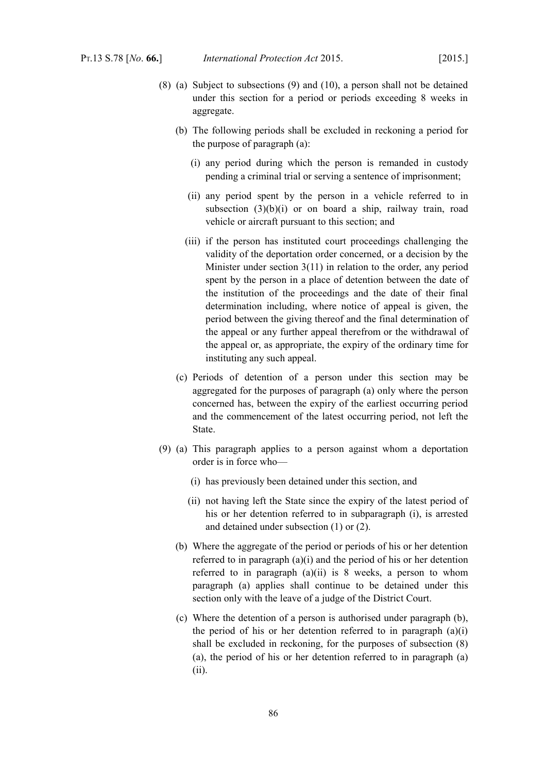- (8) (a) Subject to subsections (9) and (10), a person shall not be detained under this section for a period or periods exceeding 8 weeks in aggregate.
	- (b) The following periods shall be excluded in reckoning a period for the purpose of paragraph (a):
		- (i) any period during which the person is remanded in custody pending a criminal trial or serving a sentence of imprisonment;
		- (ii) any period spent by the person in a vehicle referred to in subsection  $(3)(b)(i)$  or on board a ship, railway train, road vehicle or aircraft pursuant to this section; and
		- (iii) if the person has instituted court proceedings challenging the validity of the deportation order concerned, or a decision by the Minister under section 3(11) in relation to the order, any period spent by the person in a place of detention between the date of the institution of the proceedings and the date of their final determination including, where notice of appeal is given, the period between the giving thereof and the final determination of the appeal or any further appeal therefrom or the withdrawal of the appeal or, as appropriate, the expiry of the ordinary time for instituting any such appeal.
	- (c) Periods of detention of a person under this section may be aggregated for the purposes of paragraph (a) only where the person concerned has, between the expiry of the earliest occurring period and the commencement of the latest occurring period, not left the State.
- (9) (a) This paragraph applies to a person against whom a deportation order is in force who—
	- (i) has previously been detained under this section, and
	- (ii) not having left the State since the expiry of the latest period of his or her detention referred to in subparagraph (i), is arrested and detained under subsection (1) or (2).
	- (b) Where the aggregate of the period or periods of his or her detention referred to in paragraph (a)(i) and the period of his or her detention referred to in paragraph (a)(ii) is 8 weeks, a person to whom paragraph (a) applies shall continue to be detained under this section only with the leave of a judge of the District Court.
	- (c) Where the detention of a person is authorised under paragraph (b), the period of his or her detention referred to in paragraph  $(a)(i)$ shall be excluded in reckoning, for the purposes of subsection (8) (a), the period of his or her detention referred to in paragraph (a) (ii).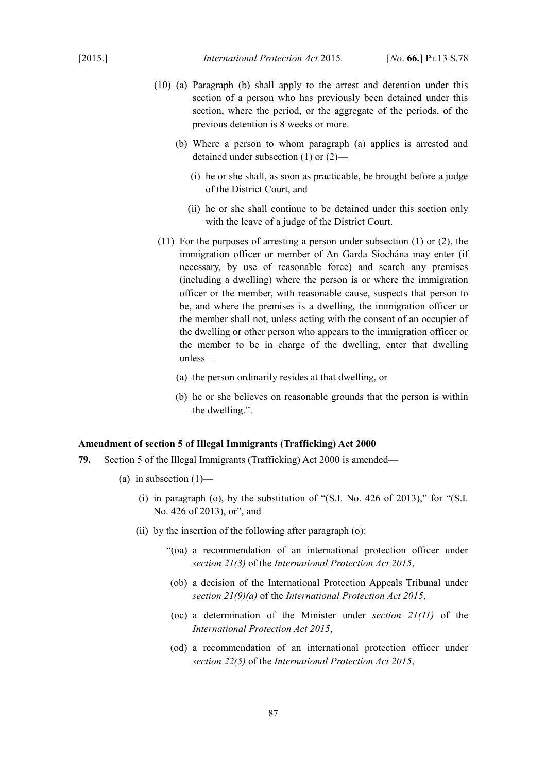- (10) (a) Paragraph (b) shall apply to the arrest and detention under this section of a person who has previously been detained under this section, where the period, or the aggregate of the periods, of the previous detention is 8 weeks or more.
	- (b) Where a person to whom paragraph (a) applies is arrested and detained under subsection (1) or (2)—
		- (i) he or she shall, as soon as practicable, be brought before a judge of the District Court, and
		- (ii) he or she shall continue to be detained under this section only with the leave of a judge of the District Court.
- (11) For the purposes of arresting a person under subsection (1) or (2), the immigration officer or member of An Garda Síochána may enter (if necessary, by use of reasonable force) and search any premises (including a dwelling) where the person is or where the immigration officer or the member, with reasonable cause, suspects that person to be, and where the premises is a dwelling, the immigration officer or the member shall not, unless acting with the consent of an occupier of the dwelling or other person who appears to the immigration officer or the member to be in charge of the dwelling, enter that dwelling unless—
	- (a) the person ordinarily resides at that dwelling, or
	- (b) he or she believes on reasonable grounds that the person is within the dwelling.".

# **Amendment of section 5 of [Illegal Immigrants \(Trafficking\) Act 2000](http://www.irishstatutebook.ie/2000/en/act/pub/0029/index.html)**

- **79.** Section 5 of the [Illegal Immigrants \(Trafficking\) Act 2000](http://www.irishstatutebook.ie/2000/en/act/pub/0029/index.html) is amended—
	- (a) in subsection  $(1)$ 
		- (i) in paragraph (o), by the substitution of " $(S.I. No. 426 of 2013)$ ," for " $(S.I.$ No. 426 of 2013), or", and
		- (ii) by the insertion of the following after paragraph (o):
			- "(oa) a recommendation of an international protection officer under *section [21](#page-28-1)[\(3\)](#page-28-2)* of the *International Protection Act 2015*,
			- (ob) a decision of the International Protection Appeals Tribunal under *section [21](#page-28-1)[\(9\)](#page-29-2)[\(a\)](#page-29-1)* of the *International Protection Act 2015*,
			- (oc) a determination of the Minister under *section [21](#page-28-1)[\(11\)](#page-29-0)* of the *International Protection Act 2015*,
			- (od) a recommendation of an international protection officer under *section [22](#page-30-1)[\(5\)](#page-31-1)* of the *International Protection Act 2015*,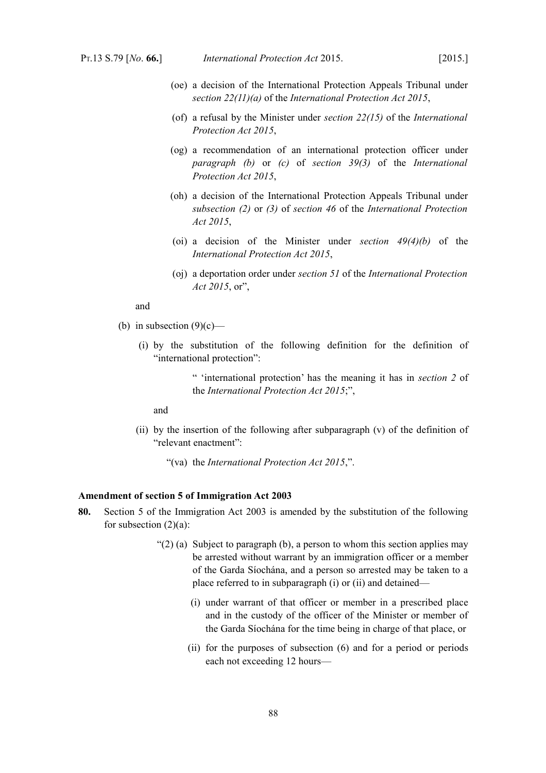- (oe) a decision of the International Protection Appeals Tribunal under *section [22](#page-30-1)[\(11\)](#page-32-2)[\(a\)](#page-32-1)* of the *International Protection Act 2015*,
- (of) a refusal by the Minister under *section [22](#page-30-1)[\(15\)](#page-32-0)* of the *International Protection Act 2015*,
- (og) a recommendation of an international protection officer under *paragraph [\(b\)](#page-46-2)* or *[\(c\)](#page-46-0)* of *section [39](#page-45-0)[\(3\)](#page-46-1)* of the *International Protection Act 2015*,
- (oh) a decision of the International Protection Appeals Tribunal under *subsection [\(2\)](#page-52-2)* or *[\(3\)](#page-52-1)* of *section [46](#page-52-0)* of the *International Protection Act 2015*,
- (oi) a decision of the Minister under *section [49](#page-56-2)[\(4\)](#page-56-1)[\(b\)](#page-56-0)* of the *International Protection Act 2015*,
- (oj) a deportation order under *section [51](#page-58-0)* of the *International Protection Act 2015*, or",

## and

- (b) in subsection  $(9)(c)$ 
	- (i) by the substitution of the following definition for the definition of "international protection":

" 'international protection' has the meaning it has in *section [2](#page-9-0)* of the *International Protection Act 2015*;",

and

- (ii) by the insertion of the following after subparagraph  $(v)$  of the definition of "relevant enactment":
	- "(va) the *International Protection Act 2015*,".

#### **Amendment of section 5 of [Immigration Act 2003](http://www.irishstatutebook.ie/2003/en/act/pub/0026/index.html)**

- **80.** Section 5 of the [Immigration Act 2003](http://www.irishstatutebook.ie/2003/en/act/pub/0026/index.html) is amended by the substitution of the following for subsection  $(2)(a)$ :
	- " $(2)$  (a) Subject to paragraph (b), a person to whom this section applies may be arrested without warrant by an immigration officer or a member of the Garda Síochána, and a person so arrested may be taken to a place referred to in subparagraph (i) or (ii) and detained—
		- (i) under warrant of that officer or member in a prescribed place and in the custody of the officer of the Minister or member of the Garda Síochána for the time being in charge of that place, or
		- (ii) for the purposes of subsection (6) and for a period or periods each not exceeding 12 hours—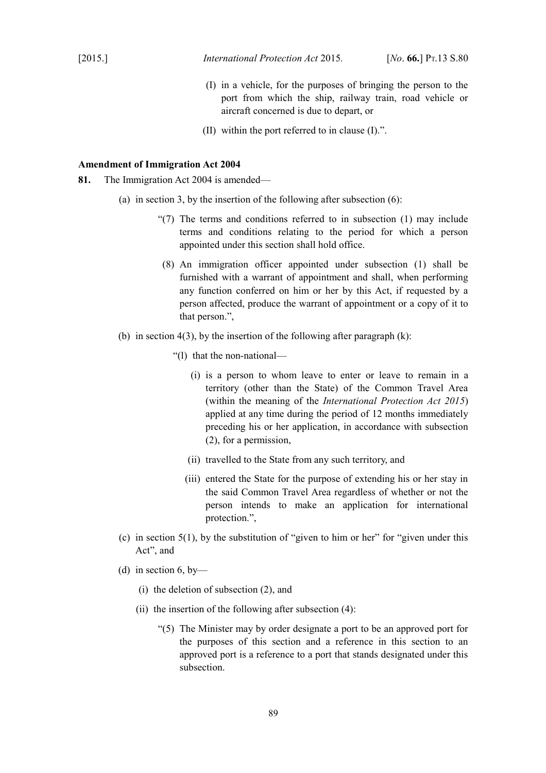- (I) in a vehicle, for the purposes of bringing the person to the port from which the ship, railway train, road vehicle or aircraft concerned is due to depart, or
- (II) within the port referred to in clause (I).".

## **Amendment of [Immigration Act 2004](http://www.irishstatutebook.ie/eli/2004/act/1/enacted/en/html)**

- **81.** The [Immigration Act 2004](http://www.irishstatutebook.ie/eli/2004/act/1/enacted/en/html) is amended—
	- (a) in section 3, by the insertion of the following after subsection (6):
		- "(7) The terms and conditions referred to in subsection (1) may include terms and conditions relating to the period for which a person appointed under this section shall hold office.
		- (8) An immigration officer appointed under subsection (1) shall be furnished with a warrant of appointment and shall, when performing any function conferred on him or her by this Act, if requested by a person affected, produce the warrant of appointment or a copy of it to that person.",
	- (b) in section 4(3), by the insertion of the following after paragraph  $(k)$ :
		- "(l) that the non-national—
			- (i) is a person to whom leave to enter or leave to remain in a territory (other than the State) of the Common Travel Area (within the meaning of the *International Protection Act 2015*) applied at any time during the period of 12 months immediately preceding his or her application, in accordance with subsection (2), for a permission,
			- (ii) travelled to the State from any such territory, and
			- (iii) entered the State for the purpose of extending his or her stay in the said Common Travel Area regardless of whether or not the person intends to make an application for international protection.",
	- (c) in section  $5(1)$ , by the substitution of "given to him or her" for "given under this Act", and
	- (d) in section 6, by-
		- (i) the deletion of subsection (2), and
		- (ii) the insertion of the following after subsection (4):
			- "(5) The Minister may by order designate a port to be an approved port for the purposes of this section and a reference in this section to an approved port is a reference to a port that stands designated under this subsection.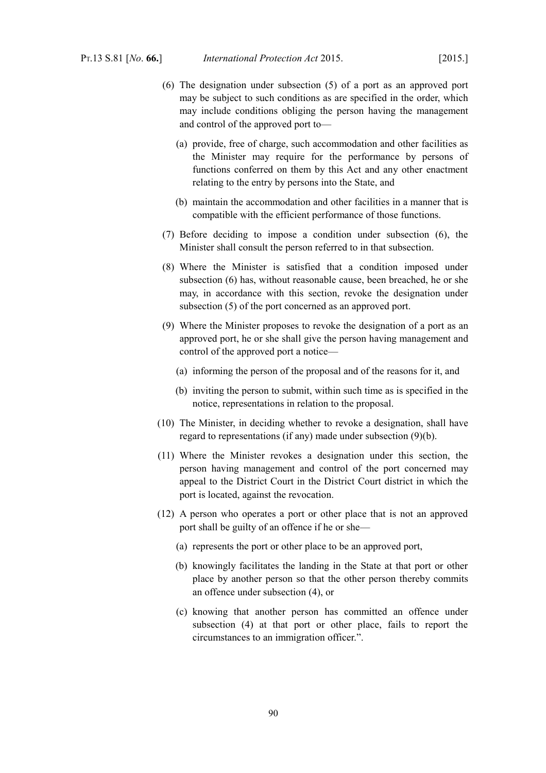- (6) The designation under subsection (5) of a port as an approved port may be subject to such conditions as are specified in the order, which may include conditions obliging the person having the management and control of the approved port to—
	- (a) provide, free of charge, such accommodation and other facilities as the Minister may require for the performance by persons of functions conferred on them by this Act and any other enactment relating to the entry by persons into the State, and
	- (b) maintain the accommodation and other facilities in a manner that is compatible with the efficient performance of those functions.
- (7) Before deciding to impose a condition under subsection (6), the Minister shall consult the person referred to in that subsection.
- (8) Where the Minister is satisfied that a condition imposed under subsection (6) has, without reasonable cause, been breached, he or she may, in accordance with this section, revoke the designation under subsection (5) of the port concerned as an approved port.
- (9) Where the Minister proposes to revoke the designation of a port as an approved port, he or she shall give the person having management and control of the approved port a notice—
	- (a) informing the person of the proposal and of the reasons for it, and
	- (b) inviting the person to submit, within such time as is specified in the notice, representations in relation to the proposal.
- (10) The Minister, in deciding whether to revoke a designation, shall have regard to representations (if any) made under subsection (9)(b).
- (11) Where the Minister revokes a designation under this section, the person having management and control of the port concerned may appeal to the District Court in the District Court district in which the port is located, against the revocation.
- (12) A person who operates a port or other place that is not an approved port shall be guilty of an offence if he or she—
	- (a) represents the port or other place to be an approved port,
	- (b) knowingly facilitates the landing in the State at that port or other place by another person so that the other person thereby commits an offence under subsection (4), or
	- (c) knowing that another person has committed an offence under subsection (4) at that port or other place, fails to report the circumstances to an immigration officer.".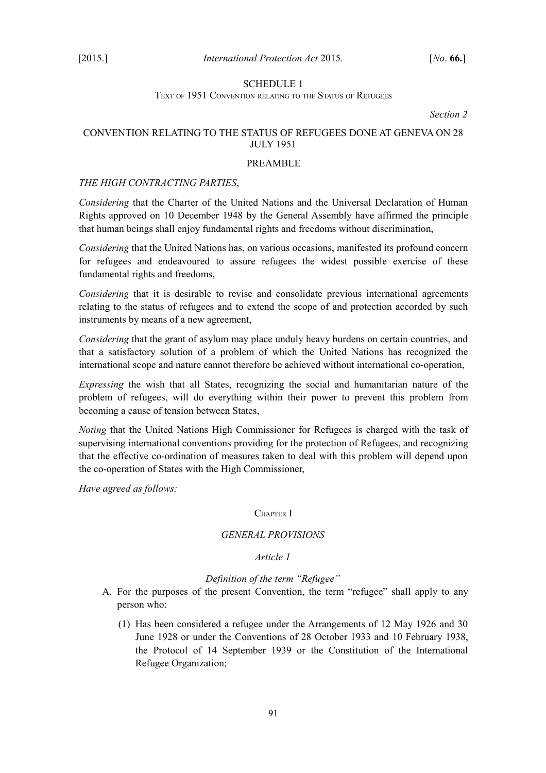# SCHEDULE 1

## TEXT OF 1951 CONVENTION RELATING TO THE STATUS OF REFUGEES

*Section [2](#page-9-0)*

# CONVENTION RELATING TO THE STATUS OF REFUGEES DONE AT GENEVA ON 28 JULY 1951

# PREAMBLE

# *THE HIGH CONTRACTING PARTIES*,

*Considering* that the Charter of the United Nations and the Universal Declaration of Human Rights approved on 10 December 1948 by the General Assembly have affirmed the principle that human beings shall enjoy fundamental rights and freedoms without discrimination,

*Considering* that the United Nations has, on various occasions, manifested its profound concern for refugees and endeavoured to assure refugees the widest possible exercise of these fundamental rights and freedoms,

*Considering* that it is desirable to revise and consolidate previous international agreements relating to the status of refugees and to extend the scope of and protection accorded by such instruments by means of a new agreement,

*Considering* that the grant of asylum may place unduly heavy burdens on certain countries, and that a satisfactory solution of a problem of which the United Nations has recognized the international scope and nature cannot therefore be achieved without international co-operation,

*Expressing* the wish that all States, recognizing the social and humanitarian nature of the problem of refugees, will do everything within their power to prevent this problem from becoming a cause of tension between States,

*Noting* that the United Nations High Commissioner for Refugees is charged with the task of supervising international conventions providing for the protection of Refugees, and recognizing that the effective co-ordination of measures taken to deal with this problem will depend upon the co-operation of States with the High Commissioner,

*Have agreed as follows:*

# CHAPTER I

# *GENERAL PROVISIONS*

# *Article 1*

# *Definition of the term "Refugee"*

- A. For the purposes of the present Convention, the term "refugee" shall apply to any person who:
	- (1) Has been considered a refugee under the Arrangements of 12 May 1926 and 30 June 1928 or under the Conventions of 28 October 1933 and 10 February 1938, the Protocol of 14 September 1939 or the Constitution of the International Refugee Organization;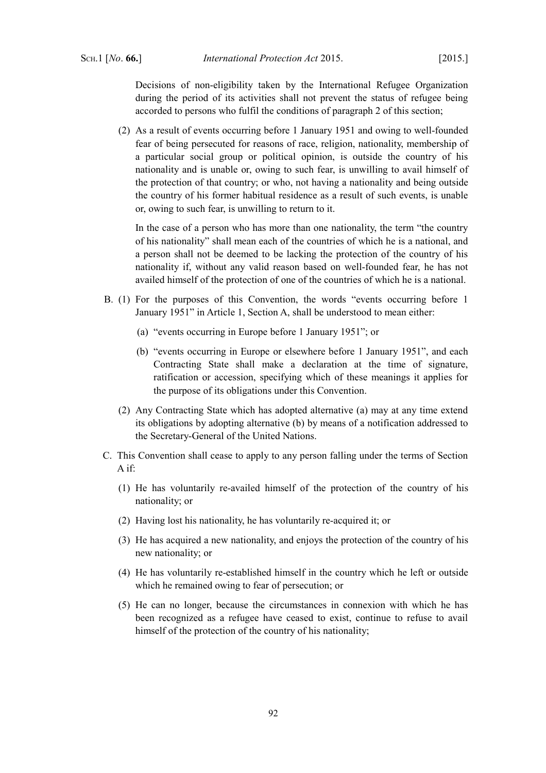Decisions of non-eligibility taken by the International Refugee Organization during the period of its activities shall not prevent the status of refugee being accorded to persons who fulfil the conditions of paragraph 2 of this section;

(2) As a result of events occurring before 1 January 1951 and owing to well-founded fear of being persecuted for reasons of race, religion, nationality, membership of a particular social group or political opinion, is outside the country of his nationality and is unable or, owing to such fear, is unwilling to avail himself of the protection of that country; or who, not having a nationality and being outside the country of his former habitual residence as a result of such events, is unable or, owing to such fear, is unwilling to return to it.

In the case of a person who has more than one nationality, the term "the country of his nationality" shall mean each of the countries of which he is a national, and a person shall not be deemed to be lacking the protection of the country of his nationality if, without any valid reason based on well-founded fear, he has not availed himself of the protection of one of the countries of which he is a national.

- B. (1) For the purposes of this Convention, the words "events occurring before 1 January 1951" in Article 1, Section A, shall be understood to mean either:
	- (a) "events occurring in Europe before 1 January 1951"; or
	- (b) "events occurring in Europe or elsewhere before 1 January 1951", and each Contracting State shall make a declaration at the time of signature, ratification or accession, specifying which of these meanings it applies for the purpose of its obligations under this Convention.
	- (2) Any Contracting State which has adopted alternative (a) may at any time extend its obligations by adopting alternative (b) by means of a notification addressed to the Secretary-General of the United Nations.
- C. This Convention shall cease to apply to any person falling under the terms of Section A if:
	- (1) He has voluntarily re-availed himself of the protection of the country of his nationality; or
	- (2) Having lost his nationality, he has voluntarily re-acquired it; or
	- (3) He has acquired a new nationality, and enjoys the protection of the country of his new nationality; or
	- (4) He has voluntarily re-established himself in the country which he left or outside which he remained owing to fear of persecution; or
	- (5) He can no longer, because the circumstances in connexion with which he has been recognized as a refugee have ceased to exist, continue to refuse to avail himself of the protection of the country of his nationality;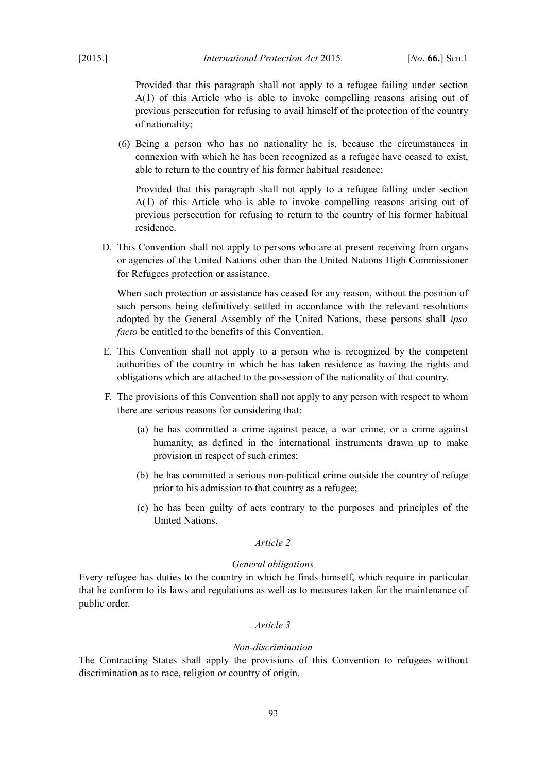Provided that this paragraph shall not apply to a refugee failing under section A(1) of this Article who is able to invoke compelling reasons arising out of previous persecution for refusing to avail himself of the protection of the country of nationality;

(6) Being a person who has no nationality he is, because the circumstances in connexion with which he has been recognized as a refugee have ceased to exist, able to return to the country of his former habitual residence;

Provided that this paragraph shall not apply to a refugee falling under section A(1) of this Article who is able to invoke compelling reasons arising out of previous persecution for refusing to return to the country of his former habitual residence.

D. This Convention shall not apply to persons who are at present receiving from organs or agencies of the United Nations other than the United Nations High Commissioner for Refugees protection or assistance.

When such protection or assistance has ceased for any reason, without the position of such persons being definitively settled in accordance with the relevant resolutions adopted by the General Assembly of the United Nations, these persons shall *ipso facto* be entitled to the benefits of this Convention.

- E. This Convention shall not apply to a person who is recognized by the competent authorities of the country in which he has taken residence as having the rights and obligations which are attached to the possession of the nationality of that country.
- F. The provisions of this Convention shall not apply to any person with respect to whom there are serious reasons for considering that:
	- (a) he has committed a crime against peace, a war crime, or a crime against humanity, as defined in the international instruments drawn up to make provision in respect of such crimes;
	- (b) he has committed a serious non-political crime outside the country of refuge prior to his admission to that country as a refugee;
	- (c) he has been guilty of acts contrary to the purposes and principles of the United Nations.

# *Article 2*

# *General obligations*

Every refugee has duties to the country in which he finds himself, which require in particular that he conform to its laws and regulations as well as to measures taken for the maintenance of public order.

#### *Article 3*

# *Non-discrimination*

The Contracting States shall apply the provisions of this Convention to refugees without discrimination as to race, religion or country of origin.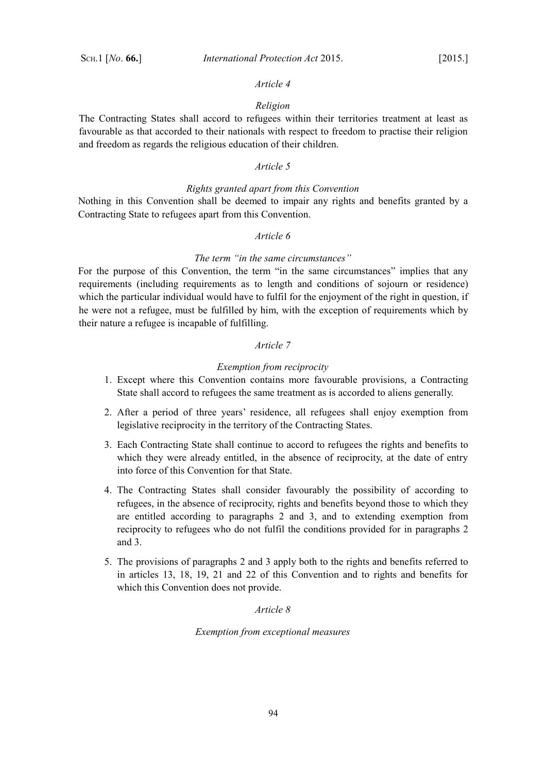#### *Article 4*

## *Religion*

The Contracting States shall accord to refugees within their territories treatment at least as favourable as that accorded to their nationals with respect to freedom to practise their religion and freedom as regards the religious education of their children.

## *Article 5*

# *Rights granted apart from this Convention*

Nothing in this Convention shall be deemed to impair any rights and benefits granted by a Contracting State to refugees apart from this Convention.

## *Article 6*

# *The term "in the same circumstances"*

For the purpose of this Convention, the term "in the same circumstances" implies that any requirements (including requirements as to length and conditions of sojourn or residence) which the particular individual would have to fulfil for the enjoyment of the right in question, if he were not a refugee, must be fulfilled by him, with the exception of requirements which by their nature a refugee is incapable of fulfilling.

# *Article 7*

# *Exemption from reciprocity*

- 1. Except where this Convention contains more favourable provisions, a Contracting State shall accord to refugees the same treatment as is accorded to aliens generally.
- 2. After a period of three years' residence, all refugees shall enjoy exemption from legislative reciprocity in the territory of the Contracting States.
- 3. Each Contracting State shall continue to accord to refugees the rights and benefits to which they were already entitled, in the absence of reciprocity, at the date of entry into force of this Convention for that State.
- 4. The Contracting States shall consider favourably the possibility of according to refugees, in the absence of reciprocity, rights and benefits beyond those to which they are entitled according to paragraphs 2 and 3, and to extending exemption from reciprocity to refugees who do not fulfil the conditions provided for in paragraphs 2 and 3.
- 5. The provisions of paragraphs 2 and 3 apply both to the rights and benefits referred to in articles 13, 18, 19, 21 and 22 of this Convention and to rights and benefits for which this Convention does not provide.

#### *Article 8*

*Exemption from exceptional measures*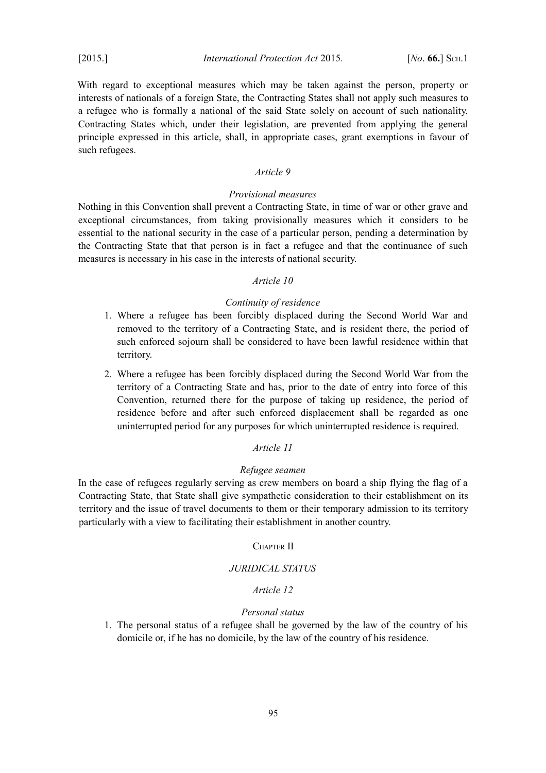With regard to exceptional measures which may be taken against the person, property or interests of nationals of a foreign State, the Contracting States shall not apply such measures to a refugee who is formally a national of the said State solely on account of such nationality. Contracting States which, under their legislation, are prevented from applying the general principle expressed in this article, shall, in appropriate cases, grant exemptions in favour of such refugees.

# *Article 9*

#### *Provisional measures*

Nothing in this Convention shall prevent a Contracting State, in time of war or other grave and exceptional circumstances, from taking provisionally measures which it considers to be essential to the national security in the case of a particular person, pending a determination by the Contracting State that that person is in fact a refugee and that the continuance of such measures is necessary in his case in the interests of national security.

# *Article 10*

# *Continuity of residence*

- 1. Where a refugee has been forcibly displaced during the Second World War and removed to the territory of a Contracting State, and is resident there, the period of such enforced sojourn shall be considered to have been lawful residence within that territory.
- 2. Where a refugee has been forcibly displaced during the Second World War from the territory of a Contracting State and has, prior to the date of entry into force of this Convention, returned there for the purpose of taking up residence, the period of residence before and after such enforced displacement shall be regarded as one uninterrupted period for any purposes for which uninterrupted residence is required.

# *Article 11*

# *Refugee seamen*

In the case of refugees regularly serving as crew members on board a ship flying the flag of a Contracting State, that State shall give sympathetic consideration to their establishment on its territory and the issue of travel documents to them or their temporary admission to its territory particularly with a view to facilitating their establishment in another country.

# CHAPTER II

# *JURIDICAL STATUS*

# *Article 12*

# *Personal status*

1. The personal status of a refugee shall be governed by the law of the country of his domicile or, if he has no domicile, by the law of the country of his residence.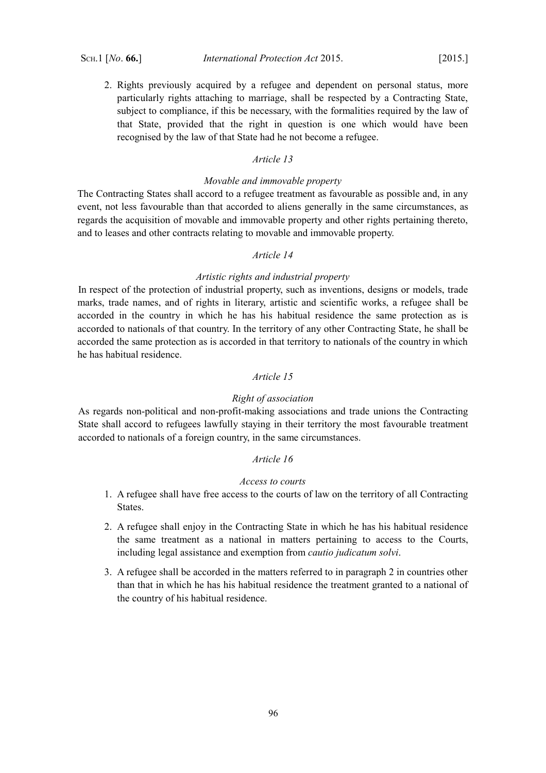2. Rights previously acquired by a refugee and dependent on personal status, more particularly rights attaching to marriage, shall be respected by a Contracting State, subject to compliance, if this be necessary, with the formalities required by the law of that State, provided that the right in question is one which would have been recognised by the law of that State had he not become a refugee.

# *Article 13*

# *Movable and immovable property*

The Contracting States shall accord to a refugee treatment as favourable as possible and, in any event, not less favourable than that accorded to aliens generally in the same circumstances, as regards the acquisition of movable and immovable property and other rights pertaining thereto, and to leases and other contracts relating to movable and immovable property.

## *Article 14*

# *Artistic rights and industrial property*

In respect of the protection of industrial property, such as inventions, designs or models, trade marks, trade names, and of rights in literary, artistic and scientific works, a refugee shall be accorded in the country in which he has his habitual residence the same protection as is accorded to nationals of that country. In the territory of any other Contracting State, he shall be accorded the same protection as is accorded in that territory to nationals of the country in which he has habitual residence.

# *Article 15*

#### *Right of association*

As regards non-political and non-profit-making associations and trade unions the Contracting State shall accord to refugees lawfully staying in their territory the most favourable treatment accorded to nationals of a foreign country, in the same circumstances.

# *Article 16*

#### *Access to courts*

- 1. A refugee shall have free access to the courts of law on the territory of all Contracting States.
- 2. A refugee shall enjoy in the Contracting State in which he has his habitual residence the same treatment as a national in matters pertaining to access to the Courts, including legal assistance and exemption from *cautio judicatum solvi*.
- 3. A refugee shall be accorded in the matters referred to in paragraph 2 in countries other than that in which he has his habitual residence the treatment granted to a national of the country of his habitual residence.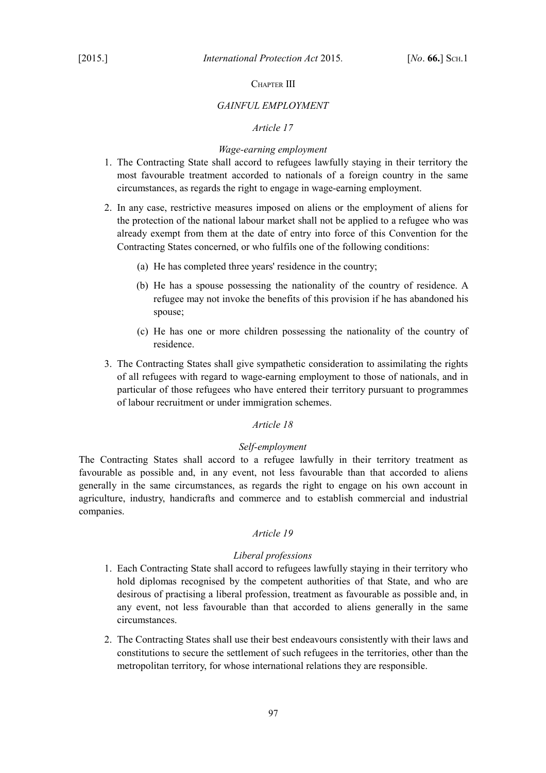# CHAPTER III

# *GAINFUL EMPLOYMENT*

# *Article 17*

# *Wage-earning employment*

- 1. The Contracting State shall accord to refugees lawfully staying in their territory the most favourable treatment accorded to nationals of a foreign country in the same circumstances, as regards the right to engage in wage-earning employment.
- 2. In any case, restrictive measures imposed on aliens or the employment of aliens for the protection of the national labour market shall not be applied to a refugee who was already exempt from them at the date of entry into force of this Convention for the Contracting States concerned, or who fulfils one of the following conditions:
	- (a) He has completed three years' residence in the country;
	- (b) He has a spouse possessing the nationality of the country of residence. A refugee may not invoke the benefits of this provision if he has abandoned his spouse;
	- (c) He has one or more children possessing the nationality of the country of residence.
- 3. The Contracting States shall give sympathetic consideration to assimilating the rights of all refugees with regard to wage-earning employment to those of nationals, and in particular of those refugees who have entered their territory pursuant to programmes of labour recruitment or under immigration schemes.

# *Article 18*

# *Self-employment*

The Contracting States shall accord to a refugee lawfully in their territory treatment as favourable as possible and, in any event, not less favourable than that accorded to aliens generally in the same circumstances, as regards the right to engage on his own account in agriculture, industry, handicrafts and commerce and to establish commercial and industrial companies.

# *Article 19*

# *Liberal professions*

- 1. Each Contracting State shall accord to refugees lawfully staying in their territory who hold diplomas recognised by the competent authorities of that State, and who are desirous of practising a liberal profession, treatment as favourable as possible and, in any event, not less favourable than that accorded to aliens generally in the same circumstances.
- 2. The Contracting States shall use their best endeavours consistently with their laws and constitutions to secure the settlement of such refugees in the territories, other than the metropolitan territory, for whose international relations they are responsible.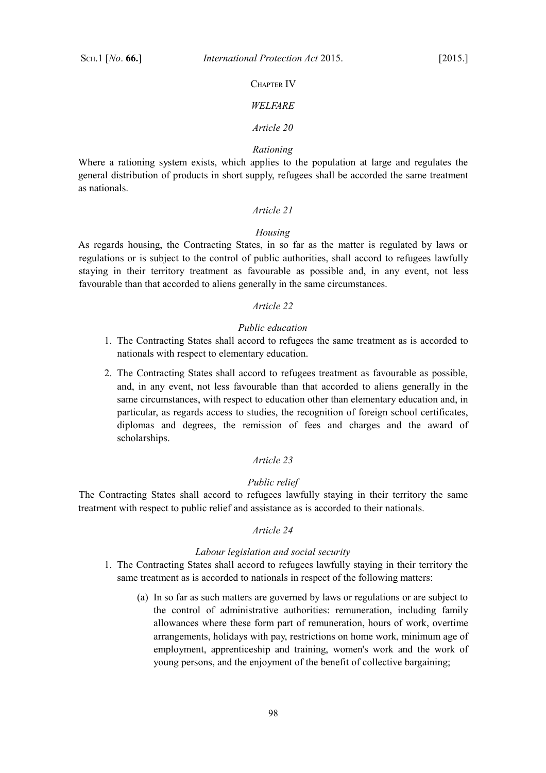#### CHAPTER IV

#### *WELFARE*

# *Article 20*

# *Rationing*

Where a rationing system exists, which applies to the population at large and regulates the general distribution of products in short supply, refugees shall be accorded the same treatment as nationals.

# *Article 21*

# *Housing*

As regards housing, the Contracting States, in so far as the matter is regulated by laws or regulations or is subject to the control of public authorities, shall accord to refugees lawfully staying in their territory treatment as favourable as possible and, in any event, not less favourable than that accorded to aliens generally in the same circumstances.

# *Article 22*

## *Public education*

- 1. The Contracting States shall accord to refugees the same treatment as is accorded to nationals with respect to elementary education.
- 2. The Contracting States shall accord to refugees treatment as favourable as possible, and, in any event, not less favourable than that accorded to aliens generally in the same circumstances, with respect to education other than elementary education and, in particular, as regards access to studies, the recognition of foreign school certificates, diplomas and degrees, the remission of fees and charges and the award of scholarships.

# *Article 23*

## *Public relief*

The Contracting States shall accord to refugees lawfully staying in their territory the same treatment with respect to public relief and assistance as is accorded to their nationals.

## *Article 24*

## *Labour legislation and social security*

- 1. The Contracting States shall accord to refugees lawfully staying in their territory the same treatment as is accorded to nationals in respect of the following matters:
	- (a) In so far as such matters are governed by laws or regulations or are subject to the control of administrative authorities: remuneration, including family allowances where these form part of remuneration, hours of work, overtime arrangements, holidays with pay, restrictions on home work, minimum age of employment, apprenticeship and training, women's work and the work of young persons, and the enjoyment of the benefit of collective bargaining;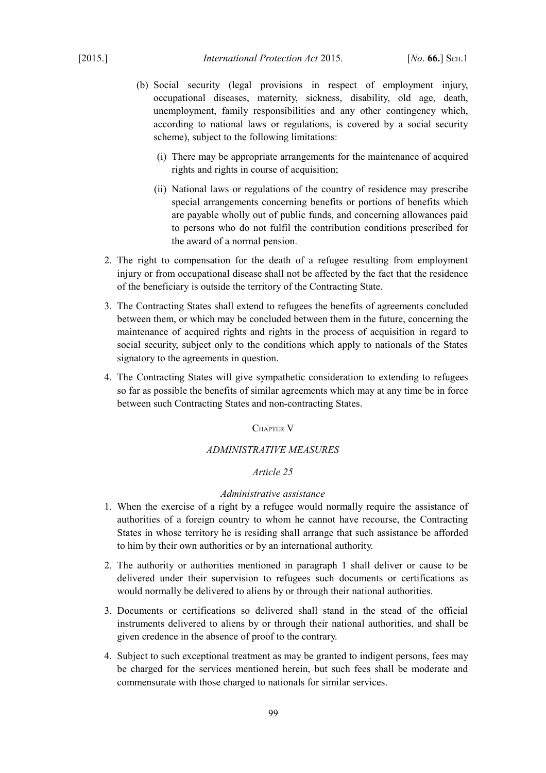- (b) Social security (legal provisions in respect of employment injury, occupational diseases, maternity, sickness, disability, old age, death, unemployment, family responsibilities and any other contingency which, according to national laws or regulations, is covered by a social security scheme), subject to the following limitations:
	- (i) There may be appropriate arrangements for the maintenance of acquired rights and rights in course of acquisition;
	- (ii) National laws or regulations of the country of residence may prescribe special arrangements concerning benefits or portions of benefits which are payable wholly out of public funds, and concerning allowances paid to persons who do not fulfil the contribution conditions prescribed for the award of a normal pension.
- 2. The right to compensation for the death of a refugee resulting from employment injury or from occupational disease shall not be affected by the fact that the residence of the beneficiary is outside the territory of the Contracting State.
- 3. The Contracting States shall extend to refugees the benefits of agreements concluded between them, or which may be concluded between them in the future, concerning the maintenance of acquired rights and rights in the process of acquisition in regard to social security, subject only to the conditions which apply to nationals of the States signatory to the agreements in question.
- 4. The Contracting States will give sympathetic consideration to extending to refugees so far as possible the benefits of similar agreements which may at any time be in force between such Contracting States and non-contracting States.

# CHAPTER V

# *ADMINISTRATIVE MEASURES*

# *Article 25*

# *Administrative assistance*

- 1. When the exercise of a right by a refugee would normally require the assistance of authorities of a foreign country to whom he cannot have recourse, the Contracting States in whose territory he is residing shall arrange that such assistance be afforded to him by their own authorities or by an international authority.
- 2. The authority or authorities mentioned in paragraph 1 shall deliver or cause to be delivered under their supervision to refugees such documents or certifications as would normally be delivered to aliens by or through their national authorities.
- 3. Documents or certifications so delivered shall stand in the stead of the official instruments delivered to aliens by or through their national authorities, and shall be given credence in the absence of proof to the contrary.
- 4. Subject to such exceptional treatment as may be granted to indigent persons, fees may be charged for the services mentioned herein, but such fees shall be moderate and commensurate with those charged to nationals for similar services.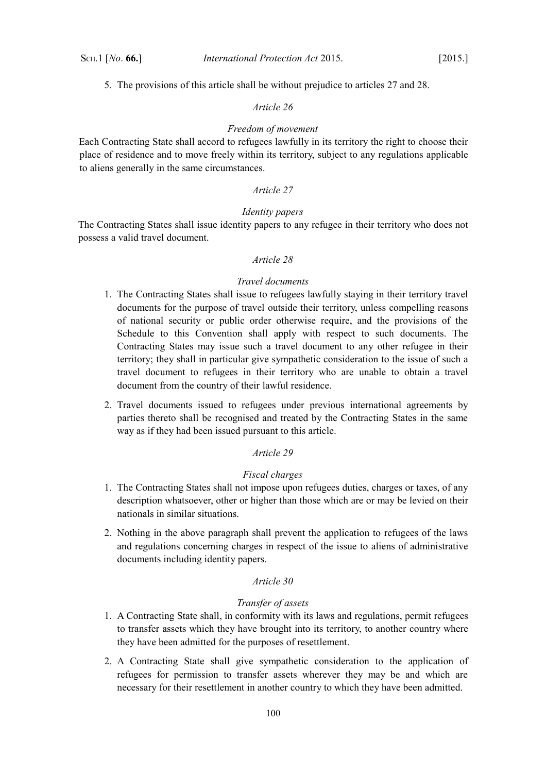5. The provisions of this article shall be without prejudice to articles 27 and 28.

# *Article 26*

# *Freedom of movement*

Each Contracting State shall accord to refugees lawfully in its territory the right to choose their place of residence and to move freely within its territory, subject to any regulations applicable to aliens generally in the same circumstances.

# *Article 27*

# *Identity papers*

The Contracting States shall issue identity papers to any refugee in their territory who does not possess a valid travel document.

# *Article 28*

# *Travel documents*

- 1. The Contracting States shall issue to refugees lawfully staying in their territory travel documents for the purpose of travel outside their territory, unless compelling reasons of national security or public order otherwise require, and the provisions of the Schedule to this Convention shall apply with respect to such documents. The Contracting States may issue such a travel document to any other refugee in their territory; they shall in particular give sympathetic consideration to the issue of such a travel document to refugees in their territory who are unable to obtain a travel document from the country of their lawful residence.
- 2. Travel documents issued to refugees under previous international agreements by parties thereto shall be recognised and treated by the Contracting States in the same way as if they had been issued pursuant to this article.

## *Article 29*

## *Fiscal charges*

- 1. The Contracting States shall not impose upon refugees duties, charges or taxes, of any description whatsoever, other or higher than those which are or may be levied on their nationals in similar situations.
- 2. Nothing in the above paragraph shall prevent the application to refugees of the laws and regulations concerning charges in respect of the issue to aliens of administrative documents including identity papers.

# *Article 30*

# *Transfer of assets*

- 1. A Contracting State shall, in conformity with its laws and regulations, permit refugees to transfer assets which they have brought into its territory, to another country where they have been admitted for the purposes of resettlement.
- 2. A Contracting State shall give sympathetic consideration to the application of refugees for permission to transfer assets wherever they may be and which are necessary for their resettlement in another country to which they have been admitted.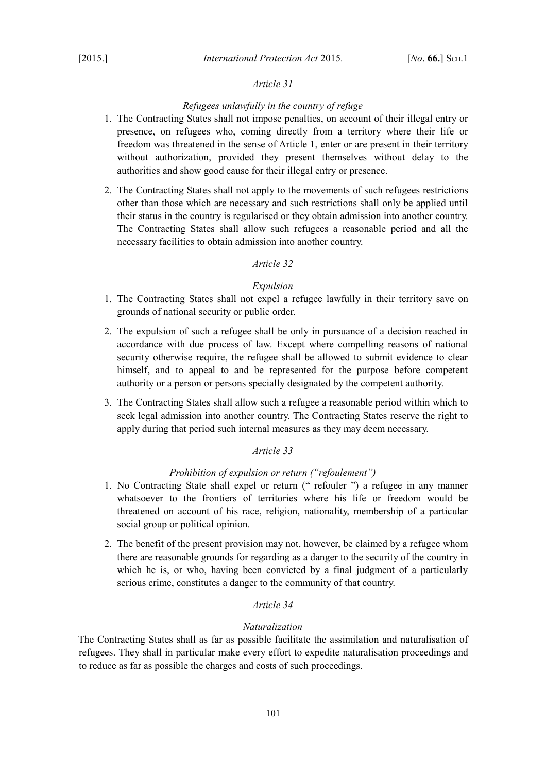# *Article 31*

# *Refugees unlawfully in the country of refuge*

- 1. The Contracting States shall not impose penalties, on account of their illegal entry or presence, on refugees who, coming directly from a territory where their life or freedom was threatened in the sense of Article 1, enter or are present in their territory without authorization, provided they present themselves without delay to the authorities and show good cause for their illegal entry or presence.
- 2. The Contracting States shall not apply to the movements of such refugees restrictions other than those which are necessary and such restrictions shall only be applied until their status in the country is regularised or they obtain admission into another country. The Contracting States shall allow such refugees a reasonable period and all the necessary facilities to obtain admission into another country.

# *Article 32*

# *Expulsion*

- 1. The Contracting States shall not expel a refugee lawfully in their territory save on grounds of national security or public order.
- 2. The expulsion of such a refugee shall be only in pursuance of a decision reached in accordance with due process of law. Except where compelling reasons of national security otherwise require, the refugee shall be allowed to submit evidence to clear himself, and to appeal to and be represented for the purpose before competent authority or a person or persons specially designated by the competent authority.
- 3. The Contracting States shall allow such a refugee a reasonable period within which to seek legal admission into another country. The Contracting States reserve the right to apply during that period such internal measures as they may deem necessary.

# *Article 33*

# *Prohibition of expulsion or return ("refoulement")*

- 1. No Contracting State shall expel or return (" refouler ") a refugee in any manner whatsoever to the frontiers of territories where his life or freedom would be threatened on account of his race, religion, nationality, membership of a particular social group or political opinion.
- 2. The benefit of the present provision may not, however, be claimed by a refugee whom there are reasonable grounds for regarding as a danger to the security of the country in which he is, or who, having been convicted by a final judgment of a particularly serious crime, constitutes a danger to the community of that country.

# *Article 34*

# *Naturalization*

The Contracting States shall as far as possible facilitate the assimilation and naturalisation of refugees. They shall in particular make every effort to expedite naturalisation proceedings and to reduce as far as possible the charges and costs of such proceedings.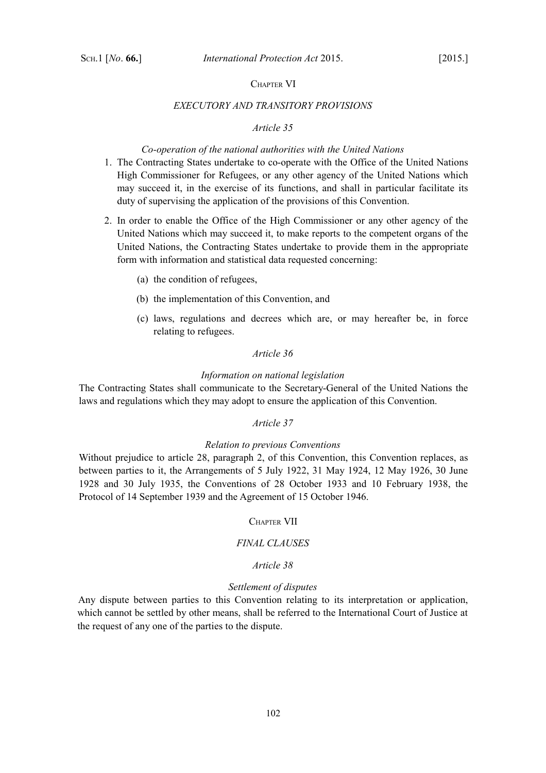#### CHAPTER VI

# *EXECUTORY AND TRANSITORY PROVISIONS*

# *Article 35*

## *Co-operation of the national authorities with the United Nations*

- 1. The Contracting States undertake to co-operate with the Office of the United Nations High Commissioner for Refugees, or any other agency of the United Nations which may succeed it, in the exercise of its functions, and shall in particular facilitate its duty of supervising the application of the provisions of this Convention.
- 2. In order to enable the Office of the High Commissioner or any other agency of the United Nations which may succeed it, to make reports to the competent organs of the United Nations, the Contracting States undertake to provide them in the appropriate form with information and statistical data requested concerning:
	- (a) the condition of refugees,
	- (b) the implementation of this Convention, and
	- (c) laws, regulations and decrees which are, or may hereafter be, in force relating to refugees.

#### *Article 36*

#### *Information on national legislation*

The Contracting States shall communicate to the Secretary-General of the United Nations the laws and regulations which they may adopt to ensure the application of this Convention.

#### *Article 37*

#### *Relation to previous Conventions*

Without prejudice to article 28, paragraph 2, of this Convention, this Convention replaces, as between parties to it, the Arrangements of 5 July 1922, 31 May 1924, 12 May 1926, 30 June 1928 and 30 July 1935, the Conventions of 28 October 1933 and 10 February 1938, the Protocol of 14 September 1939 and the Agreement of 15 October 1946.

# CHAPTER VII

#### *FINAL CLAUSES*

# *Article 38*

## *Settlement of disputes*

Any dispute between parties to this Convention relating to its interpretation or application, which cannot be settled by other means, shall be referred to the International Court of Justice at the request of any one of the parties to the dispute.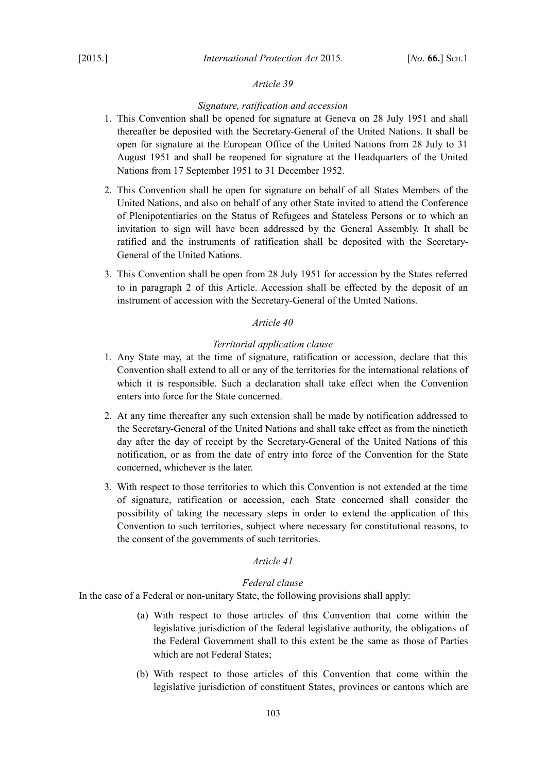# *Article 39*

# *Signature, ratification and accession*

- 1. This Convention shall be opened for signature at Geneva on 28 July 1951 and shall thereafter be deposited with the Secretary-General of the United Nations. It shall be open for signature at the European Office of the United Nations from 28 July to 31 August 1951 and shall be reopened for signature at the Headquarters of the United Nations from 17 September 1951 to 31 December 1952.
- 2. This Convention shall be open for signature on behalf of all States Members of the United Nations, and also on behalf of any other State invited to attend the Conference of Plenipotentiaries on the Status of Refugees and Stateless Persons or to which an invitation to sign will have been addressed by the General Assembly. It shall be ratified and the instruments of ratification shall be deposited with the Secretary-General of the United Nations.
- 3. This Convention shall be open from 28 July 1951 for accession by the States referred to in paragraph 2 of this Article. Accession shall be effected by the deposit of an instrument of accession with the Secretary-General of the United Nations.

# *Article 40*

# *Territorial application clause*

- 1. Any State may, at the time of signature, ratification or accession, declare that this Convention shall extend to all or any of the territories for the international relations of which it is responsible. Such a declaration shall take effect when the Convention enters into force for the State concerned.
- 2. At any time thereafter any such extension shall be made by notification addressed to the Secretary-General of the United Nations and shall take effect as from the ninetieth day after the day of receipt by the Secretary-General of the United Nations of this notification, or as from the date of entry into force of the Convention for the State concerned, whichever is the later.
- 3. With respect to those territories to which this Convention is not extended at the time of signature, ratification or accession, each State concerned shall consider the possibility of taking the necessary steps in order to extend the application of this Convention to such territories, subject where necessary for constitutional reasons, to the consent of the governments of such territories.

# *Article 41*

# *Federal clause*

In the case of a Federal or non-unitary State, the following provisions shall apply:

- (a) With respect to those articles of this Convention that come within the legislative jurisdiction of the federal legislative authority, the obligations of the Federal Government shall to this extent be the same as those of Parties which are not Federal States;
- (b) With respect to those articles of this Convention that come within the legislative jurisdiction of constituent States, provinces or cantons which are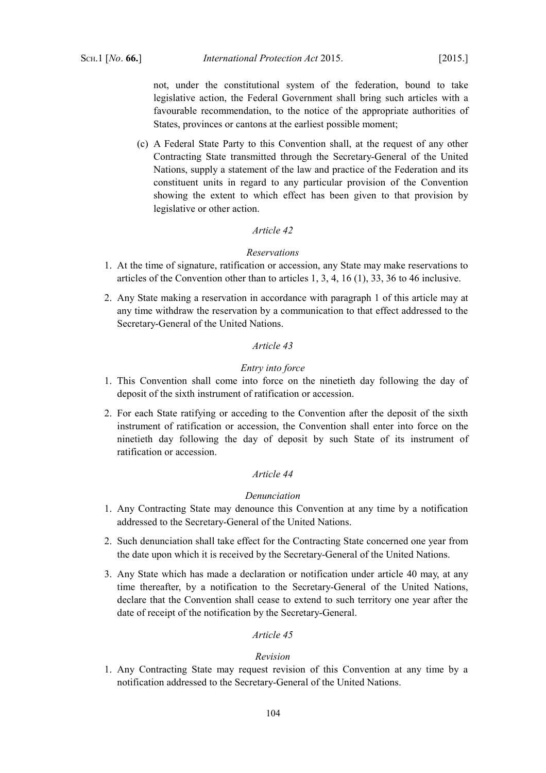not, under the constitutional system of the federation, bound to take legislative action, the Federal Government shall bring such articles with a favourable recommendation, to the notice of the appropriate authorities of States, provinces or cantons at the earliest possible moment;

(c) A Federal State Party to this Convention shall, at the request of any other Contracting State transmitted through the Secretary-General of the United Nations, supply a statement of the law and practice of the Federation and its constituent units in regard to any particular provision of the Convention showing the extent to which effect has been given to that provision by legislative or other action.

# *Article 42*

## *Reservations*

- 1. At the time of signature, ratification or accession, any State may make reservations to articles of the Convention other than to articles 1, 3, 4, 16 (1), 33, 36 to 46 inclusive.
- 2. Any State making a reservation in accordance with paragraph 1 of this article may at any time withdraw the reservation by a communication to that effect addressed to the Secretary-General of the United Nations.

# *Article 43*

# *Entry into force*

- 1. This Convention shall come into force on the ninetieth day following the day of deposit of the sixth instrument of ratification or accession.
- 2. For each State ratifying or acceding to the Convention after the deposit of the sixth instrument of ratification or accession, the Convention shall enter into force on the ninetieth day following the day of deposit by such State of its instrument of ratification or accession.

# *Article 44*

## *Denunciation*

- 1. Any Contracting State may denounce this Convention at any time by a notification addressed to the Secretary-General of the United Nations.
- 2. Such denunciation shall take effect for the Contracting State concerned one year from the date upon which it is received by the Secretary-General of the United Nations.
- 3. Any State which has made a declaration or notification under article 40 may, at any time thereafter, by a notification to the Secretary-General of the United Nations, declare that the Convention shall cease to extend to such territory one year after the date of receipt of the notification by the Secretary-General.

# *Article 45*

#### *Revision*

1. Any Contracting State may request revision of this Convention at any time by a notification addressed to the Secretary-General of the United Nations.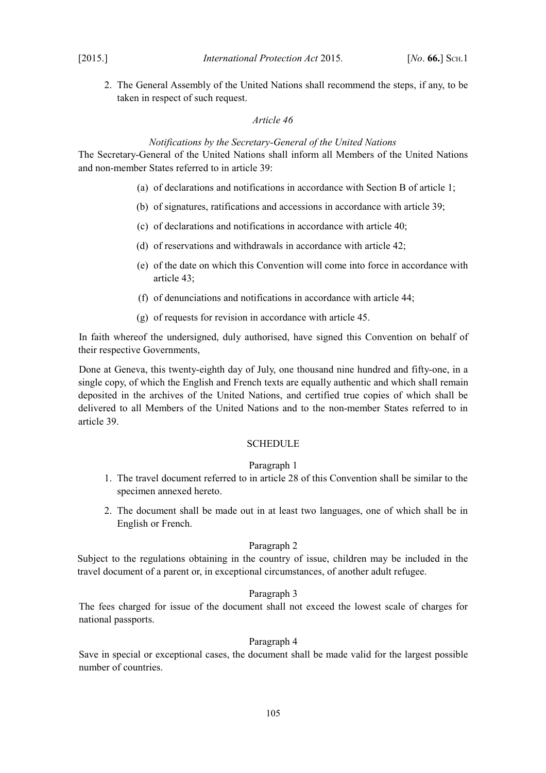2. The General Assembly of the United Nations shall recommend the steps, if any, to be taken in respect of such request.

# *Article 46*

## *Notifications by the Secretary-General of the United Nations*

The Secretary-General of the United Nations shall inform all Members of the United Nations and non-member States referred to in article 39:

- (a) of declarations and notifications in accordance with Section B of article 1;
- (b) of signatures, ratifications and accessions in accordance with article 39;
- (c) of declarations and notifications in accordance with article 40;
- (d) of reservations and withdrawals in accordance with article 42;
- (e) of the date on which this Convention will come into force in accordance with article 43;
- (f) of denunciations and notifications in accordance with article 44;
- (g) of requests for revision in accordance with article 45.

In faith whereof the undersigned, duly authorised, have signed this Convention on behalf of their respective Governments,

Done at Geneva, this twenty-eighth day of July, one thousand nine hundred and fifty-one, in a single copy, of which the English and French texts are equally authentic and which shall remain deposited in the archives of the United Nations, and certified true copies of which shall be delivered to all Members of the United Nations and to the non-member States referred to in article 39.

# **SCHEDULE**

## Paragraph 1

- 1. The travel document referred to in article 28 of this Convention shall be similar to the specimen annexed hereto.
- 2. The document shall be made out in at least two languages, one of which shall be in English or French.

## Paragraph 2

Subject to the regulations obtaining in the country of issue, children may be included in the travel document of a parent or, in exceptional circumstances, of another adult refugee.

# Paragraph 3

The fees charged for issue of the document shall not exceed the lowest scale of charges for national passports.

#### Paragraph 4

Save in special or exceptional cases, the document shall be made valid for the largest possible number of countries.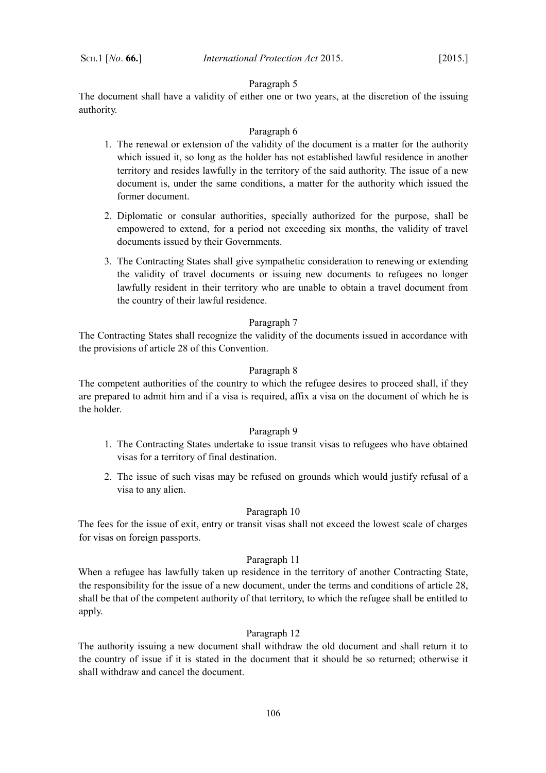# Paragraph 5

The document shall have a validity of either one or two years, at the discretion of the issuing authority.

# Paragraph 6

- 1. The renewal or extension of the validity of the document is a matter for the authority which issued it, so long as the holder has not established lawful residence in another territory and resides lawfully in the territory of the said authority. The issue of a new document is, under the same conditions, a matter for the authority which issued the former document.
- 2. Diplomatic or consular authorities, specially authorized for the purpose, shall be empowered to extend, for a period not exceeding six months, the validity of travel documents issued by their Governments.
- 3. The Contracting States shall give sympathetic consideration to renewing or extending the validity of travel documents or issuing new documents to refugees no longer lawfully resident in their territory who are unable to obtain a travel document from the country of their lawful residence.

## Paragraph 7

The Contracting States shall recognize the validity of the documents issued in accordance with the provisions of article 28 of this Convention.

# Paragraph 8

The competent authorities of the country to which the refugee desires to proceed shall, if they are prepared to admit him and if a visa is required, affix a visa on the document of which he is the holder.

## Paragraph 9

- 1. The Contracting States undertake to issue transit visas to refugees who have obtained visas for a territory of final destination.
- 2. The issue of such visas may be refused on grounds which would justify refusal of a visa to any alien.

# Paragraph 10

The fees for the issue of exit, entry or transit visas shall not exceed the lowest scale of charges for visas on foreign passports.

# Paragraph 11

When a refugee has lawfully taken up residence in the territory of another Contracting State, the responsibility for the issue of a new document, under the terms and conditions of article 28, shall be that of the competent authority of that territory, to which the refugee shall be entitled to apply.

# Paragraph 12

The authority issuing a new document shall withdraw the old document and shall return it to the country of issue if it is stated in the document that it should be so returned; otherwise it shall withdraw and cancel the document.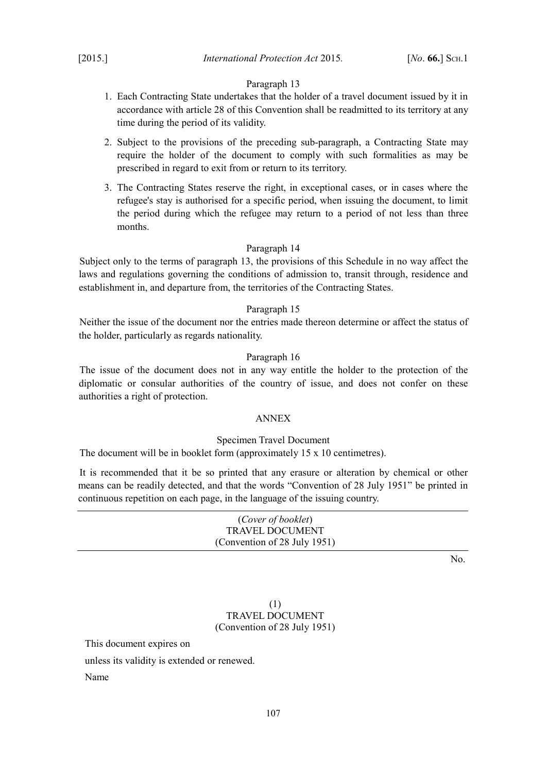# Paragraph 13

- 1. Each Contracting State undertakes that the holder of a travel document issued by it in accordance with article 28 of this Convention shall be readmitted to its territory at any time during the period of its validity.
- 2. Subject to the provisions of the preceding sub-paragraph, a Contracting State may require the holder of the document to comply with such formalities as may be prescribed in regard to exit from or return to its territory.
- 3. The Contracting States reserve the right, in exceptional cases, or in cases where the refugee's stay is authorised for a specific period, when issuing the document, to limit the period during which the refugee may return to a period of not less than three months.

# Paragraph 14

Subject only to the terms of paragraph 13, the provisions of this Schedule in no way affect the laws and regulations governing the conditions of admission to, transit through, residence and establishment in, and departure from, the territories of the Contracting States.

# Paragraph 15

Neither the issue of the document nor the entries made thereon determine or affect the status of the holder, particularly as regards nationality.

## Paragraph 16

The issue of the document does not in any way entitle the holder to the protection of the diplomatic or consular authorities of the country of issue, and does not confer on these authorities a right of protection.

# ANNEX

## Specimen Travel Document

The document will be in booklet form (approximately 15 x 10 centimetres).

It is recommended that it be so printed that any erasure or alteration by chemical or other means can be readily detected, and that the words "Convention of 28 July 1951" be printed in continuous repetition on each page, in the language of the issuing country.

| (Cover of booklet)           |  |
|------------------------------|--|
| <b>TRAVEL DOCUMENT</b>       |  |
| (Convention of 28 July 1951) |  |

No.

### (1) TRAVEL DOCUMENT (Convention of 28 July 1951)

This document expires on

unless its validity is extended or renewed.

Name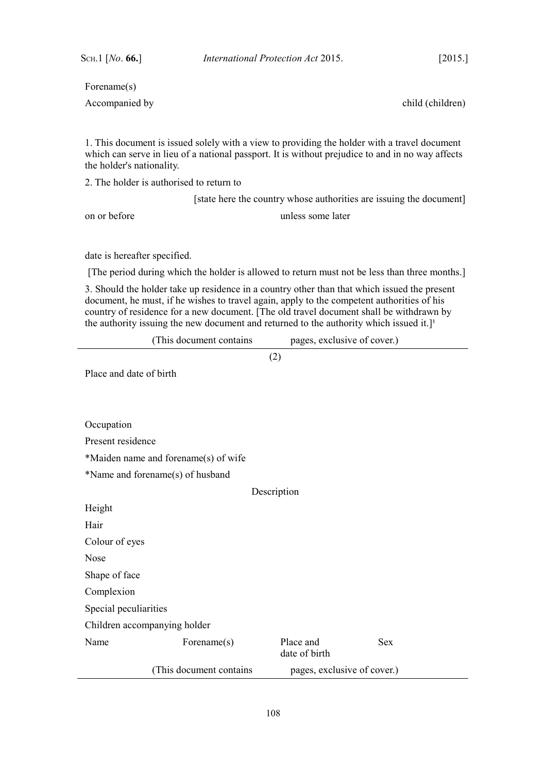| SCH.1 [ <i>No.</i> 66.]      |                                                                                                                                                                                                                                                                                                                                                                                              | <b>International Protection Act 2015.</b> | [2015.]                                                             |
|------------------------------|----------------------------------------------------------------------------------------------------------------------------------------------------------------------------------------------------------------------------------------------------------------------------------------------------------------------------------------------------------------------------------------------|-------------------------------------------|---------------------------------------------------------------------|
| Forename(s)                  |                                                                                                                                                                                                                                                                                                                                                                                              |                                           |                                                                     |
| Accompanied by               |                                                                                                                                                                                                                                                                                                                                                                                              |                                           | child (children)                                                    |
| the holder's nationality.    | 1. This document is issued solely with a view to providing the holder with a travel document<br>which can serve in lieu of a national passport. It is without prejudice to and in no way affects                                                                                                                                                                                             |                                           |                                                                     |
|                              | 2. The holder is authorised to return to                                                                                                                                                                                                                                                                                                                                                     |                                           |                                                                     |
|                              |                                                                                                                                                                                                                                                                                                                                                                                              |                                           | [state here the country whose authorities are issuing the document] |
| on or before                 |                                                                                                                                                                                                                                                                                                                                                                                              | unless some later                         |                                                                     |
| date is hereafter specified. |                                                                                                                                                                                                                                                                                                                                                                                              |                                           |                                                                     |
|                              | [The period during which the holder is allowed to return must not be less than three months.]                                                                                                                                                                                                                                                                                                |                                           |                                                                     |
|                              | 3. Should the holder take up residence in a country other than that which issued the present<br>document, he must, if he wishes to travel again, apply to the competent authorities of his<br>country of residence for a new document. [The old travel document shall be withdrawn by<br>the authority issuing the new document and returned to the authority which issued it.] <sup>1</sup> |                                           |                                                                     |
|                              | (This document contains)                                                                                                                                                                                                                                                                                                                                                                     | pages, exclusive of cover.)               |                                                                     |
|                              |                                                                                                                                                                                                                                                                                                                                                                                              | (2)                                       |                                                                     |
| Place and date of birth      |                                                                                                                                                                                                                                                                                                                                                                                              |                                           |                                                                     |
|                              |                                                                                                                                                                                                                                                                                                                                                                                              |                                           |                                                                     |
|                              |                                                                                                                                                                                                                                                                                                                                                                                              |                                           |                                                                     |
| Occupation                   |                                                                                                                                                                                                                                                                                                                                                                                              |                                           |                                                                     |
| Present residence            |                                                                                                                                                                                                                                                                                                                                                                                              |                                           |                                                                     |
|                              | *Maiden name and forename(s) of wife                                                                                                                                                                                                                                                                                                                                                         |                                           |                                                                     |
|                              | *Name and forename(s) of husband                                                                                                                                                                                                                                                                                                                                                             |                                           |                                                                     |
|                              |                                                                                                                                                                                                                                                                                                                                                                                              | Description                               |                                                                     |
| Height                       |                                                                                                                                                                                                                                                                                                                                                                                              |                                           |                                                                     |
| Hair                         |                                                                                                                                                                                                                                                                                                                                                                                              |                                           |                                                                     |
| Colour of eyes               |                                                                                                                                                                                                                                                                                                                                                                                              |                                           |                                                                     |
| Nose                         |                                                                                                                                                                                                                                                                                                                                                                                              |                                           |                                                                     |
| Shape of face                |                                                                                                                                                                                                                                                                                                                                                                                              |                                           |                                                                     |
| Complexion                   |                                                                                                                                                                                                                                                                                                                                                                                              |                                           |                                                                     |
| Special peculiarities        |                                                                                                                                                                                                                                                                                                                                                                                              |                                           |                                                                     |
|                              | Children accompanying holder                                                                                                                                                                                                                                                                                                                                                                 |                                           |                                                                     |
| Name                         | Forename(s)                                                                                                                                                                                                                                                                                                                                                                                  | Place and<br>date of birth                | <b>Sex</b>                                                          |
|                              | (This document contains)                                                                                                                                                                                                                                                                                                                                                                     | pages, exclusive of cover.)               |                                                                     |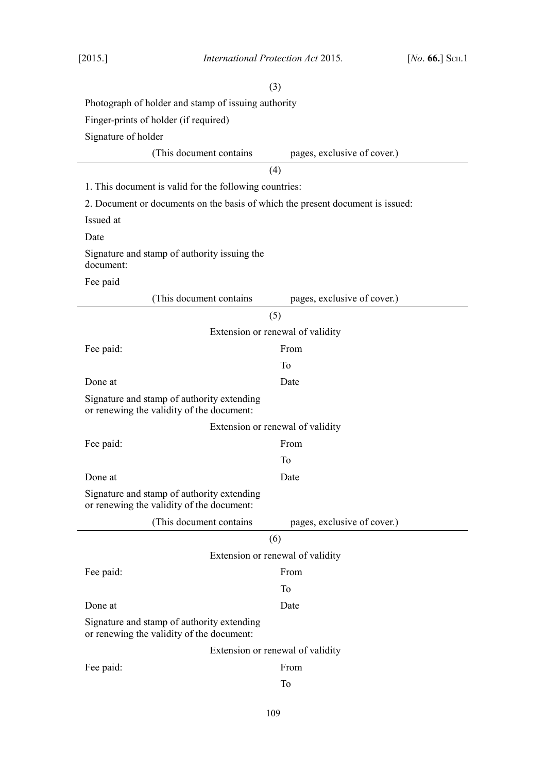(3) Photograph of holder and stamp of issuing authority Finger-prints of holder (if required) Signature of holder (This document contains pages, exclusive of cover.) (4) 1. This document is valid for the following countries: 2. Document or documents on the basis of which the present document is issued: Issued at Date Signature and stamp of authority issuing the document: Fee paid (This document contains pages, exclusive of cover.) (5) Extension or renewal of validity Fee paid: From To Done at Date Signature and stamp of authority extending or renewing the validity of the document: Extension or renewal of validity Fee paid: From To Done at Date Signature and stamp of authority extending or renewing the validity of the document: (This document contains pages, exclusive of cover.) (6) Extension or renewal of validity Fee paid: From To Done at Date Date Signature and stamp of authority extending or renewing the validity of the document: Extension or renewal of validity Fee paid: From To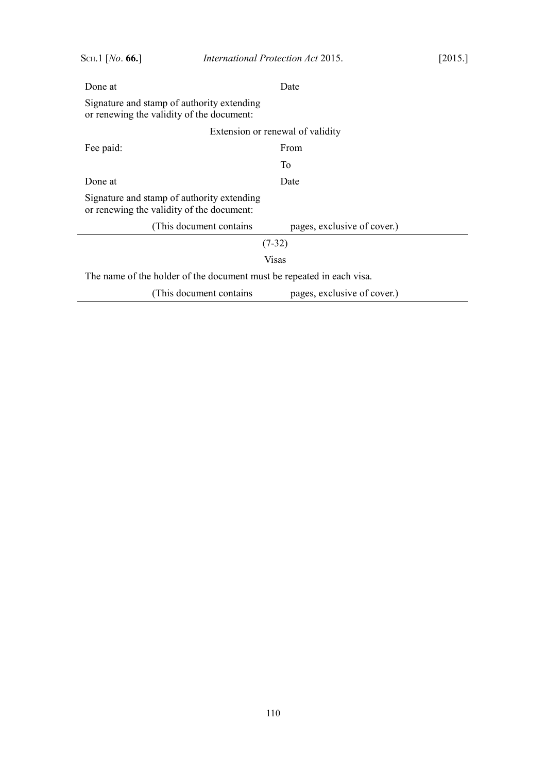| Done at                                                                                 | Date                        |  |  |  |  |
|-----------------------------------------------------------------------------------------|-----------------------------|--|--|--|--|
| Signature and stamp of authority extending<br>or renewing the validity of the document: |                             |  |  |  |  |
| Extension or renewal of validity                                                        |                             |  |  |  |  |
| Fee paid:                                                                               | From                        |  |  |  |  |
|                                                                                         | To                          |  |  |  |  |
| Done at                                                                                 | Date                        |  |  |  |  |
| Signature and stamp of authority extending<br>or renewing the validity of the document: |                             |  |  |  |  |
| (This document contains)                                                                | pages, exclusive of cover.) |  |  |  |  |
| $(7-32)$                                                                                |                             |  |  |  |  |
| Visas                                                                                   |                             |  |  |  |  |
| The name of the holder of the document must be repeated in each visa.                   |                             |  |  |  |  |
| (This document contains)                                                                | pages, exclusive of cover.) |  |  |  |  |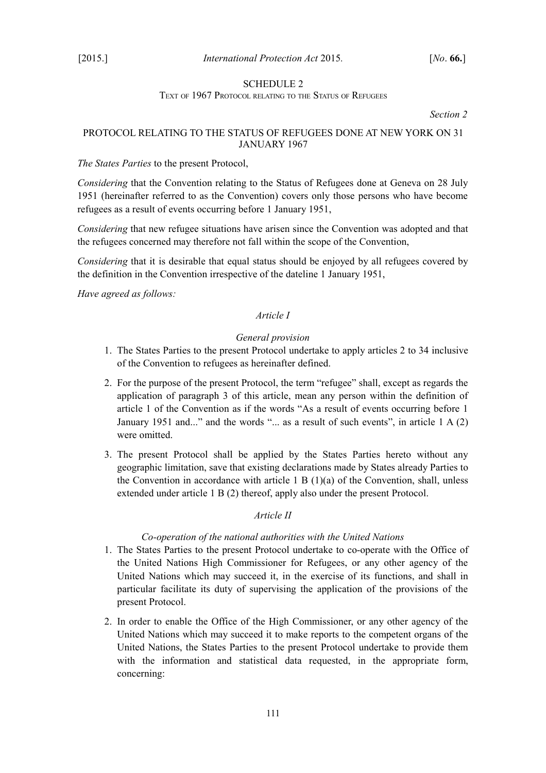## SCHEDULE 2

TEXT OF 1967 PROTOCOL RELATING TO THE STATUS OF REFUGEES

*Section [2](#page-9-0)*

## PROTOCOL RELATING TO THE STATUS OF REFUGEES DONE AT NEW YORK ON 31 JANUARY 1967

## *The States Parties* to the present Protocol,

*Considering* that the Convention relating to the Status of Refugees done at Geneva on 28 July 1951 (hereinafter referred to as the Convention) covers only those persons who have become refugees as a result of events occurring before 1 January 1951,

*Considering* that new refugee situations have arisen since the Convention was adopted and that the refugees concerned may therefore not fall within the scope of the Convention,

*Considering* that it is desirable that equal status should be enjoyed by all refugees covered by the definition in the Convention irrespective of the dateline 1 January 1951,

*Have agreed as follows:*

# *Article I*

### *General provision*

- 1. The States Parties to the present Protocol undertake to apply articles 2 to 34 inclusive of the Convention to refugees as hereinafter defined.
- 2. For the purpose of the present Protocol, the term "refugee" shall, except as regards the application of paragraph 3 of this article, mean any person within the definition of article 1 of the Convention as if the words "As a result of events occurring before 1 January 1951 and..." and the words "... as a result of such events", in article 1 A (2) were omitted.
- 3. The present Protocol shall be applied by the States Parties hereto without any geographic limitation, save that existing declarations made by States already Parties to the Convention in accordance with article  $1 \text{ B } (1)(a)$  of the Convention, shall, unless extended under article 1 B (2) thereof, apply also under the present Protocol.

## *Article II*

## *Co-operation of the national authorities with the United Nations*

- 1. The States Parties to the present Protocol undertake to co-operate with the Office of the United Nations High Commissioner for Refugees, or any other agency of the United Nations which may succeed it, in the exercise of its functions, and shall in particular facilitate its duty of supervising the application of the provisions of the present Protocol.
- 2. In order to enable the Office of the High Commissioner, or any other agency of the United Nations which may succeed it to make reports to the competent organs of the United Nations, the States Parties to the present Protocol undertake to provide them with the information and statistical data requested, in the appropriate form, concerning: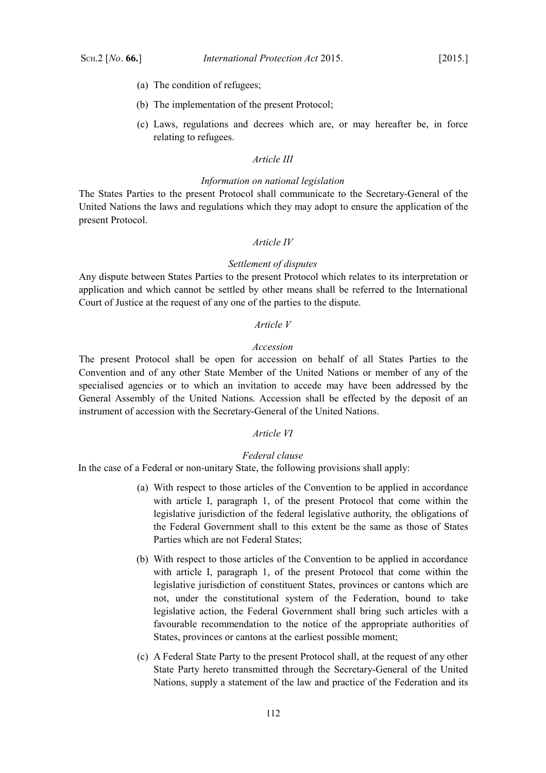- (a) The condition of refugees;
- (b) The implementation of the present Protocol;
- (c) Laws, regulations and decrees which are, or may hereafter be, in force relating to refugees.

### *Article III*

#### *Information on national legislation*

The States Parties to the present Protocol shall communicate to the Secretary-General of the United Nations the laws and regulations which they may adopt to ensure the application of the present Protocol.

### *Article IV*

#### *Settlement of disputes*

Any dispute between States Parties to the present Protocol which relates to its interpretation or application and which cannot be settled by other means shall be referred to the International Court of Justice at the request of any one of the parties to the dispute.

#### *Article V*

#### *Accession*

The present Protocol shall be open for accession on behalf of all States Parties to the Convention and of any other State Member of the United Nations or member of any of the specialised agencies or to which an invitation to accede may have been addressed by the General Assembly of the United Nations. Accession shall be effected by the deposit of an instrument of accession with the Secretary-General of the United Nations.

## *Article VI*

### *Federal clause*

In the case of a Federal or non-unitary State, the following provisions shall apply:

- (a) With respect to those articles of the Convention to be applied in accordance with article I, paragraph 1, of the present Protocol that come within the legislative jurisdiction of the federal legislative authority, the obligations of the Federal Government shall to this extent be the same as those of States Parties which are not Federal States;
- (b) With respect to those articles of the Convention to be applied in accordance with article I, paragraph 1, of the present Protocol that come within the legislative jurisdiction of constituent States, provinces or cantons which are not, under the constitutional system of the Federation, bound to take legislative action, the Federal Government shall bring such articles with a favourable recommendation to the notice of the appropriate authorities of States, provinces or cantons at the earliest possible moment;
- (c) A Federal State Party to the present Protocol shall, at the request of any other State Party hereto transmitted through the Secretary-General of the United Nations, supply a statement of the law and practice of the Federation and its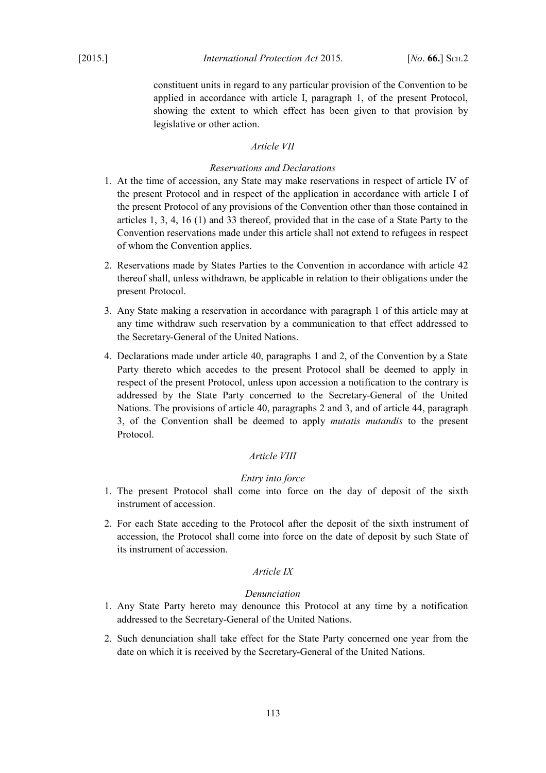constituent units in regard to any particular provision of the Convention to be applied in accordance with article I, paragraph 1, of the present Protocol, showing the extent to which effect has been given to that provision by legislative or other action.

# *Article VII*

# *Reservations and Declarations*

- 1. At the time of accession, any State may make reservations in respect of article IV of the present Protocol and in respect of the application in accordance with article I of the present Protocol of any provisions of the Convention other than those contained in articles 1, 3, 4, 16 (1) and 33 thereof, provided that in the case of a State Party to the Convention reservations made under this article shall not extend to refugees in respect of whom the Convention applies.
- 2. Reservations made by States Parties to the Convention in accordance with article 42 thereof shall, unless withdrawn, be applicable in relation to their obligations under the present Protocol.
- 3. Any State making a reservation in accordance with paragraph 1 of this article may at any time withdraw such reservation by a communication to that effect addressed to the Secretary-General of the United Nations.
- 4. Declarations made under article 40, paragraphs 1 and 2, of the Convention by a State Party thereto which accedes to the present Protocol shall be deemed to apply in respect of the present Protocol, unless upon accession a notification to the contrary is addressed by the State Party concerned to the Secretary-General of the United Nations. The provisions of article 40, paragraphs 2 and 3, and of article 44, paragraph 3, of the Convention shall be deemed to apply *mutatis mutandis* to the present Protocol.

### *Article VIII*

## *Entry into force*

- 1. The present Protocol shall come into force on the day of deposit of the sixth instrument of accession.
- 2. For each State acceding to the Protocol after the deposit of the sixth instrument of accession, the Protocol shall come into force on the date of deposit by such State of its instrument of accession.

## *Article IX*

## *Denunciation*

- 1. Any State Party hereto may denounce this Protocol at any time by a notification addressed to the Secretary-General of the United Nations.
- 2. Such denunciation shall take effect for the State Party concerned one year from the date on which it is received by the Secretary-General of the United Nations.